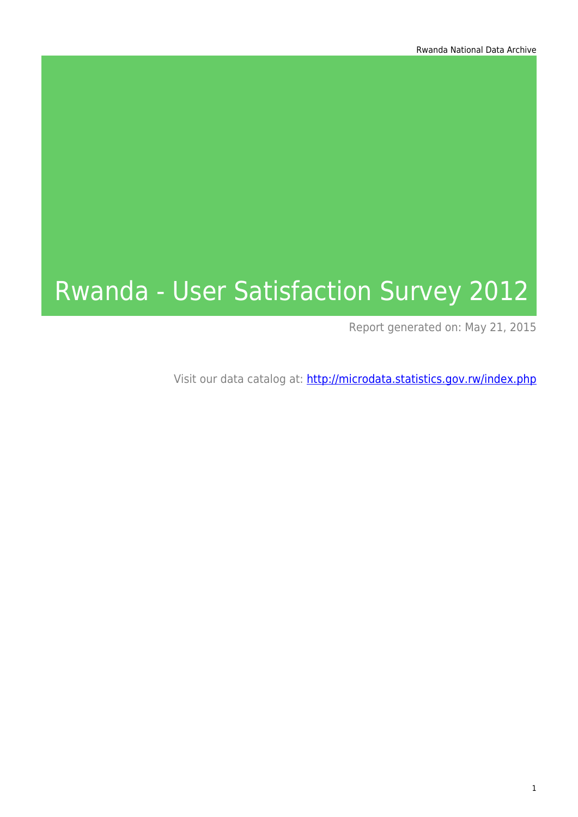# Rwanda - User Satisfaction Survey 2012

Report generated on: May 21, 2015

Visit our data catalog at: http://microdata.statistics.gov.rw/index.php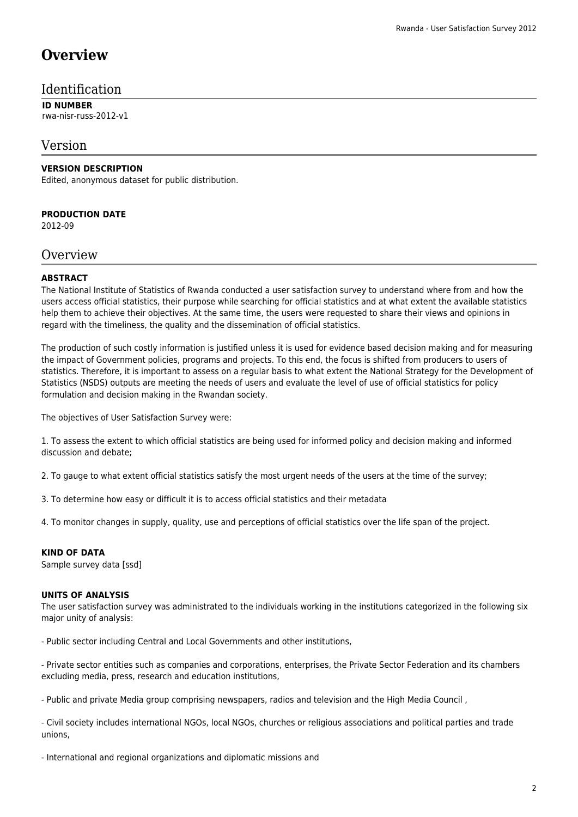### **Overview**

### Identification

#### **ID NUMBER** rwa-nisr-russ-2012-v1

### Version

### **VERSION DESCRIPTION**

Edited, anonymous dataset for public distribution.

#### **PRODUCTION DATE**

2012-09

### **Overview**

#### **ABSTRACT**

The National Institute of Statistics of Rwanda conducted a user satisfaction survey to understand where from and how the users access official statistics, their purpose while searching for official statistics and at what extent the available statistics help them to achieve their objectives. At the same time, the users were requested to share their views and opinions in regard with the timeliness, the quality and the dissemination of official statistics.

The production of such costly information is justified unless it is used for evidence based decision making and for measuring the impact of Government policies, programs and projects. To this end, the focus is shifted from producers to users of statistics. Therefore, it is important to assess on a regular basis to what extent the National Strategy for the Development of Statistics (NSDS) outputs are meeting the needs of users and evaluate the level of use of official statistics for policy formulation and decision making in the Rwandan society.

The objectives of User Satisfaction Survey were:

1. To assess the extent to which official statistics are being used for informed policy and decision making and informed discussion and debate;

2. To gauge to what extent official statistics satisfy the most urgent needs of the users at the time of the survey;

3. To determine how easy or difficult it is to access official statistics and their metadata

4. To monitor changes in supply, quality, use and perceptions of official statistics over the life span of the project.

#### **KIND OF DATA**

Sample survey data [ssd]

#### **UNITS OF ANALYSIS**

The user satisfaction survey was administrated to the individuals working in the institutions categorized in the following six major unity of analysis:

- Public sector including Central and Local Governments and other institutions,

- Private sector entities such as companies and corporations, enterprises, the Private Sector Federation and its chambers excluding media, press, research and education institutions,

- Public and private Media group comprising newspapers, radios and television and the High Media Council ,

- Civil society includes international NGOs, local NGOs, churches or religious associations and political parties and trade unions,

- International and regional organizations and diplomatic missions and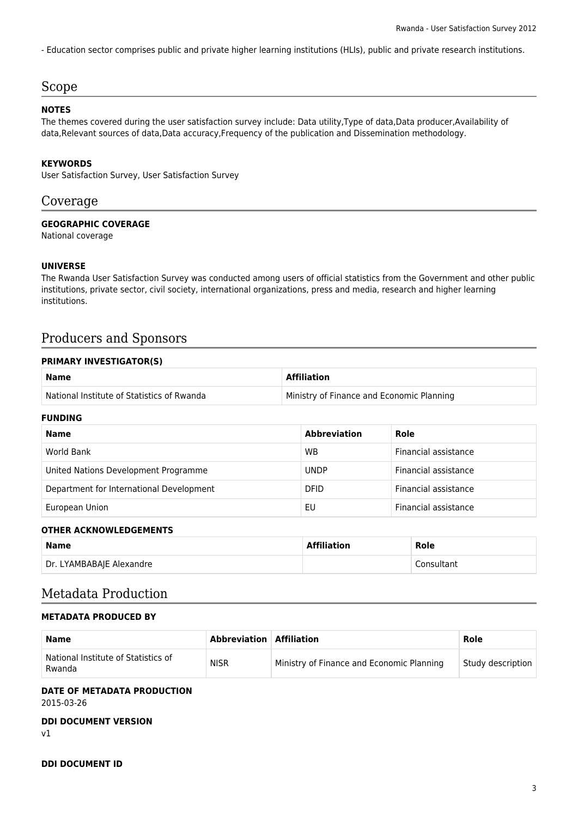- Education sector comprises public and private higher learning institutions (HLIs), public and private research institutions.

### Scope

#### **NOTES**

The themes covered during the user satisfaction survey include: Data utility,Type of data,Data producer,Availability of data,Relevant sources of data,Data accuracy,Frequency of the publication and Dissemination methodology.

#### **KEYWORDS**

User Satisfaction Survey, User Satisfaction Survey

### Coverage

#### **GEOGRAPHIC COVERAGE**

National coverage

#### **UNIVERSE**

The Rwanda User Satisfaction Survey was conducted among users of official statistics from the Government and other public institutions, private sector, civil society, international organizations, press and media, research and higher learning institutions.

### Producers and Sponsors

#### **PRIMARY INVESTIGATOR(S)**

| <b>Name</b>                                | <b>Affiliation</b>                        |
|--------------------------------------------|-------------------------------------------|
| National Institute of Statistics of Rwanda | Ministry of Finance and Economic Planning |

#### **FUNDING**

| <b>Name</b>                              | <b>Abbreviation</b> | Role                 |
|------------------------------------------|---------------------|----------------------|
| World Bank                               | <b>WB</b>           | Financial assistance |
| United Nations Development Programme     | <b>UNDP</b>         | Financial assistance |
| Department for International Development | <b>DFID</b>         | Financial assistance |
| European Union                           | EU                  | Financial assistance |

#### **OTHER ACKNOWLEDGEMENTS**

| <b>Name</b>              | <b>Affiliation</b> | Role       |
|--------------------------|--------------------|------------|
| Dr. LYAMBABAJE Alexandre |                    | Consultant |

### Metadata Production

#### **METADATA PRODUCED BY**

| <b>Name</b>                                   | Abbreviation   Affiliation |                                           | Role              |  |
|-----------------------------------------------|----------------------------|-------------------------------------------|-------------------|--|
| National Institute of Statistics of<br>Rwanda | <b>NISR</b>                | Ministry of Finance and Economic Planning | Study description |  |

### **DATE OF METADATA PRODUCTION**

2015-03-26

### **DDI DOCUMENT VERSION**

v1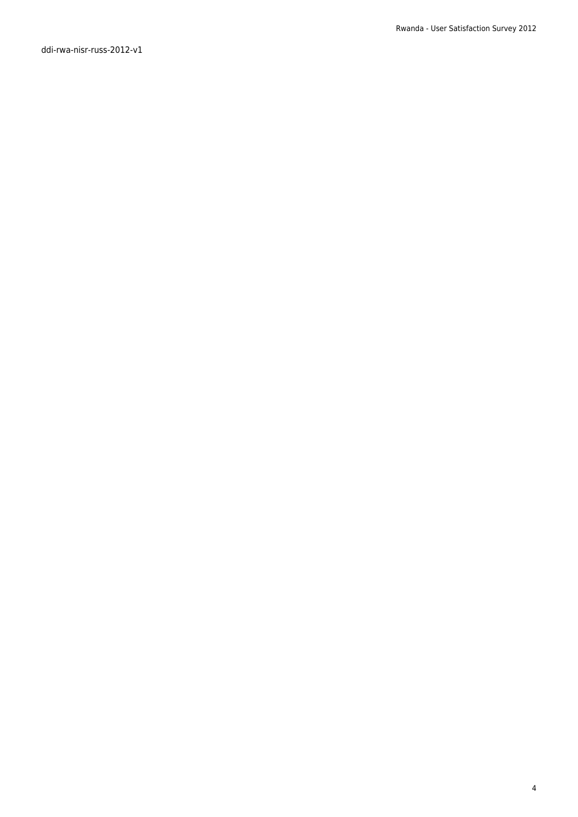ddi-rwa-nisr-russ-2012-v1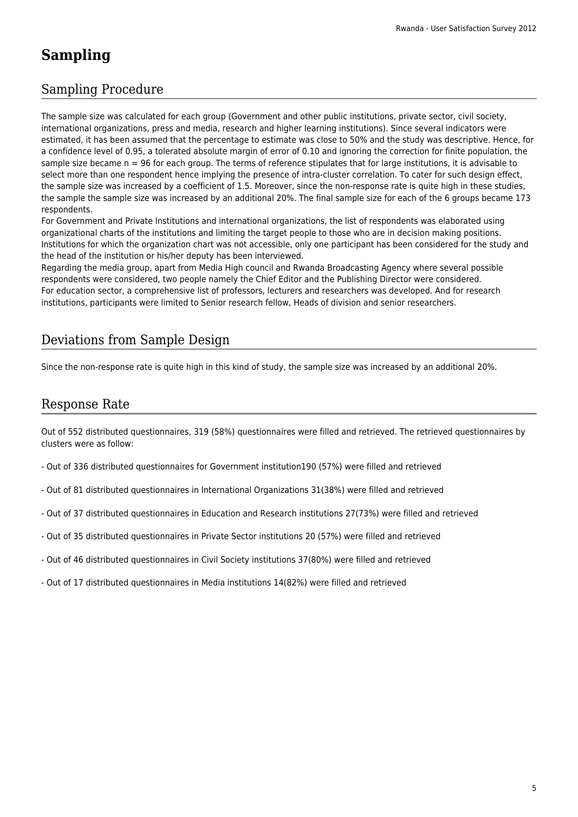## **Sampling**

### Sampling Procedure

The sample size was calculated for each group (Government and other public institutions, private sector, civil society, international organizations, press and media, research and higher learning institutions). Since several indicators were estimated, it has been assumed that the percentage to estimate was close to 50% and the study was descriptive. Hence, for a confidence level of 0.95, a tolerated absolute margin of error of 0.10 and ignoring the correction for finite population, the sample size became n = 96 for each group. The terms of reference stipulates that for large institutions, it is advisable to select more than one respondent hence implying the presence of intra-cluster correlation. To cater for such design effect, the sample size was increased by a coefficient of 1.5. Moreover, since the non-response rate is quite high in these studies, the sample the sample size was increased by an additional 20%. The final sample size for each of the 6 groups became 173 respondents.

For Government and Private Institutions and international organizations, the list of respondents was elaborated using organizational charts of the institutions and limiting the target people to those who are in decision making positions. Institutions for which the organization chart was not accessible, only one participant has been considered for the study and the head of the institution or his/her deputy has been interviewed.

Regarding the media group, apart from Media High council and Rwanda Broadcasting Agency where several possible respondents were considered, two people namely the Chief Editor and the Publishing Director were considered. For education sector, a comprehensive list of professors, lecturers and researchers was developed. And for research institutions, participants were limited to Senior research fellow, Heads of division and senior researchers.

### Deviations from Sample Design

Since the non-response rate is quite high in this kind of study, the sample size was increased by an additional 20%.

### Response Rate

Out of 552 distributed questionnaires, 319 (58%) questionnaires were filled and retrieved. The retrieved questionnaires by clusters were as follow:

- Out of 336 distributed questionnaires for Government institution190 (57%) were filled and retrieved
- Out of 81 distributed questionnaires in International Organizations 31(38%) were filled and retrieved
- Out of 37 distributed questionnaires in Education and Research institutions 27(73%) were filled and retrieved
- Out of 35 distributed questionnaires in Private Sector institutions 20 (57%) were filled and retrieved
- Out of 46 distributed questionnaires in Civil Society institutions 37(80%) were filled and retrieved
- Out of 17 distributed questionnaires in Media institutions 14(82%) were filled and retrieved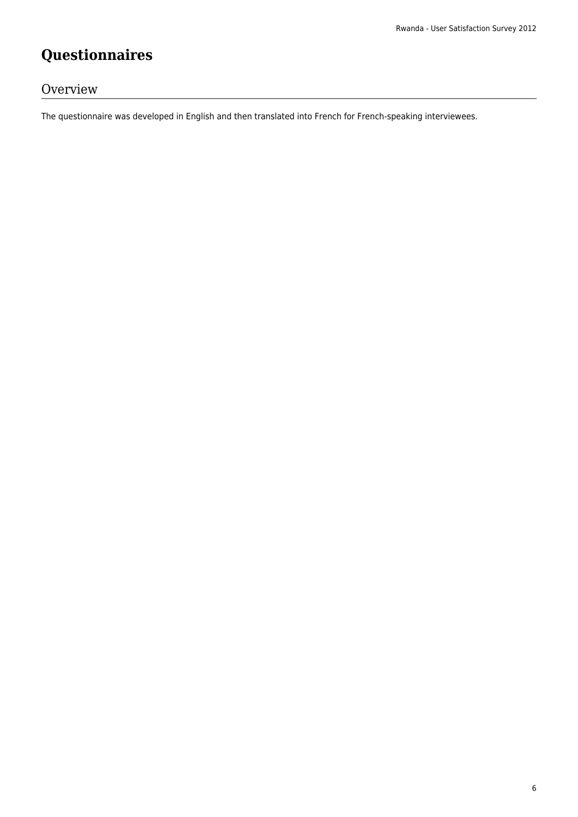## **Questionnaires**

### Overview

The questionnaire was developed in English and then translated into French for French-speaking interviewees.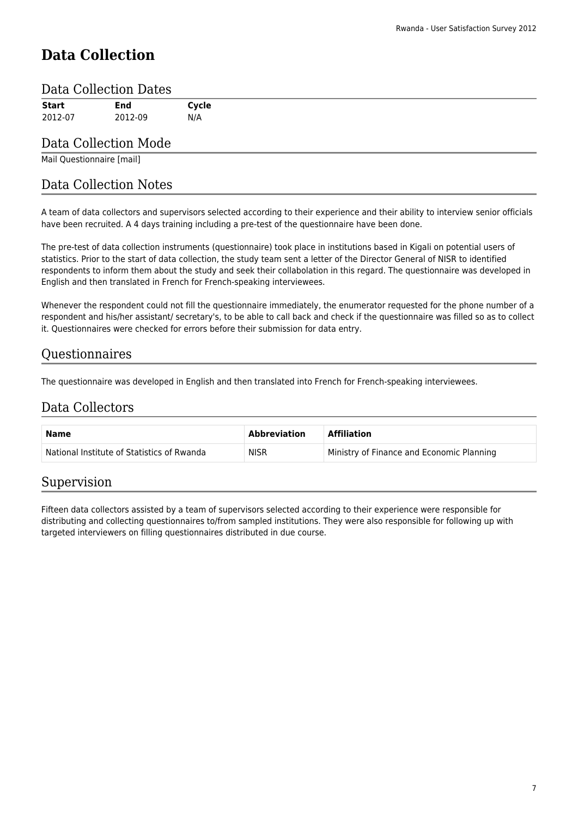### **Data Collection**

### Data Collection Dates

| Start   | End     | Cycle |
|---------|---------|-------|
| 2012-07 | 2012-09 | N/A   |

### Data Collection Mode

Mail Questionnaire [mail]

### Data Collection Notes

A team of data collectors and supervisors selected according to their experience and their ability to interview senior officials have been recruited. A 4 days training including a pre-test of the questionnaire have been done.

The pre-test of data collection instruments (questionnaire) took place in institutions based in Kigali on potential users of statistics. Prior to the start of data collection, the study team sent a letter of the Director General of NISR to identified respondents to inform them about the study and seek their collabolation in this regard. The questionnaire was developed in English and then translated in French for French-speaking interviewees.

Whenever the respondent could not fill the questionnaire immediately, the enumerator requested for the phone number of a respondent and his/her assistant/ secretary's, to be able to call back and check if the questionnaire was filled so as to collect it. Questionnaires were checked for errors before their submission for data entry.

### Questionnaires

The questionnaire was developed in English and then translated into French for French-speaking interviewees.

### Data Collectors

| <b>Name</b>                                | <b>Abbreviation</b> | <b>Affiliation</b>                        |
|--------------------------------------------|---------------------|-------------------------------------------|
| National Institute of Statistics of Rwanda | <b>NISR</b>         | Ministry of Finance and Economic Planning |

### Supervision

Fifteen data collectors assisted by a team of supervisors selected according to their experience were responsible for distributing and collecting questionnaires to/from sampled institutions. They were also responsible for following up with targeted interviewers on filling questionnaires distributed in due course.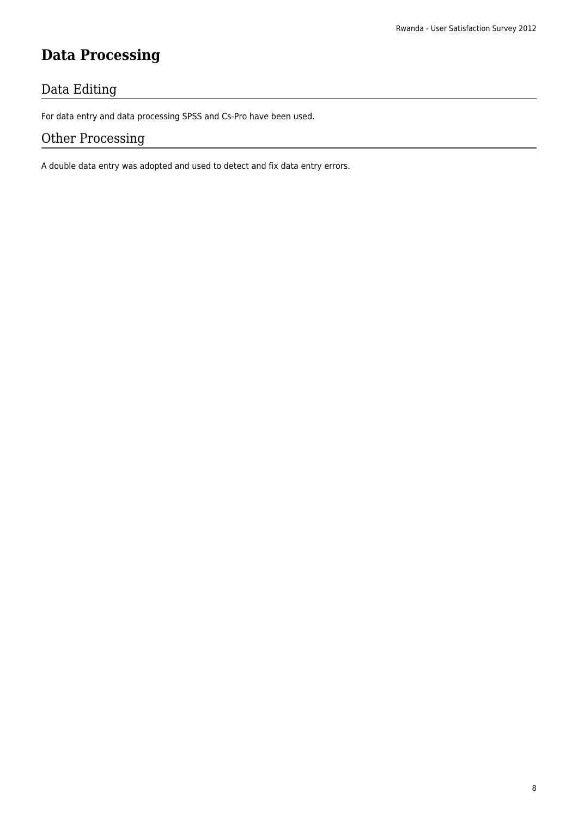## **Data Processing**

### Data Editing

For data entry and data processing SPSS and Cs-Pro have been used.

### Other Processing

A double data entry was adopted and used to detect and fix data entry errors.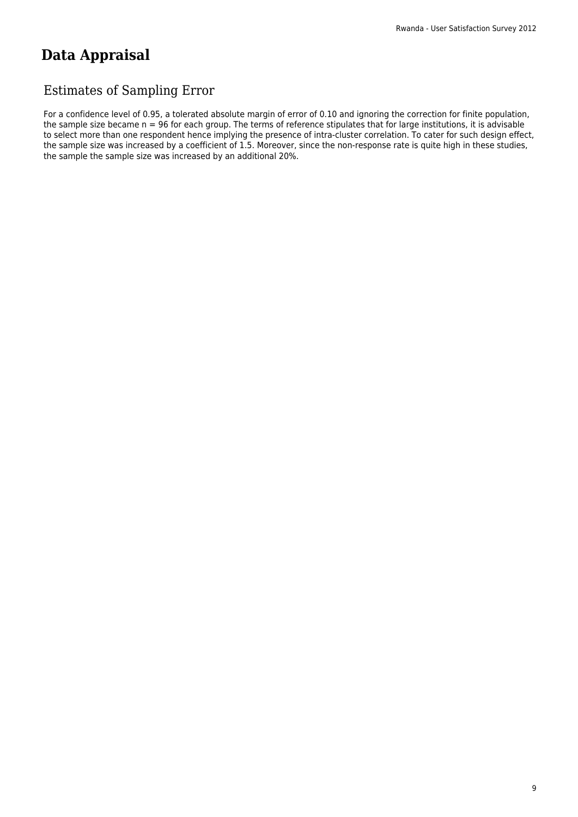### **Data Appraisal**

### Estimates of Sampling Error

For a confidence level of 0.95, a tolerated absolute margin of error of 0.10 and ignoring the correction for finite population, the sample size became n = 96 for each group. The terms of reference stipulates that for large institutions, it is advisable to select more than one respondent hence implying the presence of intra-cluster correlation. To cater for such design effect, the sample size was increased by a coefficient of 1.5. Moreover, since the non-response rate is quite high in these studies, the sample the sample size was increased by an additional 20%.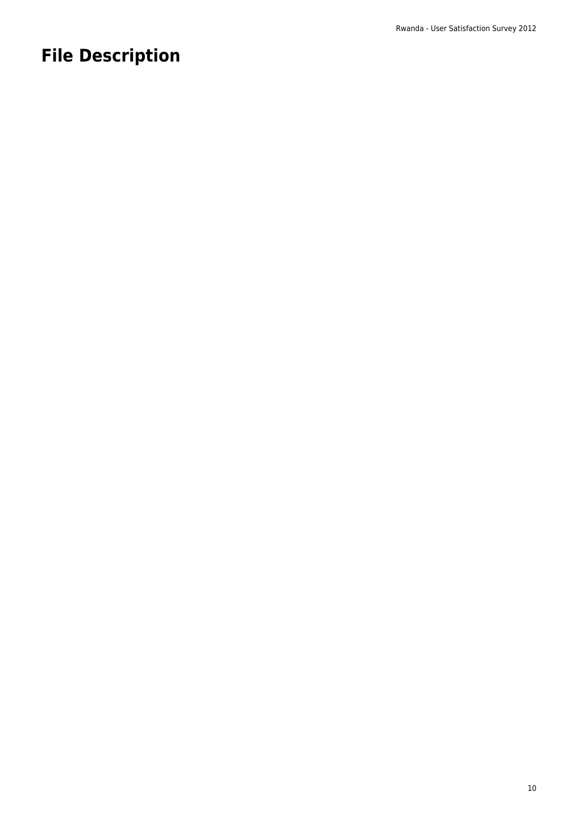## **File Description**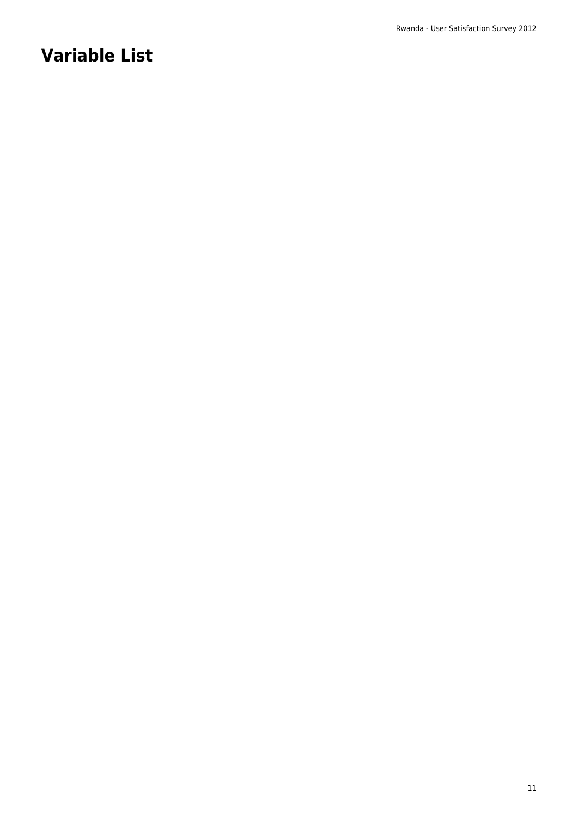## **Variable List**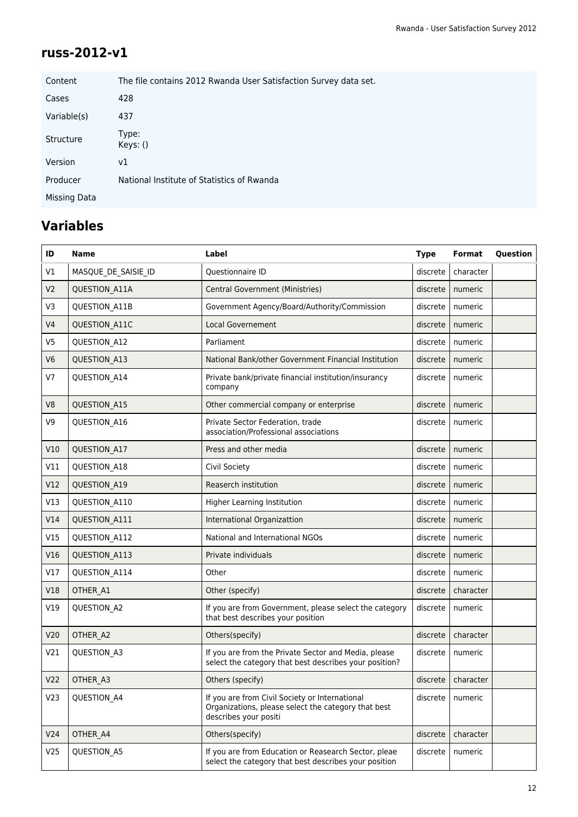### **russ-2012-v1**

| Content      | The file contains 2012 Rwanda User Satisfaction Survey data set. |
|--------------|------------------------------------------------------------------|
| Cases        | 428                                                              |
| Variable(s)  | 437                                                              |
| Structure    | Type:<br>Keys: ()                                                |
| Version      | v1                                                               |
| Producer     | National Institute of Statistics of Rwanda                       |
| Missing Data |                                                                  |

## **Variables**

| ID              | <b>Name</b>         | Label                                                                                                                          | <b>Type</b> | Format    | Question |
|-----------------|---------------------|--------------------------------------------------------------------------------------------------------------------------------|-------------|-----------|----------|
| V1              | MASQUE_DE_SAISIE_ID | Questionnaire ID                                                                                                               | discrete    | character |          |
| V <sub>2</sub>  | QUESTION_A11A       | Central Government (Ministries)                                                                                                | discrete    | numeric   |          |
| V3              | QUESTION_A11B       | Government Agency/Board/Authority/Commission                                                                                   | discrete    | numeric   |          |
| V <sub>4</sub>  | QUESTION_A11C       | <b>Local Governement</b>                                                                                                       | discrete    | numeric   |          |
| V <sub>5</sub>  | QUESTION_A12        | Parliament                                                                                                                     | discrete    | numeric   |          |
| V <sub>6</sub>  | QUESTION_A13        | National Bank/other Government Financial Institution                                                                           | discrete    | numeric   |          |
| V <sub>7</sub>  | QUESTION_A14        | Private bank/private financial institution/insurancy<br>company                                                                | discrete    | numeric   |          |
| V <sub>8</sub>  | QUESTION_A15        | Other commercial company or enterprise                                                                                         | discrete    | numeric   |          |
| V9              | QUESTION_A16        | Private Sector Federation, trade<br>association/Professional associations                                                      | discrete    | numeric   |          |
| V10             | QUESTION A17        | Press and other media                                                                                                          | discrete    | numeric   |          |
| V11             | QUESTION A18        | Civil Society                                                                                                                  | discrete    | numeric   |          |
| V12             | QUESTION A19        | Reaserch institution                                                                                                           | discrete    | numeric   |          |
| V13             | QUESTION_A110       | Higher Learning Institution                                                                                                    | discrete    | numeric   |          |
| V14             | QUESTION A111       | International Organizattion                                                                                                    | discrete    | numeric   |          |
| V15             | QUESTION_A112       | National and International NGOs                                                                                                | discrete    | numeric   |          |
| V16             | QUESTION_A113       | Private individuals                                                                                                            | discrete    | numeric   |          |
| V17             | QUESTION_A114       | Other                                                                                                                          | discrete    | numeric   |          |
| V18             | OTHER_A1            | Other (specify)                                                                                                                | discrete    | character |          |
| V19             | QUESTION_A2         | If you are from Government, please select the category<br>that best describes your position                                    | discrete    | numeric   |          |
| V20             | OTHER_A2            | Others(specify)                                                                                                                | discrete    | character |          |
| V <sub>21</sub> | QUESTION_A3         | If you are from the Private Sector and Media, please<br>select the category that best describes your position?                 | discrete    | numeric   |          |
| V <sub>22</sub> | OTHER_A3            | Others (specify)                                                                                                               | discrete    | character |          |
| V <sub>23</sub> | QUESTION A4         | If you are from Civil Society or International<br>Organizations, please select the category that best<br>describes your positi | discrete    | numeric   |          |
| V <sub>24</sub> | OTHER_A4            | Others(specify)                                                                                                                | discrete    | character |          |
| V <sub>25</sub> | QUESTION_A5         | If you are from Education or Reasearch Sector, pleae<br>select the category that best describes your position                  | discrete    | numeric   |          |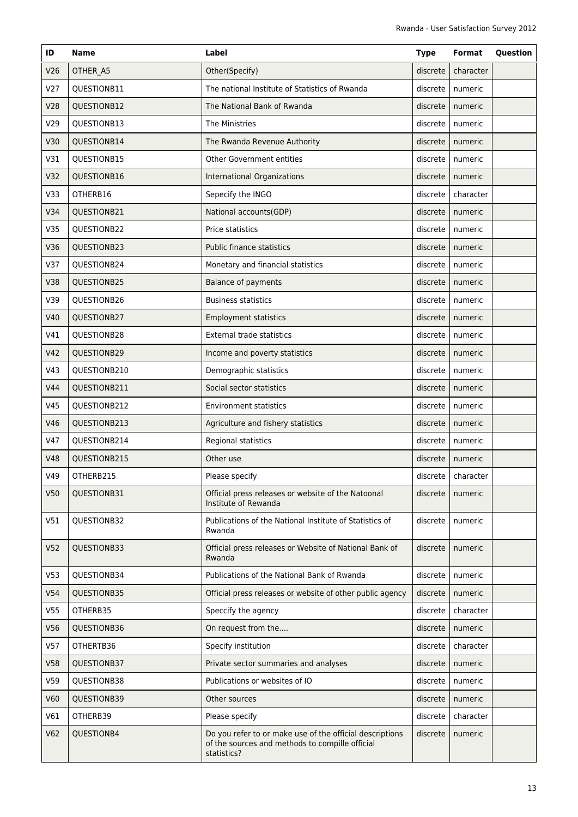| ID              | <b>Name</b>  | Label                                                                                                                      | <b>Type</b> | <b>Format</b>          | Question |
|-----------------|--------------|----------------------------------------------------------------------------------------------------------------------------|-------------|------------------------|----------|
| V26             | OTHER_A5     | Other(Specify)                                                                                                             | discrete    | character              |          |
| V <sub>27</sub> | QUESTIONB11  | The national Institute of Statistics of Rwanda                                                                             | discrete    | numeric                |          |
| V28             | QUESTIONB12  | The National Bank of Rwanda                                                                                                | discrete    | numeric                |          |
| V29             | QUESTIONB13  | The Ministries                                                                                                             | discrete    | numeric                |          |
| V30             | QUESTIONB14  | The Rwanda Revenue Authority                                                                                               | discrete    | numeric                |          |
| V31             | QUESTIONB15  | <b>Other Government entities</b>                                                                                           | discrete    | numeric                |          |
| V32             | QUESTIONB16  | <b>International Organizations</b>                                                                                         | discrete    | numeric                |          |
| V33             | OTHERB16     | Sepecify the INGO                                                                                                          | discrete    | character              |          |
| V34             | QUESTIONB21  | National accounts(GDP)                                                                                                     | discrete    | numeric                |          |
| V35             | QUESTIONB22  | Price statistics                                                                                                           | discrete    | numeric                |          |
| V36             | QUESTIONB23  | <b>Public finance statistics</b>                                                                                           | discrete    | numeric                |          |
| V37             | QUESTIONB24  | Monetary and financial statistics                                                                                          | discrete    | numeric                |          |
| V38             | QUESTIONB25  | <b>Balance of payments</b>                                                                                                 | discrete    | numeric                |          |
| V39             | QUESTIONB26  | <b>Business statistics</b>                                                                                                 | discrete    | numeric                |          |
| V40             | QUESTIONB27  | <b>Employment statistics</b>                                                                                               | discrete    | numeric                |          |
| V41             | QUESTIONB28  | External trade statistics                                                                                                  | discrete    | numeric                |          |
| V42             | QUESTIONB29  | Income and poverty statistics                                                                                              | discrete    | numeric                |          |
| V43             | QUESTIONB210 | Demographic statistics                                                                                                     | discrete    | numeric                |          |
| V44             | QUESTIONB211 | Social sector statistics                                                                                                   | discrete    | numeric                |          |
| V45             | QUESTIONB212 | <b>Environment statistics</b>                                                                                              | discrete    | numeric                |          |
| V46             | QUESTIONB213 | Agriculture and fishery statistics                                                                                         | discrete    | numeric                |          |
| V <sub>47</sub> | QUESTIONB214 | Regional statistics                                                                                                        | discrete    | numeric                |          |
| <b>V48</b>      | QUESTIONB215 | Other use                                                                                                                  | discrete    | numeric                |          |
| V49             | OTHERB215    | Please specify                                                                                                             |             | $discrete$   character |          |
| V50             | QUESTIONB31  | Official press releases or website of the Natoonal<br>Institute of Rewanda                                                 | discrete    | numeric                |          |
| V51             | QUESTIONB32  | Publications of the National Institute of Statistics of<br>Rwanda                                                          | discrete    | numeric                |          |
| V <sub>52</sub> | QUESTIONB33  | Official press releases or Website of National Bank of<br>Rwanda                                                           | discrete    | numeric                |          |
| V <sub>53</sub> | QUESTIONB34  | Publications of the National Bank of Rwanda                                                                                | discrete    | numeric                |          |
| V54             | QUESTIONB35  | Official press releases or website of other public agency                                                                  | discrete    | numeric                |          |
| V <sub>55</sub> | OTHERB35     | Speccify the agency                                                                                                        | discrete    | character              |          |
| V56             | QUESTIONB36  | On request from the                                                                                                        | discrete    | numeric                |          |
| V57             | OTHERTB36    | Specify institution                                                                                                        | discrete    | character              |          |
| V58             | QUESTIONB37  | Private sector summaries and analyses                                                                                      | discrete    | numeric                |          |
| V59             | QUESTIONB38  | Publications or websites of IO                                                                                             | discrete    | numeric                |          |
| V60             | QUESTIONB39  | Other sources                                                                                                              | discrete    | numeric                |          |
| V61             | OTHERB39     | Please specify                                                                                                             | discrete    | character              |          |
| V62             | QUESTIONB4   | Do you refer to or make use of the official descriptions<br>of the sources and methods to compille official<br>statistics? | discrete    | numeric                |          |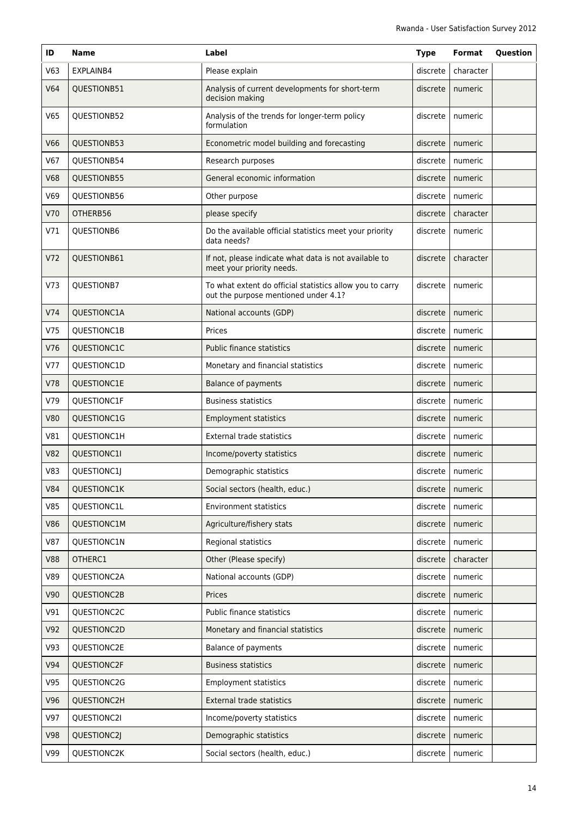| ID              | <b>Name</b>        | Label                                                                                            | <b>Type</b> | Format    | <b>Question</b> |
|-----------------|--------------------|--------------------------------------------------------------------------------------------------|-------------|-----------|-----------------|
| V63             | EXPLAINB4          | Please explain                                                                                   | discrete    | character |                 |
| V64             | QUESTIONB51        | Analysis of current developments for short-term<br>decision making                               | discrete    | numeric   |                 |
| V65             | QUESTIONB52        | Analysis of the trends for longer-term policy<br>formulation                                     | discrete    | numeric   |                 |
| V66             | QUESTIONB53        | Econometric model building and forecasting                                                       | discrete    | numeric   |                 |
| V67             | QUESTIONB54        | Research purposes                                                                                | discrete    | numeric   |                 |
| <b>V68</b>      | QUESTIONB55        | General economic information                                                                     | discrete    | numeric   |                 |
| V69             | QUESTIONB56        | Other purpose                                                                                    | discrete    | numeric   |                 |
| V70             | OTHERB56           | please specify                                                                                   | discrete    | character |                 |
| V71             | QUESTIONB6         | Do the available official statistics meet your priority<br>data needs?                           | discrete    | numeric   |                 |
| V72             | QUESTIONB61        | If not, please indicate what data is not available to<br>meet your priority needs.               | discrete    | character |                 |
| V <sub>73</sub> | QUESTIONB7         | To what extent do official statistics allow you to carry<br>out the purpose mentioned under 4.1? | discrete    | numeric   |                 |
| V74             | QUESTIONC1A        | National accounts (GDP)                                                                          | discrete    | numeric   |                 |
| V <sub>75</sub> | QUESTIONC1B        | Prices                                                                                           | discrete    | numeric   |                 |
| V76             | QUESTIONC1C        | Public finance statistics                                                                        | discrete    | numeric   |                 |
| V77             | QUESTIONC1D        | Monetary and financial statistics                                                                | discrete    | numeric   |                 |
| V78             | <b>QUESTIONC1E</b> | <b>Balance of payments</b>                                                                       | discrete    | numeric   |                 |
| V79             | QUESTIONC1F        | <b>Business statistics</b>                                                                       | discrete    | numeric   |                 |
| V80             | QUESTIONC1G        | <b>Employment statistics</b>                                                                     | discrete    | numeric   |                 |
| V81             | QUESTIONC1H        | <b>External trade statistics</b>                                                                 | discrete    | numeric   |                 |
| <b>V82</b>      | QUESTIONC1I        | Income/poverty statistics                                                                        | discrete    | numeric   |                 |
| V83             | QUESTIONC1J        | Demographic statistics                                                                           | discrete    | numeric   |                 |
| <b>V84</b>      | QUESTIONC1K        | Social sectors (health, educ.)                                                                   | discrete    | numeric   |                 |
| <b>V85</b>      | QUESTIONC1L        | <b>Environment statistics</b>                                                                    | discrete    | numeric   |                 |
| <b>V86</b>      | QUESTIONC1M        | Agriculture/fishery stats                                                                        | discrete    | numeric   |                 |
| <b>V87</b>      | QUESTIONC1N        | Regional statistics                                                                              | discrete    | numeric   |                 |
| <b>V88</b>      | OTHERC1            | Other (Please specify)                                                                           | discrete    | character |                 |
| V89             | QUESTIONC2A        | National accounts (GDP)                                                                          | discrete    | numeric   |                 |
| V90             | QUESTIONC2B        | Prices                                                                                           | discrete    | numeric   |                 |
| V91             | QUESTIONC2C        | Public finance statistics                                                                        | discrete    | numeric   |                 |
| V92             | QUESTIONC2D        | Monetary and financial statistics                                                                | discrete    | numeric   |                 |
| V93             | QUESTIONC2E        | <b>Balance of payments</b>                                                                       | discrete    | numeric   |                 |
| V94             | QUESTIONC2F        | <b>Business statistics</b>                                                                       | discrete    | numeric   |                 |
| V95             | QUESTIONC2G        | <b>Employment statistics</b>                                                                     | discrete    | numeric   |                 |
| V96             | QUESTIONC2H        | External trade statistics                                                                        | discrete    | numeric   |                 |
| V97             | QUESTIONC2I        | Income/poverty statistics                                                                        | discrete    | numeric   |                 |
| <b>V98</b>      | QUESTIONC2J        | Demographic statistics                                                                           | discrete    | numeric   |                 |
| V99             | QUESTIONC2K        | Social sectors (health, educ.)                                                                   | discrete    | numeric   |                 |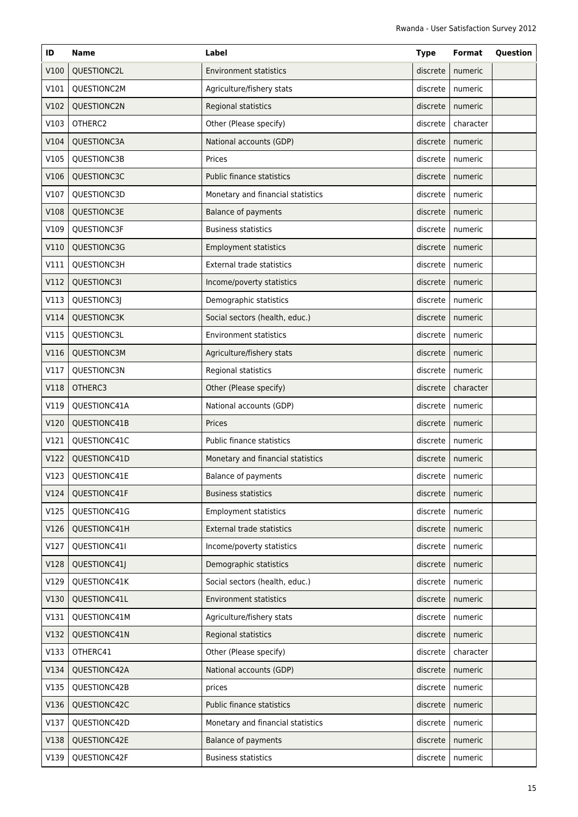| ID          | <b>Name</b>  | Label                             | <b>Type</b> | Format    | Question |
|-------------|--------------|-----------------------------------|-------------|-----------|----------|
| V100        | QUESTIONC2L  | <b>Environment statistics</b>     | discrete    | numeric   |          |
| V101        | QUESTIONC2M  | Agriculture/fishery stats         | discrete    | numeric   |          |
| V102        | QUESTIONC2N  | Regional statistics               | discrete    | numeric   |          |
| V103        | OTHERC2      | Other (Please specify)            | discrete    | character |          |
| V104        | QUESTIONC3A  | National accounts (GDP)           | discrete    | numeric   |          |
| V105        | QUESTIONC3B  | Prices                            | discrete    | numeric   |          |
| V106        | QUESTIONC3C  | <b>Public finance statistics</b>  | discrete    | numeric   |          |
| V107        | QUESTIONC3D  | Monetary and financial statistics | discrete    | numeric   |          |
| V108        | QUESTIONC3E  | Balance of payments               | discrete    | numeric   |          |
| V109        | QUESTIONC3F  | <b>Business statistics</b>        | discrete    | numeric   |          |
| V110        | QUESTIONC3G  | <b>Employment statistics</b>      | discrete    | numeric   |          |
| <b>V111</b> | QUESTIONC3H  | <b>External trade statistics</b>  | discrete    | numeric   |          |
| V112        | QUESTIONC3I  | Income/poverty statistics         | discrete    | numeric   |          |
| V113        | QUESTIONC3J  | Demographic statistics            | discrete    | numeric   |          |
| V114        | QUESTIONC3K  | Social sectors (health, educ.)    | discrete    | numeric   |          |
| V115        | QUESTIONC3L  | <b>Environment statistics</b>     | discrete    | numeric   |          |
| V116        | QUESTIONC3M  | Agriculture/fishery stats         | discrete    | numeric   |          |
| V117        | QUESTIONC3N  | Regional statistics               | discrete    | numeric   |          |
| V118        | OTHERC3      | Other (Please specify)            | discrete    | character |          |
| V119        | QUESTIONC41A | National accounts (GDP)           | discrete    | numeric   |          |
| V120        | QUESTIONC41B | Prices                            | discrete    | numeric   |          |
| V121        | QUESTIONC41C | Public finance statistics         | discrete    | numeric   |          |
| V122        | QUESTIONC41D | Monetary and financial statistics | discrete    | numeric   |          |
| V123        | QUESTIONC41E | Balance of payments               | discrete    | numeric   |          |
| V124        | QUESTIONC41F | <b>Business statistics</b>        | discrete    | numeric   |          |
| V125        | QUESTIONC41G | <b>Employment statistics</b>      | discrete    | numeric   |          |
| V126        | QUESTIONC41H | External trade statistics         | discrete    | numeric   |          |
| V127        | QUESTIONC41I | Income/poverty statistics         | discrete    | numeric   |          |
| V128        | QUESTIONC41J | Demographic statistics            | discrete    | numeric   |          |
| V129        | QUESTIONC41K | Social sectors (health, educ.)    | discrete    | numeric   |          |
| V130        | QUESTIONC41L | <b>Environment statistics</b>     | discrete    | numeric   |          |
| V131        | QUESTIONC41M | Agriculture/fishery stats         | discrete    | numeric   |          |
| V132        | QUESTIONC41N | Regional statistics               | discrete    | numeric   |          |
| V133        | OTHERC41     | Other (Please specify)            | discrete    | character |          |
| V134        | QUESTIONC42A | National accounts (GDP)           | discrete    | numeric   |          |
| V135        | QUESTIONC42B | prices                            | discrete    | numeric   |          |
| V136        | QUESTIONC42C | Public finance statistics         | discrete    | numeric   |          |
| V137        | QUESTIONC42D | Monetary and financial statistics | discrete    | numeric   |          |
| V138        | QUESTIONC42E | <b>Balance of payments</b>        | discrete    | numeric   |          |
| V139        | QUESTIONC42F | <b>Business statistics</b>        | discrete    | numeric   |          |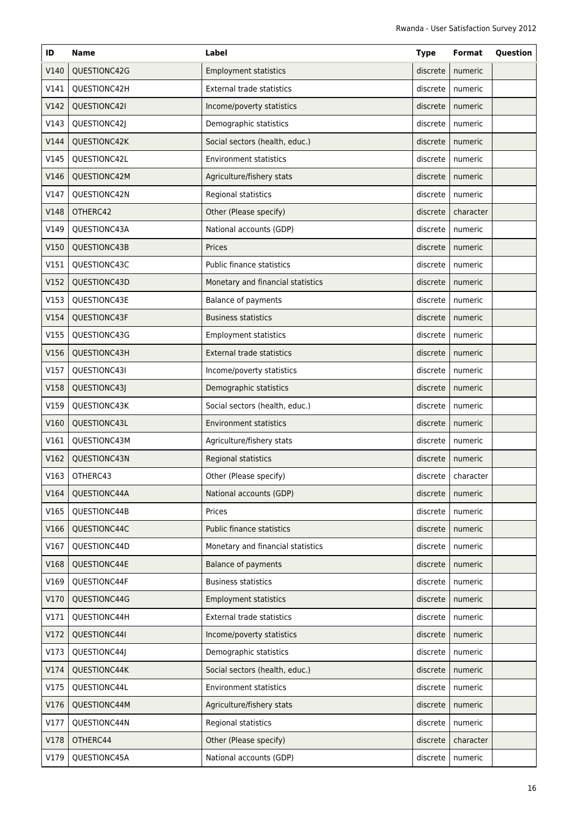| ID   | <b>Name</b>  | Label                             | <b>Type</b> | <b>Format</b>          | Question |
|------|--------------|-----------------------------------|-------------|------------------------|----------|
| V140 | QUESTIONC42G | <b>Employment statistics</b>      | discrete    | numeric                |          |
| V141 | QUESTIONC42H | External trade statistics         | discrete    | numeric                |          |
| V142 | QUESTIONC42I | Income/poverty statistics         | discrete    | numeric                |          |
| V143 | QUESTIONC42J | Demographic statistics            | discrete    | numeric                |          |
| V144 | QUESTIONC42K | Social sectors (health, educ.)    | discrete    | numeric                |          |
| V145 | QUESTIONC42L | <b>Environment statistics</b>     | discrete    | numeric                |          |
| V146 | QUESTIONC42M | Agriculture/fishery stats         | discrete    | numeric                |          |
| V147 | QUESTIONC42N | Regional statistics               | discrete    | numeric                |          |
| V148 | OTHERC42     | Other (Please specify)            | discrete    | character              |          |
| V149 | QUESTIONC43A | National accounts (GDP)           | discrete    | numeric                |          |
| V150 | QUESTIONC43B | Prices                            | discrete    | numeric                |          |
| V151 | QUESTIONC43C | Public finance statistics         | discrete    | numeric                |          |
| V152 | QUESTIONC43D | Monetary and financial statistics | discrete    | numeric                |          |
| V153 | QUESTIONC43E | <b>Balance of payments</b>        | discrete    | numeric                |          |
| V154 | QUESTIONC43F | <b>Business statistics</b>        | discrete    | numeric                |          |
| V155 | QUESTIONC43G | <b>Employment statistics</b>      | discrete    | numeric                |          |
| V156 | QUESTIONC43H | External trade statistics         | discrete    | numeric                |          |
| V157 | QUESTIONC43I | Income/poverty statistics         | discrete    | numeric                |          |
| V158 | QUESTIONC43J | Demographic statistics            | discrete    | numeric                |          |
| V159 | QUESTIONC43K | Social sectors (health, educ.)    | discrete    | numeric                |          |
| V160 | QUESTIONC43L | <b>Environment statistics</b>     | discrete    | numeric                |          |
| V161 | QUESTIONC43M | Agriculture/fishery stats         | discrete    | numeric                |          |
| V162 | QUESTIONC43N | Regional statistics               | discrete    | numeric                |          |
| V163 | OTHERC43     | Other (Please specify)            |             | $discrete$   character |          |
| V164 | QUESTIONC44A | National accounts (GDP)           | discrete    | numeric                |          |
| V165 | QUESTIONC44B | Prices                            | discrete    | numeric                |          |
| V166 | QUESTIONC44C | <b>Public finance statistics</b>  | discrete    | numeric                |          |
| V167 | QUESTIONC44D | Monetary and financial statistics | discrete    | numeric                |          |
| V168 | QUESTIONC44E | <b>Balance of payments</b>        | discrete    | numeric                |          |
| V169 | QUESTIONC44F | <b>Business statistics</b>        | discrete    | numeric                |          |
| V170 | QUESTIONC44G | <b>Employment statistics</b>      | discrete    | numeric                |          |
| V171 | QUESTIONC44H | External trade statistics         | discrete    | numeric                |          |
| V172 | QUESTIONC44I | Income/poverty statistics         | discrete    | numeric                |          |
| V173 | QUESTIONC44J | Demographic statistics            | discrete    | numeric                |          |
| V174 | QUESTIONC44K | Social sectors (health, educ.)    | discrete    | numeric                |          |
| V175 | QUESTIONC44L | <b>Environment statistics</b>     | discrete    | numeric                |          |
| V176 | QUESTIONC44M | Agriculture/fishery stats         | discrete    | numeric                |          |
| V177 | QUESTIONC44N | Regional statistics               | discrete    | numeric                |          |
| V178 | OTHERC44     | Other (Please specify)            | discrete    | character              |          |
| V179 | QUESTIONC45A | National accounts (GDP)           | discrete    | numeric                |          |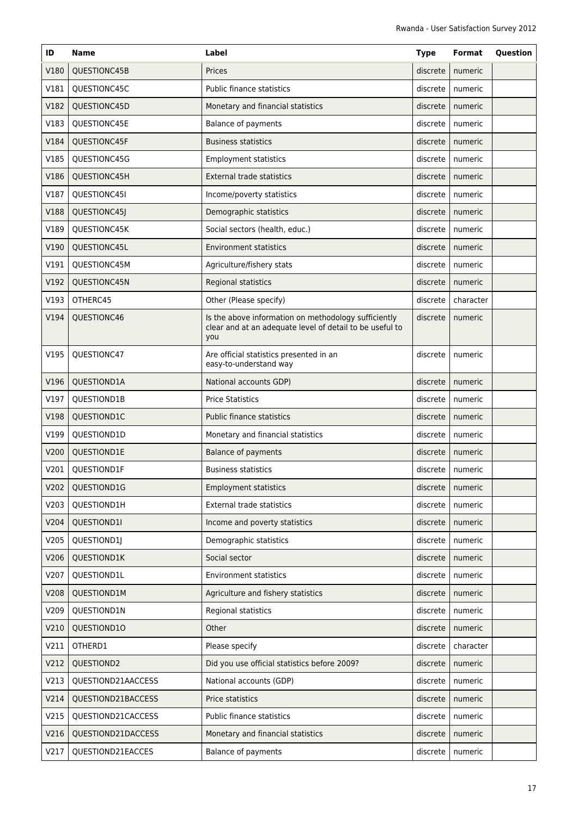| ID   | <b>Name</b>        | Label                                                                                                                   | <b>Type</b> | Format    | <b>Ouestion</b> |
|------|--------------------|-------------------------------------------------------------------------------------------------------------------------|-------------|-----------|-----------------|
| V180 | QUESTIONC45B       | Prices                                                                                                                  | discrete    | numeric   |                 |
| V181 | QUESTIONC45C       | Public finance statistics                                                                                               | discrete    | numeric   |                 |
| V182 | QUESTIONC45D       | Monetary and financial statistics                                                                                       | discrete    | numeric   |                 |
| V183 | QUESTIONC45E       | Balance of payments                                                                                                     | discrete    | numeric   |                 |
| V184 | QUESTIONC45F       | <b>Business statistics</b>                                                                                              | discrete    | numeric   |                 |
| V185 | OUESTIONC45G       | <b>Employment statistics</b>                                                                                            | discrete    | numeric   |                 |
| V186 | QUESTIONC45H       | <b>External trade statistics</b>                                                                                        | discrete    | numeric   |                 |
| V187 | QUESTIONC45I       | Income/poverty statistics                                                                                               | discrete    | numeric   |                 |
| V188 | QUESTIONC45J       | Demographic statistics                                                                                                  | discrete    | numeric   |                 |
| V189 | QUESTIONC45K       | Social sectors (health, educ.)                                                                                          | discrete    | numeric   |                 |
| V190 | QUESTIONC45L       | <b>Environment statistics</b>                                                                                           | discrete    | numeric   |                 |
| V191 | QUESTIONC45M       | Agriculture/fishery stats                                                                                               | discrete    | numeric   |                 |
| V192 | QUESTIONC45N       | Regional statistics                                                                                                     | discrete    | numeric   |                 |
| V193 | OTHERC45           | Other (Please specify)                                                                                                  | discrete    | character |                 |
| V194 | QUESTIONC46        | Is the above information on methodology sufficiently<br>clear and at an adequate level of detail to be useful to<br>you | discrete    | numeric   |                 |
| V195 | QUESTIONC47        | Are official statistics presented in an<br>easy-to-understand way                                                       | discrete    | numeric   |                 |
| V196 | QUESTIOND1A        | National accounts GDP)                                                                                                  | discrete    | numeric   |                 |
| V197 | QUESTIOND1B        | <b>Price Statistics</b>                                                                                                 | discrete    | numeric   |                 |
| V198 | QUESTIOND1C        | <b>Public finance statistics</b>                                                                                        | discrete    | numeric   |                 |
| V199 | QUESTIOND1D        | Monetary and financial statistics                                                                                       | discrete    | numeric   |                 |
| V200 | QUESTIOND1E        | <b>Balance of payments</b>                                                                                              | discrete    | numeric   |                 |
| V201 | QUESTIOND1F        | <b>Business statistics</b>                                                                                              | discrete    | numeric   |                 |
| V202 | QUESTIOND1G        | <b>Employment statistics</b>                                                                                            | discrete    | numeric   |                 |
| V203 | QUESTIOND1H        | <b>External trade statistics</b>                                                                                        | discrete    | numeric   |                 |
| V204 | QUESTIOND1I        | Income and poverty statistics                                                                                           | discrete    | numeric   |                 |
| V205 | QUESTIOND1J        | Demographic statistics                                                                                                  | discrete    | numeric   |                 |
| V206 | QUESTIOND1K        | Social sector                                                                                                           | discrete    | numeric   |                 |
| V207 | QUESTIOND1L        | Environment statistics                                                                                                  | discrete    | numeric   |                 |
| V208 | QUESTIOND1M        | Agriculture and fishery statistics                                                                                      | discrete    | numeric   |                 |
| V209 | QUESTIOND1N        | Regional statistics                                                                                                     | discrete    | numeric   |                 |
| V210 | QUESTIOND10        | Other                                                                                                                   | discrete    | numeric   |                 |
| V211 | OTHERD1            | Please specify                                                                                                          | discrete    | character |                 |
| V212 | QUESTIOND2         | Did you use official statistics before 2009?                                                                            | discrete    | numeric   |                 |
| V213 | QUESTIOND21AACCESS | National accounts (GDP)                                                                                                 | discrete    | numeric   |                 |
| V214 | QUESTIOND21BACCESS | Price statistics                                                                                                        | discrete    | numeric   |                 |
| V215 | QUESTIOND21CACCESS | Public finance statistics                                                                                               | discrete    | numeric   |                 |
| V216 | QUESTIOND21DACCESS | Monetary and financial statistics                                                                                       | discrete    | numeric   |                 |
| V217 | QUESTIOND21EACCES  | <b>Balance of payments</b>                                                                                              | discrete    | numeric   |                 |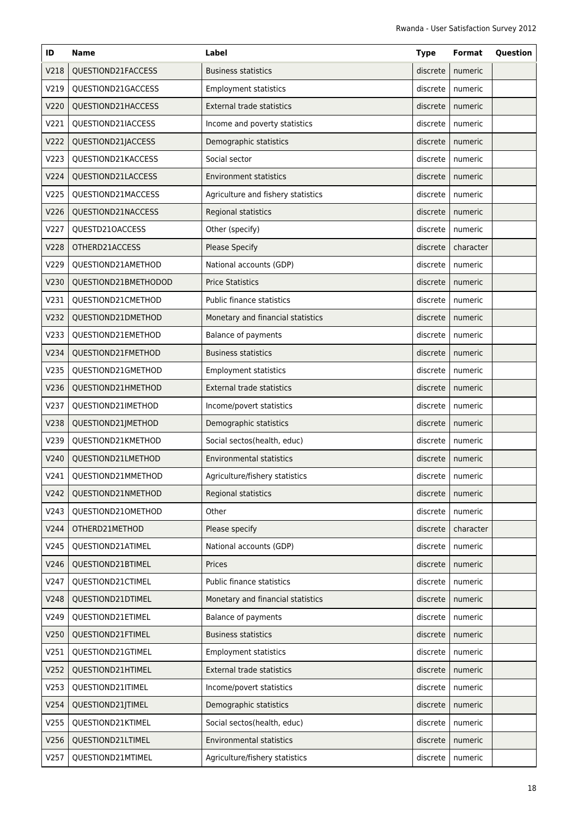| ID   | Name                 | Label                              | <b>Type</b> | <b>Format</b> | <b>Ouestion</b> |
|------|----------------------|------------------------------------|-------------|---------------|-----------------|
| V218 | QUESTIOND21FACCESS   | <b>Business statistics</b>         | discrete    | numeric       |                 |
| V219 | QUESTIOND21GACCESS   | <b>Employment statistics</b>       | discrete    | numeric       |                 |
| V220 | QUESTIOND21HACCESS   | <b>External trade statistics</b>   | discrete    | numeric       |                 |
| V221 | QUESTIOND21IACCESS   | Income and poverty statistics      | discrete    | numeric       |                 |
| V222 | QUESTIOND21JACCESS   | Demographic statistics             | discrete    | numeric       |                 |
| V223 | QUESTIOND21KACCESS   | Social sector                      | discrete    | numeric       |                 |
| V224 | QUESTIOND21LACCESS   | <b>Environment statistics</b>      | discrete    | numeric       |                 |
| V225 | QUESTIOND21MACCESS   | Agriculture and fishery statistics | discrete    | numeric       |                 |
| V226 | QUESTIOND21NACCESS   | Regional statistics                | discrete    | numeric       |                 |
| V227 | QUESTD21OACCESS      | Other (specify)                    | discrete    | numeric       |                 |
| V228 | OTHERD21ACCESS       | <b>Please Specify</b>              | discrete    | character     |                 |
| V229 | QUESTIOND21AMETHOD   | National accounts (GDP)            | discrete    | numeric       |                 |
| V230 | QUESTIOND21BMETHODOD | <b>Price Statistics</b>            | discrete    | numeric       |                 |
| V231 | QUESTIOND21CMETHOD   | Public finance statistics          | discrete    | numeric       |                 |
| V232 | QUESTIOND21DMETHOD   | Monetary and financial statistics  | discrete    | numeric       |                 |
| V233 | QUESTIOND21EMETHOD   | Balance of payments                | discrete    | numeric       |                 |
| V234 | QUESTIOND21FMETHOD   | <b>Business statistics</b>         | discrete    | numeric       |                 |
| V235 | QUESTIOND21GMETHOD   | <b>Employment statistics</b>       | discrete    | numeric       |                 |
| V236 | QUESTIOND21HMETHOD   | <b>External trade statistics</b>   | discrete    | numeric       |                 |
| V237 | QUESTIOND21IMETHOD   | Income/povert statistics           | discrete    | numeric       |                 |
| V238 | QUESTIOND21JMETHOD   | Demographic statistics             | discrete    | numeric       |                 |
| V239 | QUESTIOND21KMETHOD   | Social sectos(health, educ)        | discrete    | numeric       |                 |
| V240 | QUESTIOND21LMETHOD   | <b>Environmental statistics</b>    | discrete    | numeric       |                 |
| V241 | QUESTIOND21MMETHOD   | Agriculture/fishery statistics     | discrete    | numeric       |                 |
| V242 | QUESTIOND21NMETHOD   | Regional statistics                | discrete    | numeric       |                 |
| V243 | QUESTIOND21OMETHOD   | Other                              | discrete    | numeric       |                 |
| V244 | OTHERD21METHOD       | Please specify                     | discrete    | character     |                 |
| V245 | QUESTIOND21ATIMEL    | National accounts (GDP)            | discrete    | numeric       |                 |
| V246 | QUESTIOND21BTIMEL    | Prices                             | discrete    | numeric       |                 |
| V247 | QUESTIOND21CTIMEL    | Public finance statistics          | discrete    | numeric       |                 |
| V248 | QUESTIOND21DTIMEL    | Monetary and financial statistics  | discrete    | numeric       |                 |
| V249 | QUESTIOND21ETIMEL    | Balance of payments                | discrete    | numeric       |                 |
| V250 | QUESTIOND21FTIMEL    | <b>Business statistics</b>         | discrete    | numeric       |                 |
| V251 | QUESTIOND21GTIMEL    | <b>Employment statistics</b>       | discrete    | numeric       |                 |
| V252 | QUESTIOND21HTIMEL    | External trade statistics          | discrete    | numeric       |                 |
| V253 | QUESTIOND21ITIMEL    | Income/povert statistics           | discrete    | numeric       |                 |
| V254 | QUESTIOND21JTIMEL    | Demographic statistics             | discrete    | numeric       |                 |
| V255 | QUESTIOND21KTIMEL    | Social sectos(health, educ)        | discrete    | numeric       |                 |
| V256 | QUESTIOND21LTIMEL    | <b>Environmental statistics</b>    | discrete    | numeric       |                 |
| V257 | QUESTIOND21MTIMEL    | Agriculture/fishery statistics     | discrete    | numeric       |                 |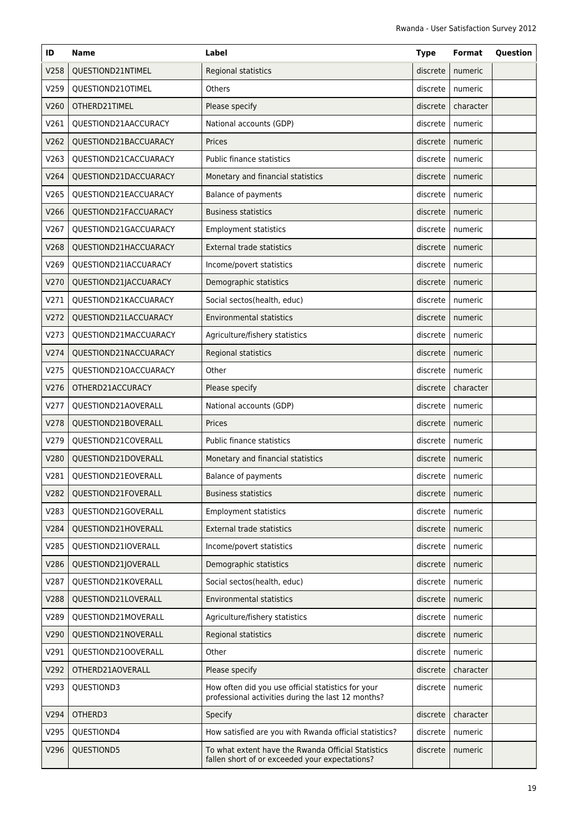| ID   | Name                  | Label                                                                                                    | <b>Type</b> | Format    | Question |
|------|-----------------------|----------------------------------------------------------------------------------------------------------|-------------|-----------|----------|
| V258 | QUESTIOND21NTIMEL     | Regional statistics                                                                                      | discrete    | numeric   |          |
| V259 | QUESTIOND21OTIMEL     | <b>Others</b>                                                                                            | discrete    | numeric   |          |
| V260 | OTHERD21TIMEL         | Please specify                                                                                           | discrete    | character |          |
| V261 | QUESTIOND21AACCURACY  | National accounts (GDP)                                                                                  | discrete    | numeric   |          |
| V262 | QUESTIOND21BACCUARACY | Prices                                                                                                   | discrete    | numeric   |          |
| V263 | QUESTIOND21CACCUARACY | Public finance statistics                                                                                | discrete    | numeric   |          |
| V264 | QUESTIOND21DACCUARACY | Monetary and financial statistics                                                                        | discrete    | numeric   |          |
| V265 | QUESTIOND21EACCUARACY | Balance of payments                                                                                      | discrete    | numeric   |          |
| V266 | QUESTIOND21FACCUARACY | <b>Business statistics</b>                                                                               | discrete    | numeric   |          |
| V267 | QUESTIOND21GACCUARACY | <b>Employment statistics</b>                                                                             | discrete    | numeric   |          |
| V268 | QUESTIOND21HACCUARACY | External trade statistics                                                                                | discrete    | numeric   |          |
| V269 | QUESTIOND21IACCUARACY | Income/povert statistics                                                                                 | discrete    | numeric   |          |
| V270 | QUESTIOND21JACCUARACY | Demographic statistics                                                                                   | discrete    | numeric   |          |
| V271 | QUESTIOND21KACCUARACY | Social sectos(health, educ)                                                                              | discrete    | numeric   |          |
| V272 | QUESTIOND21LACCUARACY | <b>Environmental statistics</b>                                                                          | discrete    | numeric   |          |
| V273 | QUESTIOND21MACCUARACY | Agriculture/fishery statistics                                                                           | discrete    | numeric   |          |
| V274 | QUESTIOND21NACCUARACY | Regional statistics                                                                                      | discrete    | numeric   |          |
| V275 | QUESTIOND21OACCUARACY | Other                                                                                                    | discrete    | numeric   |          |
| V276 | OTHERD21ACCURACY      | Please specify                                                                                           | discrete    | character |          |
| V277 | QUESTIOND21AOVERALL   | National accounts (GDP)                                                                                  | discrete    | numeric   |          |
| V278 | QUESTIOND21BOVERALL   | Prices                                                                                                   | discrete    | numeric   |          |
| V279 | QUESTIOND21COVERALL   | Public finance statistics                                                                                | discrete    | numeric   |          |
| V280 | QUESTIOND21DOVERALL   | Monetary and financial statistics                                                                        | discrete    | numeric   |          |
| V281 | QUESTIOND21EOVERALL   | Balance of payments                                                                                      | discrete    | numeric   |          |
| V282 | QUESTIOND21FOVERALL   | <b>Business statistics</b>                                                                               | discrete    | numeric   |          |
| V283 | QUESTIOND21GOVERALL   | <b>Employment statistics</b>                                                                             | discrete    | numeric   |          |
| V284 | QUESTIOND21HOVERALL   | <b>External trade statistics</b>                                                                         | discrete    | numeric   |          |
| V285 | QUESTIOND21IOVERALL   | Income/povert statistics                                                                                 | discrete    | numeric   |          |
| V286 | QUESTIOND21JOVERALL   | Demographic statistics                                                                                   | discrete    | numeric   |          |
| V287 | QUESTIOND21KOVERALL   | Social sectos(health, educ)                                                                              | discrete    | numeric   |          |
| V288 | QUESTIOND21LOVERALL   | <b>Environmental statistics</b>                                                                          | discrete    | numeric   |          |
| V289 | QUESTIOND21MOVERALL   | Agriculture/fishery statistics                                                                           | discrete    | numeric   |          |
| V290 | QUESTIOND21NOVERALL   | Regional statistics                                                                                      | discrete    | numeric   |          |
| V291 | QUESTIOND2100VERALL   | Other                                                                                                    | discrete    | numeric   |          |
| V292 | OTHERD21AOVERALL      | Please specify                                                                                           | discrete    | character |          |
| V293 | QUESTIOND3            | How often did you use official statistics for your<br>professional activities during the last 12 months? | discrete    | numeric   |          |
| V294 | OTHERD3               | Specify                                                                                                  | discrete    | character |          |
| V295 | QUESTIOND4            | How satisfied are you with Rwanda official statistics?                                                   | discrete    | numeric   |          |
| V296 | QUESTIOND5            | To what extent have the Rwanda Official Statistics<br>fallen short of or exceeded your expectations?     | discrete    | numeric   |          |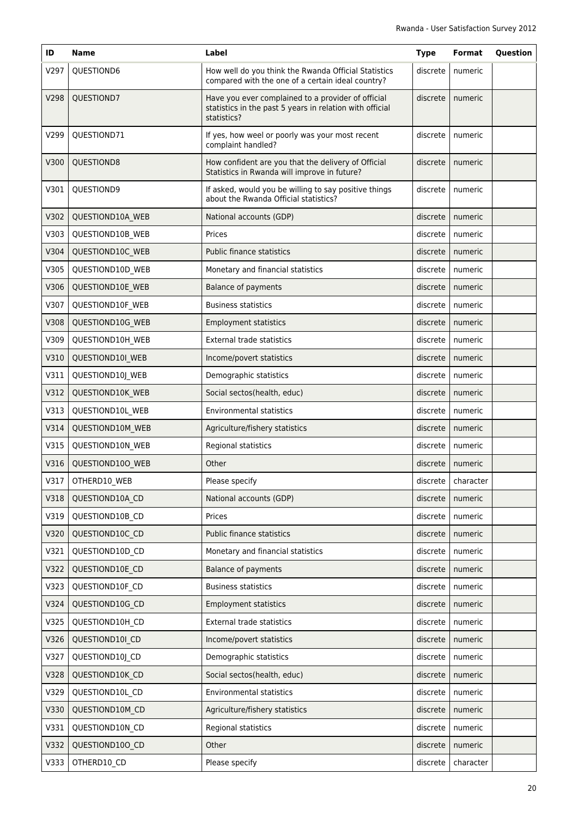| ID   | <b>Name</b>      | Label                                                                                                                         | <b>Type</b> | Format    | Question |
|------|------------------|-------------------------------------------------------------------------------------------------------------------------------|-------------|-----------|----------|
| V297 | QUESTIOND6       | How well do you think the Rwanda Official Statistics<br>compared with the one of a certain ideal country?                     | discrete    | numeric   |          |
| V298 | QUESTIOND7       | Have you ever complained to a provider of official<br>statistics in the past 5 years in relation with official<br>statistics? | discrete    | numeric   |          |
| V299 | QUESTIOND71      | If yes, how weel or poorly was your most recent<br>complaint handled?                                                         | discrete    | numeric   |          |
| V300 | QUESTIOND8       | How confident are you that the delivery of Official<br>Statistics in Rwanda will improve in future?                           | discrete    | numeric   |          |
| V301 | QUESTIOND9       | If asked, would you be willing to say positive things<br>about the Rwanda Official statistics?                                | discrete    | numeric   |          |
| V302 | QUESTIOND10A_WEB | National accounts (GDP)                                                                                                       | discrete    | numeric   |          |
| V303 | QUESTIOND10B WEB | Prices                                                                                                                        | discrete    | numeric   |          |
| V304 | QUESTIOND10C_WEB | <b>Public finance statistics</b>                                                                                              | discrete    | numeric   |          |
| V305 | QUESTIOND10D_WEB | Monetary and financial statistics                                                                                             | discrete    | numeric   |          |
| V306 | QUESTIOND10E_WEB | <b>Balance of payments</b>                                                                                                    | discrete    | numeric   |          |
| V307 | QUESTIOND10F_WEB | <b>Business statistics</b>                                                                                                    | discrete    | numeric   |          |
| V308 | QUESTIOND10G WEB | <b>Employment statistics</b>                                                                                                  | discrete    | numeric   |          |
| V309 | QUESTIOND10H_WEB | <b>External trade statistics</b>                                                                                              | discrete    | numeric   |          |
| V310 | QUESTIOND10I_WEB | Income/povert statistics                                                                                                      | discrete    | numeric   |          |
| V311 | QUESTIOND10J_WEB | Demographic statistics                                                                                                        | discrete    | numeric   |          |
| V312 | QUESTIOND10K_WEB | Social sectos(health, educ)                                                                                                   | discrete    | numeric   |          |
| V313 | QUESTIOND10L_WEB | <b>Environmental statistics</b>                                                                                               | discrete    | numeric   |          |
| V314 | QUESTIOND10M_WEB | Agriculture/fishery statistics                                                                                                | discrete    | numeric   |          |
| V315 | QUESTIOND10N_WEB | Regional statistics                                                                                                           | discrete    | numeric   |          |
| V316 | QUESTIOND100_WEB | Other                                                                                                                         | discrete    | numeric   |          |
| V317 | OTHERD10_WEB     | Please specify                                                                                                                | discrete    | character |          |
| V318 | QUESTIOND10A_CD  | National accounts (GDP)                                                                                                       | discrete    | numeric   |          |
| V319 | QUESTIOND10B_CD  | Prices                                                                                                                        | discrete    | numeric   |          |
| V320 | QUESTIOND10C_CD  | Public finance statistics                                                                                                     | discrete    | numeric   |          |
| V321 | QUESTIOND10D_CD  | Monetary and financial statistics                                                                                             | discrete    | numeric   |          |
| V322 | QUESTIOND10E_CD  | <b>Balance of payments</b>                                                                                                    | discrete    | numeric   |          |
| V323 | QUESTIOND10F CD  | <b>Business statistics</b>                                                                                                    | discrete    | numeric   |          |
| V324 | QUESTIOND10G_CD  | <b>Employment statistics</b>                                                                                                  | discrete    | numeric   |          |
| V325 | QUESTIOND10H_CD  | External trade statistics                                                                                                     | discrete    | numeric   |          |
| V326 | QUESTIOND10I_CD  | Income/povert statistics                                                                                                      | discrete    | numeric   |          |
| V327 | QUESTIOND10J_CD  | Demographic statistics                                                                                                        | discrete    | numeric   |          |
| V328 | QUESTIOND10K_CD  | Social sectos(health, educ)                                                                                                   | discrete    | numeric   |          |
| V329 | QUESTIOND10L_CD  | <b>Environmental statistics</b>                                                                                               | discrete    | numeric   |          |
| V330 | QUESTIOND10M_CD  | Agriculture/fishery statistics                                                                                                | discrete    | numeric   |          |
| V331 | QUESTIOND10N_CD  | Regional statistics                                                                                                           | discrete    | numeric   |          |
| V332 | QUESTIOND100_CD  | Other                                                                                                                         | discrete    | numeric   |          |
| V333 | OTHERD10_CD      | Please specify                                                                                                                | discrete    | character |          |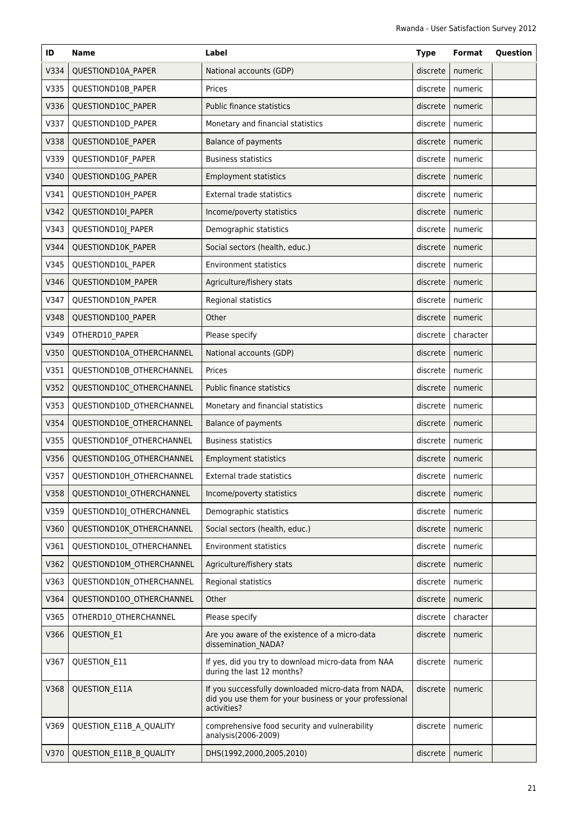| ID   | Name                      | Label                                                                                                                          | <b>Type</b> | Format    | Question |
|------|---------------------------|--------------------------------------------------------------------------------------------------------------------------------|-------------|-----------|----------|
| V334 | QUESTIOND10A_PAPER        | National accounts (GDP)                                                                                                        | discrete    | numeric   |          |
| V335 | QUESTIOND10B_PAPER        | Prices                                                                                                                         | discrete    | numeric   |          |
| V336 | QUESTIOND10C_PAPER        | Public finance statistics                                                                                                      | discrete    | numeric   |          |
| V337 | QUESTIOND10D_PAPER        | Monetary and financial statistics                                                                                              | discrete    | numeric   |          |
| V338 | QUESTIOND10E_PAPER        | Balance of payments                                                                                                            | discrete    | numeric   |          |
| V339 | QUESTIOND10F_PAPER        | <b>Business statistics</b>                                                                                                     | discrete    | numeric   |          |
| V340 | QUESTIOND10G_PAPER        | <b>Employment statistics</b>                                                                                                   | discrete    | numeric   |          |
| V341 | QUESTIOND10H_PAPER        | External trade statistics                                                                                                      | discrete    | numeric   |          |
| V342 | QUESTIOND10I_PAPER        | Income/poverty statistics                                                                                                      | discrete    | numeric   |          |
| V343 | QUESTIOND10J_PAPER        | Demographic statistics                                                                                                         | discrete    | numeric   |          |
| V344 | QUESTIOND10K_PAPER        | Social sectors (health, educ.)                                                                                                 | discrete    | numeric   |          |
| V345 | QUESTIOND10L_PAPER        | <b>Environment statistics</b>                                                                                                  | discrete    | numeric   |          |
| V346 | QUESTIOND10M_PAPER        | Agriculture/fishery stats                                                                                                      | discrete    | numeric   |          |
| V347 | QUESTIOND10N_PAPER        | Regional statistics                                                                                                            | discrete    | numeric   |          |
| V348 | QUESTIOND100_PAPER        | Other                                                                                                                          | discrete    | numeric   |          |
| V349 | OTHERD10_PAPER            | Please specify                                                                                                                 | discrete    | character |          |
| V350 | QUESTIOND10A_OTHERCHANNEL | National accounts (GDP)                                                                                                        | discrete    | numeric   |          |
| V351 | QUESTIOND10B_OTHERCHANNEL | Prices                                                                                                                         | discrete    | numeric   |          |
| V352 | QUESTIOND10C_OTHERCHANNEL | Public finance statistics                                                                                                      | discrete    | numeric   |          |
| V353 | QUESTIOND10D_OTHERCHANNEL | Monetary and financial statistics                                                                                              | discrete    | numeric   |          |
| V354 | QUESTIOND10E_OTHERCHANNEL | Balance of payments                                                                                                            | discrete    | numeric   |          |
| V355 | QUESTIOND10F_OTHERCHANNEL | <b>Business statistics</b>                                                                                                     | discrete    | numeric   |          |
| V356 | QUESTIOND10G_OTHERCHANNEL | <b>Employment statistics</b>                                                                                                   | discrete    | numeric   |          |
| V357 | QUESTIOND10H_OTHERCHANNEL | External trade statistics                                                                                                      | discrete    | numeric   |          |
| V358 | QUESTIOND10I OTHERCHANNEL | Income/poverty statistics                                                                                                      | discrete    | numeric   |          |
| V359 | QUESTIOND10J OTHERCHANNEL | Demographic statistics                                                                                                         | discrete    | numeric   |          |
| V360 | QUESTIOND10K OTHERCHANNEL | Social sectors (health, educ.)                                                                                                 | discrete    | numeric   |          |
| V361 | QUESTIOND10L_OTHERCHANNEL | <b>Environment statistics</b>                                                                                                  | discrete    | numeric   |          |
| V362 | QUESTIOND10M OTHERCHANNEL | Agriculture/fishery stats                                                                                                      | discrete    | numeric   |          |
| V363 | QUESTIOND10N_OTHERCHANNEL | Regional statistics                                                                                                            | discrete    | numeric   |          |
| V364 | QUESTIOND100_OTHERCHANNEL | Other                                                                                                                          | discrete    | numeric   |          |
| V365 | OTHERD10_OTHERCHANNEL     | Please specify                                                                                                                 | discrete    | character |          |
| V366 | QUESTION_E1               | Are you aware of the existence of a micro-data<br>dissemination_NADA?                                                          | discrete    | numeric   |          |
| V367 | QUESTION_E11              | If yes, did you try to download micro-data from NAA<br>during the last 12 months?                                              | discrete    | numeric   |          |
| V368 | QUESTION_E11A             | If you successfully downloaded micro-data from NADA,<br>did you use them for your business or your professional<br>activities? | discrete    | numeric   |          |
| V369 | QUESTION_E11B_A_QUALITY   | comprehensive food security and vulnerability<br>analysis(2006-2009)                                                           | discrete    | numeric   |          |
| V370 | QUESTION_E11B_B_QUALITY   | DHS(1992,2000,2005,2010)                                                                                                       | discrete    | numeric   |          |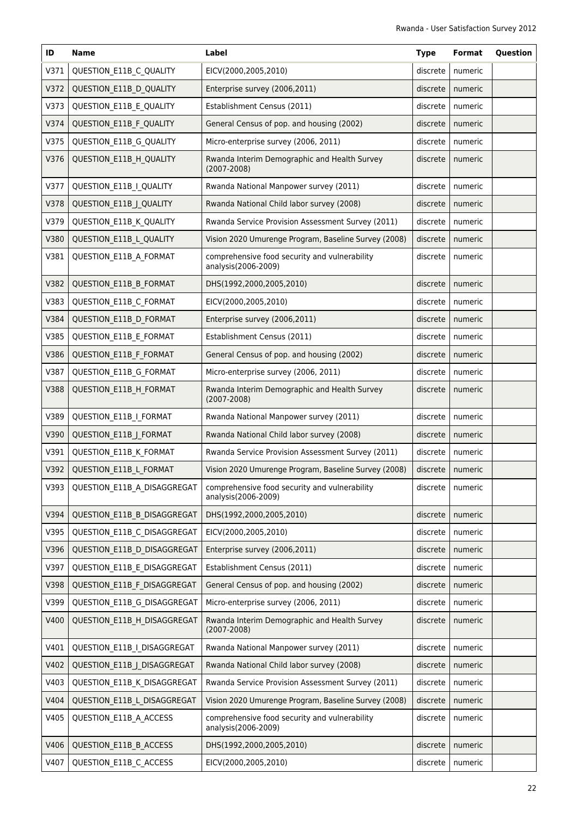| ID   | <b>Name</b>                 | Label                                                                | <b>Type</b> | <b>Format</b> | Question |
|------|-----------------------------|----------------------------------------------------------------------|-------------|---------------|----------|
| V371 | QUESTION_E11B_C_QUALITY     | EICV(2000,2005,2010)                                                 | discrete    | numeric       |          |
| V372 | QUESTION_E11B_D_QUALITY     | Enterprise survey (2006,2011)                                        | discrete    | numeric       |          |
| V373 | QUESTION_E11B_E_QUALITY     | Establishment Census (2011)                                          | discrete    | numeric       |          |
| V374 | QUESTION_E11B_F_QUALITY     | General Census of pop. and housing (2002)                            | discrete    | numeric       |          |
| V375 | QUESTION_E11B_G_QUALITY     | Micro-enterprise survey (2006, 2011)                                 | discrete    | numeric       |          |
| V376 | QUESTION_E11B_H_QUALITY     | Rwanda Interim Demographic and Health Survey<br>$(2007 - 2008)$      | discrete    | numeric       |          |
| V377 | QUESTION E11B I QUALITY     | Rwanda National Manpower survey (2011)                               | discrete    | numeric       |          |
| V378 | QUESTION_E11B J_QUALITY     | Rwanda National Child labor survey (2008)                            | discrete    | numeric       |          |
| V379 | QUESTION_E11B_K_QUALITY     | Rwanda Service Provision Assessment Survey (2011)                    | discrete    | numeric       |          |
| V380 | QUESTION E11B L QUALITY     | Vision 2020 Umurenge Program, Baseline Survey (2008)                 | discrete    | numeric       |          |
| V381 | QUESTION E11B A FORMAT      | comprehensive food security and vulnerability<br>analysis(2006-2009) | discrete    | numeric       |          |
| V382 | QUESTION_E11B_B_FORMAT      | DHS(1992,2000,2005,2010)                                             | discrete    | numeric       |          |
| V383 | QUESTION E11B C FORMAT      | EICV(2000,2005,2010)                                                 | discrete    | numeric       |          |
| V384 | QUESTION E11B D FORMAT      | Enterprise survey (2006,2011)                                        | discrete    | numeric       |          |
| V385 | QUESTION_E11B_E_FORMAT      | Establishment Census (2011)                                          | discrete    | numeric       |          |
| V386 | QUESTION_E11B_F_FORMAT      | General Census of pop. and housing (2002)                            | discrete    | numeric       |          |
| V387 | QUESTION_E11B_G_FORMAT      | Micro-enterprise survey (2006, 2011)                                 | discrete    | numeric       |          |
| V388 | QUESTION_E11B_H_FORMAT      | Rwanda Interim Demographic and Health Survey<br>$(2007 - 2008)$      | discrete    | numeric       |          |
| V389 | QUESTION_E11B_I_FORMAT      | Rwanda National Manpower survey (2011)                               | discrete    | numeric       |          |
| V390 | QUESTION E11B J FORMAT      | Rwanda National Child labor survey (2008)                            | discrete    | numeric       |          |
| V391 | QUESTION_E11B_K_FORMAT      | Rwanda Service Provision Assessment Survey (2011)                    | discrete    | numeric       |          |
| V392 | QUESTION_E11B_L_FORMAT      | Vision 2020 Umurenge Program, Baseline Survey (2008)                 | discrete    | numeric       |          |
| V393 | QUESTION E11B A DISAGGREGAT | comprehensive food security and vulnerability<br>analysis(2006-2009) | discrete    | numeric       |          |
| V394 | QUESTION E11B B DISAGGREGAT | DHS(1992,2000,2005,2010)                                             | discrete    | numeric       |          |
| V395 | QUESTION_E11B_C_DISAGGREGAT | EICV(2000,2005,2010)                                                 | discrete    | numeric       |          |
| V396 | QUESTION E11B D DISAGGREGAT | Enterprise survey (2006,2011)                                        | discrete    | numeric       |          |
| V397 | QUESTION E11B E DISAGGREGAT | Establishment Census (2011)                                          | discrete    | numeric       |          |
| V398 | QUESTION E11B F DISAGGREGAT | General Census of pop. and housing (2002)                            | discrete    | numeric       |          |
| V399 | QUESTION_E11B_G_DISAGGREGAT | Micro-enterprise survey (2006, 2011)                                 | discrete    | numeric       |          |
| V400 | QUESTION_E11B_H_DISAGGREGAT | Rwanda Interim Demographic and Health Survey<br>$(2007 - 2008)$      | discrete    | numeric       |          |
| V401 | QUESTION_E11B_I_DISAGGREGAT | Rwanda National Manpower survey (2011)                               | discrete    | numeric       |          |
| V402 | QUESTION_E11B J_DISAGGREGAT | Rwanda National Child labor survey (2008)                            | discrete    | numeric       |          |
| V403 | QUESTION_E11B_K_DISAGGREGAT | Rwanda Service Provision Assessment Survey (2011)                    | discrete    | numeric       |          |
| V404 | QUESTION_E11B_L_DISAGGREGAT | Vision 2020 Umurenge Program, Baseline Survey (2008)                 | discrete    | numeric       |          |
| V405 | QUESTION_E11B_A_ACCESS      | comprehensive food security and vulnerability<br>analysis(2006-2009) | discrete    | numeric       |          |
| V406 | QUESTION_E11B_B_ACCESS      | DHS(1992,2000,2005,2010)                                             | discrete    | numeric       |          |
| V407 | QUESTION_E11B_C_ACCESS      | EICV(2000,2005,2010)                                                 | discrete    | numeric       |          |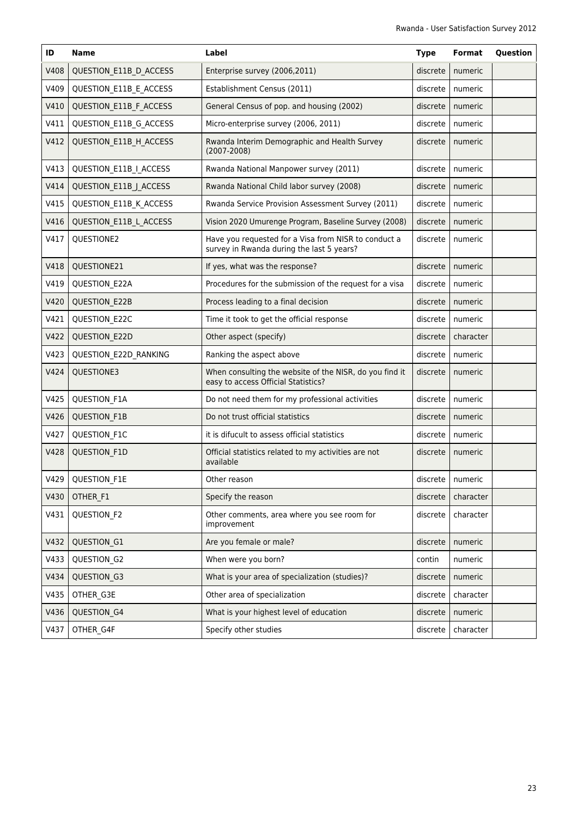| ID   | Name                   | Label                                                                                             | <b>Type</b> | Format             | Question |
|------|------------------------|---------------------------------------------------------------------------------------------------|-------------|--------------------|----------|
| V408 | QUESTION E11B D ACCESS | Enterprise survey (2006,2011)                                                                     | discrete    | numeric            |          |
| V409 | QUESTION_E11B_E_ACCESS | Establishment Census (2011)                                                                       | discrete    | numeric            |          |
| V410 | QUESTION_E11B_F_ACCESS | General Census of pop. and housing (2002)                                                         | discrete    | numeric            |          |
| V411 | QUESTION_E11B_G_ACCESS | Micro-enterprise survey (2006, 2011)                                                              | discrete    | numeric            |          |
| V412 | QUESTION_E11B_H_ACCESS | Rwanda Interim Demographic and Health Survey<br>$(2007 - 2008)$                                   | discrete    | numeric            |          |
| V413 | QUESTION_E11B_I_ACCESS | Rwanda National Manpower survey (2011)                                                            | discrete    | numeric            |          |
| V414 | QUESTION_E11B J_ACCESS | Rwanda National Child labor survey (2008)                                                         | discrete    | numeric            |          |
| V415 | QUESTION_E11B_K_ACCESS | Rwanda Service Provision Assessment Survey (2011)                                                 | discrete    | numeric            |          |
| V416 | QUESTION_E11B_L_ACCESS | Vision 2020 Umurenge Program, Baseline Survey (2008)                                              | discrete    | numeric            |          |
| V417 | QUESTIONE2             | Have you requested for a Visa from NISR to conduct a<br>survey in Rwanda during the last 5 years? | discrete    | numeric            |          |
| V418 | QUESTIONE21            | If yes, what was the response?                                                                    | discrete    | numeric            |          |
| V419 | QUESTION_E22A          | Procedures for the submission of the request for a visa                                           | discrete    | numeric            |          |
| V420 | <b>QUESTION E22B</b>   | Process leading to a final decision                                                               | discrete    | numeric            |          |
| V421 | QUESTION_E22C          | Time it took to get the official response                                                         | discrete    | numeric            |          |
| V422 | QUESTION_E22D          | Other aspect (specify)                                                                            | discrete    | character          |          |
| V423 | QUESTION_E22D_RANKING  | Ranking the aspect above                                                                          | discrete    | numeric            |          |
| V424 | QUESTIONE3             | When consulting the website of the NISR, do you find it<br>easy to access Official Statistics?    | discrete    | numeric            |          |
| V425 | QUESTION_F1A           | Do not need them for my professional activities                                                   | discrete    | numeric            |          |
| V426 | QUESTION_F1B           | Do not trust official statistics                                                                  | discrete    | numeric            |          |
| V427 | QUESTION_F1C           | it is difucult to assess official statistics                                                      | discrete    | numeric            |          |
| V428 | QUESTION_F1D           | Official statistics related to my activities are not<br>available                                 | discrete    | numeric            |          |
| V429 | QUESTION_F1E           | Other reason                                                                                      |             | discrete   numeric |          |
| V430 | OTHER_F1               | Specify the reason                                                                                | discrete    | character          |          |
| V431 | QUESTION_F2            | Other comments, area where you see room for<br>improvement                                        | discrete    | character          |          |
| V432 | QUESTION_G1            | Are you female or male?                                                                           | discrete    | numeric            |          |
| V433 | QUESTION_G2            | When were you born?                                                                               | contin      | numeric            |          |
| V434 | QUESTION_G3            | What is your area of specialization (studies)?                                                    | discrete    | numeric            |          |
| V435 | OTHER_G3E              | Other area of specialization                                                                      | discrete    | character          |          |
| V436 | QUESTION_G4            | What is your highest level of education                                                           | discrete    | numeric            |          |
| V437 | OTHER G4F              | Specify other studies                                                                             | discrete    | character          |          |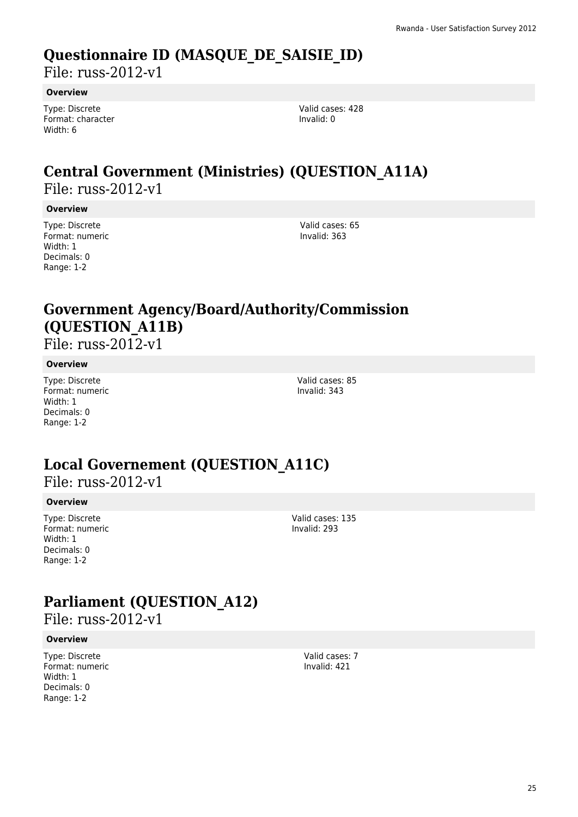### **Questionnaire ID (MASQUE\_DE\_SAISIE\_ID)**

File: russ-2012-v1

#### **Overview**

Type: Discrete Format: character Width: 6

Valid cases: 428 Invalid: 0

## **Central Government (Ministries) (QUESTION\_A11A)**

File: russ-2012-v1

#### **Overview**

Type: Discrete Format: numeric Width: 1 Decimals: 0 Range: 1-2

Valid cases: 65 Invalid: 363

## **Government Agency/Board/Authority/Commission (QUESTION\_A11B)**

File: russ-2012-v1

#### **Overview**

Type: Discrete Format: numeric Width: 1 Decimals: 0 Range: 1-2

Valid cases: 85 Invalid: 343

## **Local Governement (QUESTION\_A11C)**

File: russ-2012-v1

### **Overview**

Type: Discrete Format: numeric Width: 1 Decimals: 0 Range: 1-2

Valid cases: 135 Invalid: 293

## **Parliament (QUESTION\_A12)**

File: russ-2012-v1

#### **Overview**

Type: Discrete Format: numeric Width: 1 Decimals: 0 Range: 1-2

Valid cases: 7 Invalid: 421

25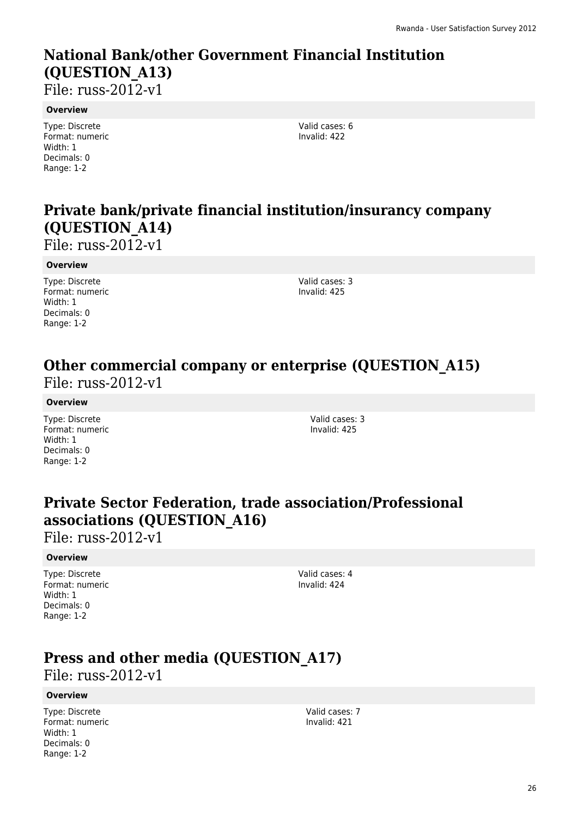## **National Bank/other Government Financial Institution (QUESTION\_A13)**

File: russ-2012-v1

#### **Overview**

Type: Discrete Format: numeric Width: 1 Decimals: 0 Range: 1-2

Valid cases: 6 Invalid: 422

## **Private bank/private financial institution/insurancy company (QUESTION\_A14)**

File: russ-2012-v1

#### **Overview**

Type: Discrete Format: numeric Width: 1 Decimals: 0 Range: 1-2

Valid cases: 3 Invalid: 425

### **Other commercial company or enterprise (QUESTION\_A15)**  File: russ-2012-v1

#### **Overview**

Type: Discrete Format: numeric Width: 1 Decimals: 0 Range: 1-2

Valid cases: 3 Invalid: 425

### **Private Sector Federation, trade association/Professional associations (QUESTION\_A16)**

File: russ-2012-v1

#### **Overview**

Type: Discrete Format: numeric Width: 1 Decimals: 0 Range: 1-2

Valid cases: 4 Invalid: 424

### **Press and other media (QUESTION\_A17)**

File: russ-2012-v1

### **Overview**

Type: Discrete Format: numeric Width: 1 Decimals: 0 Range: 1-2

Valid cases: 7 Invalid: 421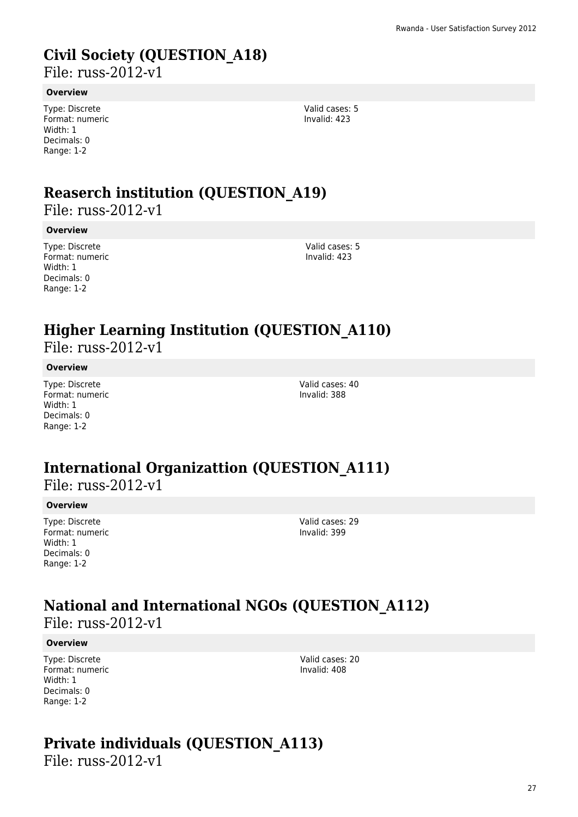## **Civil Society (QUESTION\_A18)**

File: russ-2012-v1

#### **Overview**

Type: Discrete Format: numeric Width: 1 Decimals: 0 Range: 1-2

Valid cases: 5 Invalid: 423

## **Reaserch institution (QUESTION\_A19)**

File: russ-2012-v1

#### **Overview**

Type: Discrete Format: numeric Width: 1 Decimals: 0 Range: 1-2

Valid cases: 5 Invalid: 423

## **Higher Learning Institution (QUESTION\_A110)**

File: russ-2012-v1

#### **Overview**

Type: Discrete Format: numeric Width: 1 Decimals: 0 Range: 1-2

Valid cases: 40 Invalid: 388

### **International Organizattion (QUESTION\_A111)**  File: russ-2012-v1

#### **Overview**

Type: Discrete Format: numeric Width: 1 Decimals: 0 Range: 1-2

Valid cases: 29 Invalid: 399

## **National and International NGOs (QUESTION\_A112)**

File: russ-2012-v1

#### **Overview**

Type: Discrete Format: numeric Width: 1 Decimals: 0 Range: 1-2

Valid cases: 20 Invalid: 408

### **Private individuals (QUESTION\_A113)**

File: russ-2012-v1

27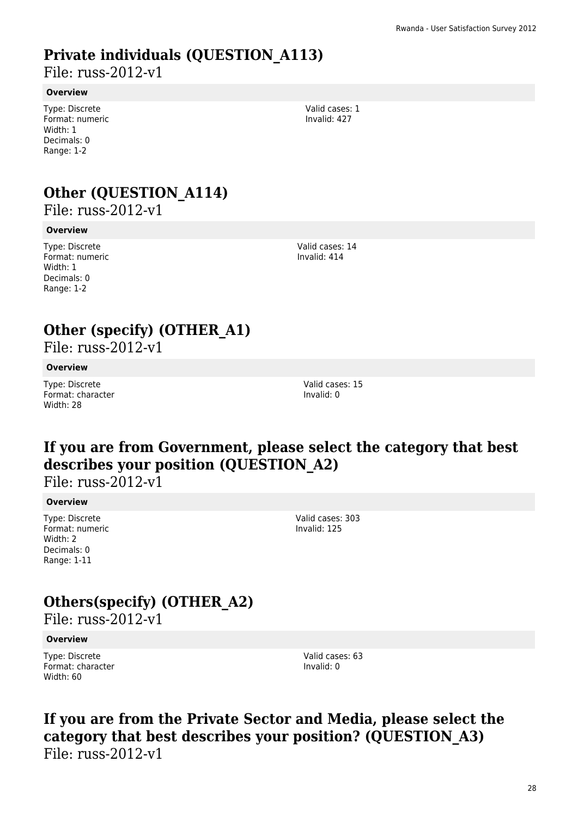## **Private individuals (QUESTION\_A113)**

File: russ-2012-v1

#### **Overview**

Type: Discrete Format: numeric Width: 1 Decimals: 0 Range: 1-2

### **Other (QUESTION\_A114)**

File: russ-2012-v1

#### **Overview**

Type: Discrete Format: numeric Width: 1 Decimals: 0 Range: 1-2

Valid cases: 14 Invalid: 414

Valid cases: 15 Invalid: 0

## **Other (specify) (OTHER\_A1)**

File: russ-2012-v1

#### **Overview**

Type: Discrete Format: character Width: 28

## **If you are from Government, please select the category that best describes your position (QUESTION\_A2)**

File: russ-2012-v1

#### **Overview**

Type: Discrete Format: numeric Width: 2 Decimals: 0 Range: 1-11

#### Valid cases: 303 Invalid: 125

## **Others(specify) (OTHER\_A2)**

File: russ-2012-v1

#### **Overview**

Type: Discrete Format: character Width: 60

Valid cases: 63 Invalid: 0

### **If you are from the Private Sector and Media, please select the category that best describes your position? (QUESTION\_A3)**  File: russ-2012-v1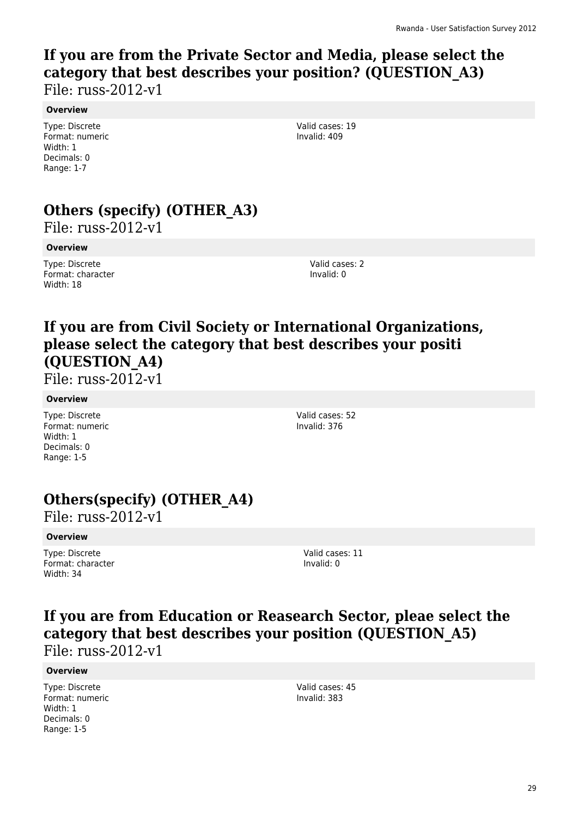## **If you are from the Private Sector and Media, please select the category that best describes your position? (QUESTION\_A3)**

File: russ-2012-v1

#### **Overview**

Type: Discrete Format: numeric Width: 1 Decimals: 0 Range: 1-7

Valid cases: 19 Invalid: 409

## **Others (specify) (OTHER\_A3)**

File: russ-2012-v1

**Overview**

Type: Discrete Format: character Width: 18

Valid cases: 2 Invalid: 0

## **If you are from Civil Society or International Organizations, please select the category that best describes your positi (QUESTION\_A4)**

File: russ-2012-v1

### **Overview**

Type: Discrete Format: numeric Width: 1 Decimals: 0 Range: 1-5

Valid cases: 52 Invalid: 376

## **Others(specify) (OTHER\_A4)**

File: russ-2012-v1

### **Overview**

Type: Discrete Format: character Width: 34

Valid cases: 11 Invalid: 0

### **If you are from Education or Reasearch Sector, pleae select the category that best describes your position (QUESTION\_A5)**  File: russ-2012-v1

### **Overview**

Type: Discrete Format: numeric Width: 1 Decimals: 0 Range: 1-5

Valid cases: 45 Invalid: 383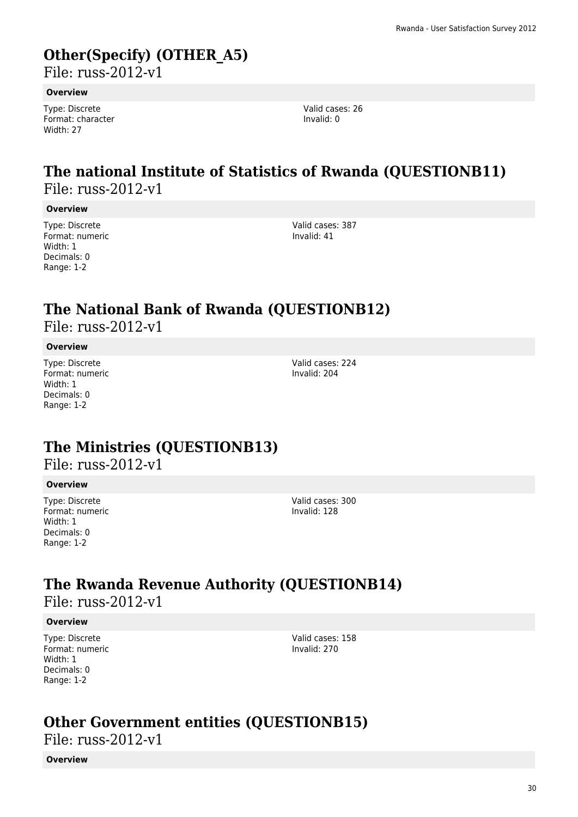## **Other(Specify) (OTHER\_A5)**

File: russ-2012-v1

#### **Overview**

Type: Discrete Format: character Width: 27

Valid cases: 26 Invalid: 0

## **The national Institute of Statistics of Rwanda (QUESTIONB11)**

File: russ-2012-v1

#### **Overview**

Type: Discrete Format: numeric Width: 1 Decimals: 0 Range: 1-2

Valid cases: 387 Invalid: 41

### **The National Bank of Rwanda (QUESTIONB12)**  File: russ-2012-v1

#### **Overview**

Type: Discrete Format: numeric Width: 1 Decimals: 0 Range: 1-2

Valid cases: 224 Invalid: 204

## **The Ministries (QUESTIONB13)**

File: russ-2012-v1

#### **Overview**

Type: Discrete Format: numeric Width: 1 Decimals: 0 Range: 1-2

Valid cases: 300 Invalid: 128

## **The Rwanda Revenue Authority (QUESTIONB14)**

File: russ-2012-v1

#### **Overview**

Type: Discrete Format: numeric Width: 1 Decimals: 0 Range: 1-2

Valid cases: 158 Invalid: 270

### **Other Government entities (QUESTIONB15)**

File: russ-2012-v1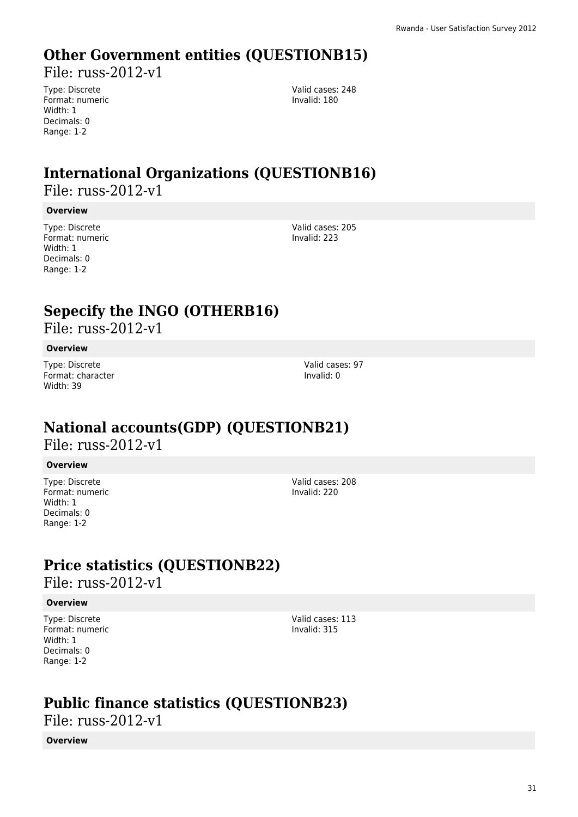## **Other Government entities (QUESTIONB15)**

File: russ-2012-v1

Type: Discrete Format: numeric Width: 1 Decimals: 0 Range: 1-2

Valid cases: 248 Invalid: 180

## **International Organizations (QUESTIONB16)**

File: russ-2012-v1

#### **Overview**

Type: Discrete Format: numeric Width: 1 Decimals: 0 Range: 1-2

Valid cases: 205 Invalid: 223

### **Sepecify the INGO (OTHERB16)**

File: russ-2012-v1

#### **Overview**

Type: Discrete Format: character Width: 39

## **National accounts(GDP) (QUESTIONB21)**

File: russ-2012-v1

### **Overview**

Type: Discrete Format: numeric Width: 1 Decimals: 0 Range: 1-2

Valid cases: 208 Invalid: 220

Valid cases: 97 Invalid: 0

## **Price statistics (QUESTIONB22)**

File: russ-2012-v1

### **Overview**

Type: Discrete Format: numeric Width: 1 Decimals: 0 Range: 1-2

Valid cases: 113 Invalid: 315

## **Public finance statistics (QUESTIONB23)**

File: russ-2012-v1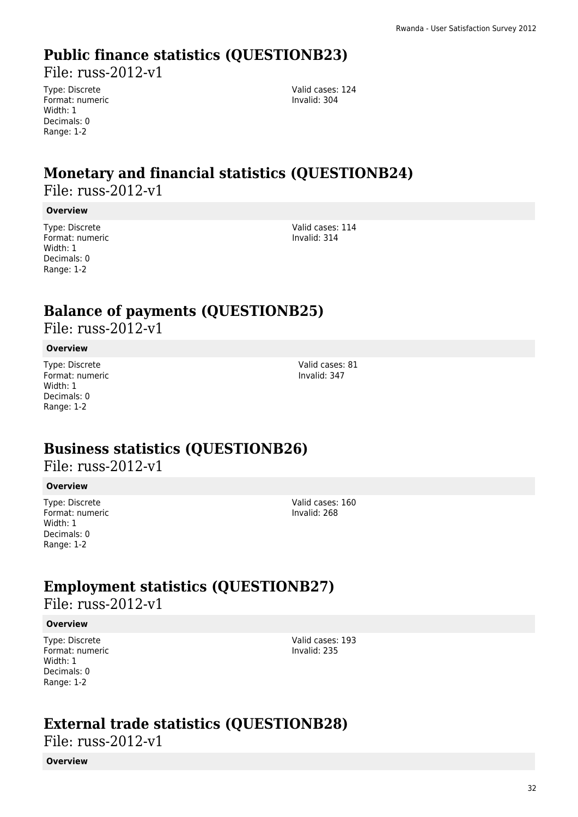## **Public finance statistics (QUESTIONB23)**

File: russ-2012-v1

Type: Discrete Format: numeric Width: 1 Decimals: 0 Range: 1-2

Valid cases: 124 Invalid: 304

### **Monetary and financial statistics (QUESTIONB24)**  File: russ-2012-v1

#### **Overview**

Type: Discrete Format: numeric Width: 1 Decimals: 0 Range: 1-2

Valid cases: 114 Invalid: 314

### **Balance of payments (QUESTIONB25)**

File: russ-2012-v1

#### **Overview**

Type: Discrete Format: numeric Width: 1 Decimals: 0 Range: 1-2

Valid cases: 81 Invalid: 347

### **Business statistics (QUESTIONB26)**

File: russ-2012-v1

### **Overview**

Type: Discrete Format: numeric Width: 1 Decimals: 0 Range: 1-2

Valid cases: 160 Invalid: 268

### **Employment statistics (QUESTIONB27)**

File: russ-2012-v1

#### **Overview**

Type: Discrete Format: numeric Width: 1 Decimals: 0 Range: 1-2

Valid cases: 193 Invalid: 235

### **External trade statistics (QUESTIONB28)**

File: russ-2012-v1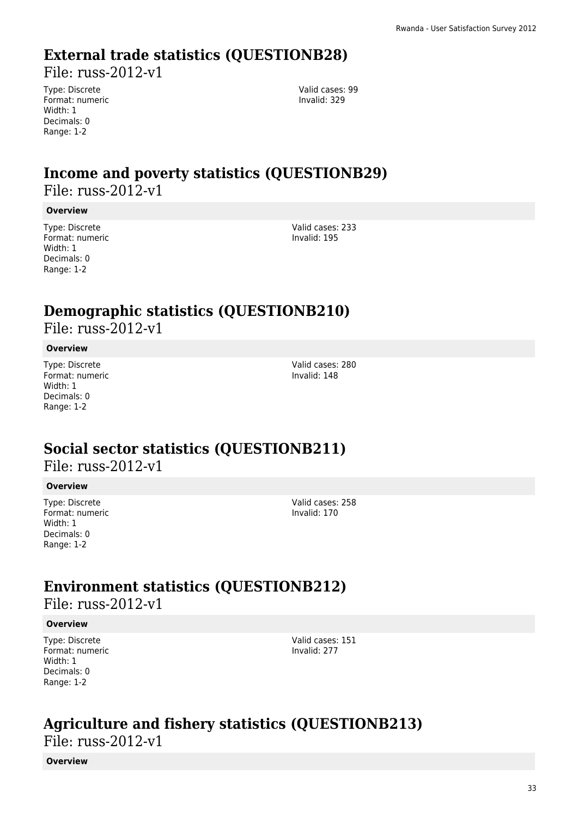## **External trade statistics (QUESTIONB28)**

File: russ-2012-v1

Type: Discrete Format: numeric Width: 1 Decimals: 0 Range: 1-2

Valid cases: 99 Invalid: 329

### **Income and poverty statistics (QUESTIONB29)**  File: russ-2012-v1

#### **Overview**

Type: Discrete Format: numeric Width: 1 Decimals: 0 Range: 1-2

Valid cases: 233 Invalid: 195

### **Demographic statistics (QUESTIONB210)**

File: russ-2012-v1

### **Overview**

Type: Discrete Format: numeric Width: 1 Decimals: 0 Range: 1-2

Valid cases: 280 Invalid: 148

### **Social sector statistics (QUESTIONB211)**

File: russ-2012-v1

### **Overview**

Type: Discrete Format: numeric Width: 1 Decimals: 0 Range: 1-2

Valid cases: 258 Invalid: 170

### **Environment statistics (QUESTIONB212)**

File: russ-2012-v1

### **Overview**

Type: Discrete Format: numeric Width: 1 Decimals: 0 Range: 1-2

Valid cases: 151 Invalid: 277

### **Agriculture and fishery statistics (QUESTIONB213)**

File: russ-2012-v1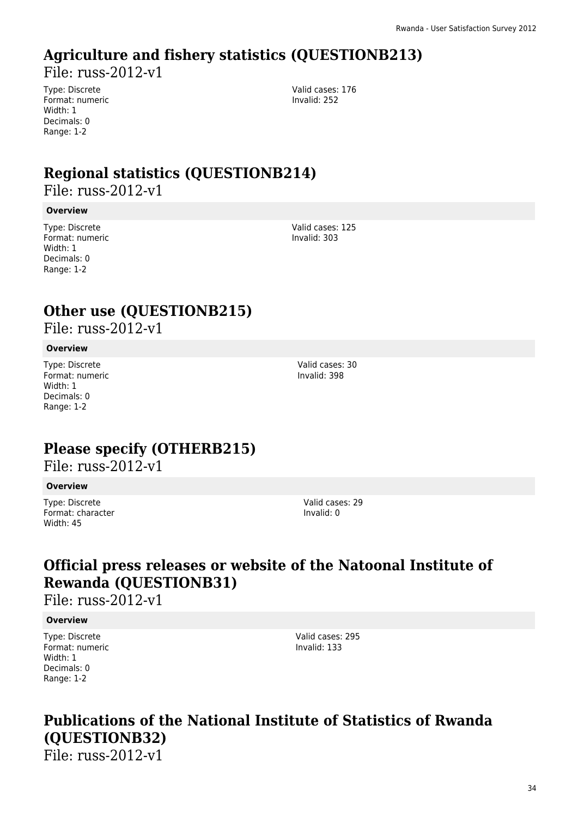## **Agriculture and fishery statistics (QUESTIONB213)**

File: russ-2012-v1

Type: Discrete Format: numeric Width: 1 Decimals: 0 Range: 1-2

Valid cases: 176 Invalid: 252

## **Regional statistics (QUESTIONB214)**

File: russ-2012-v1

### **Overview**

Type: Discrete Format: numeric Width: 1 Decimals: 0 Range: 1-2

Valid cases: 125 Invalid: 303

### **Other use (QUESTIONB215)**

File: russ-2012-v1

### **Overview**

Type: Discrete Format: numeric Width: 1 Decimals: 0 Range: 1-2

Valid cases: 30 Invalid: 398

## **Please specify (OTHERB215)**

File: russ-2012-v1

### **Overview**

Type: Discrete Format: character Width: 45

Valid cases: 29 Invalid: 0

## **Official press releases or website of the Natoonal Institute of Rewanda (QUESTIONB31)**

File: russ-2012-v1

### **Overview**

Type: Discrete Format: numeric Width: 1 Decimals: 0 Range: 1-2

Valid cases: 295 Invalid: 133

## **Publications of the National Institute of Statistics of Rwanda (QUESTIONB32)**

File: russ-2012-v1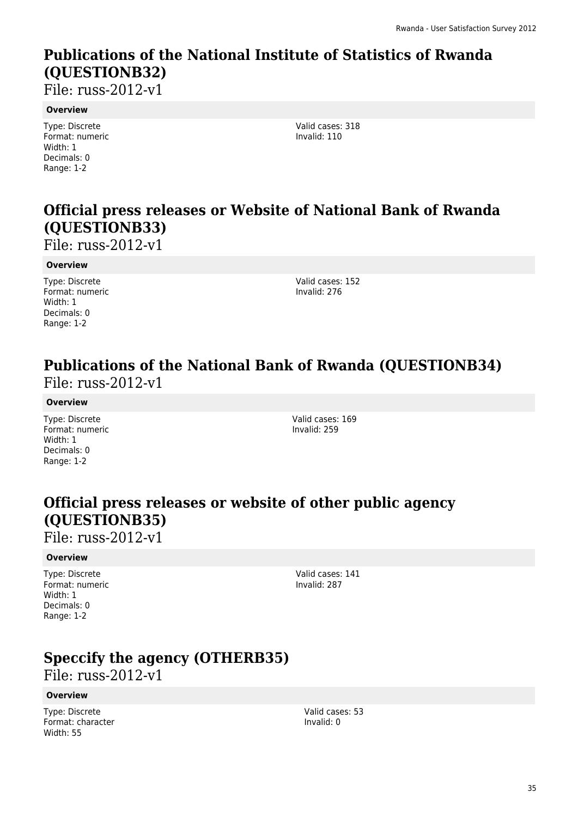## **Publications of the National Institute of Statistics of Rwanda (QUESTIONB32)**

File: russ-2012-v1

#### **Overview**

Type: Discrete Format: numeric Width: 1 Decimals: 0 Range: 1-2

Valid cases: 318 Invalid: 110

## **Official press releases or Website of National Bank of Rwanda (QUESTIONB33)**

File: russ-2012-v1

#### **Overview**

Type: Discrete Format: numeric Width: 1 Decimals: 0 Range: 1-2

Valid cases: 152 Invalid: 276

### **Publications of the National Bank of Rwanda (QUESTIONB34)**  File: russ-2012-v1

#### **Overview**

Type: Discrete Format: numeric Width: 1 Decimals: 0 Range: 1-2

Valid cases: 169 Invalid: 259

### **Official press releases or website of other public agency (QUESTIONB35)**

File: russ-2012-v1

### **Overview**

Type: Discrete Format: numeric Width: 1 Decimals: 0 Range: 1-2

Valid cases: 141 Invalid: 287

## **Speccify the agency (OTHERB35)**

File: russ-2012-v1

### **Overview**

Type: Discrete Format: character Width: 55

Valid cases: 53 Invalid: 0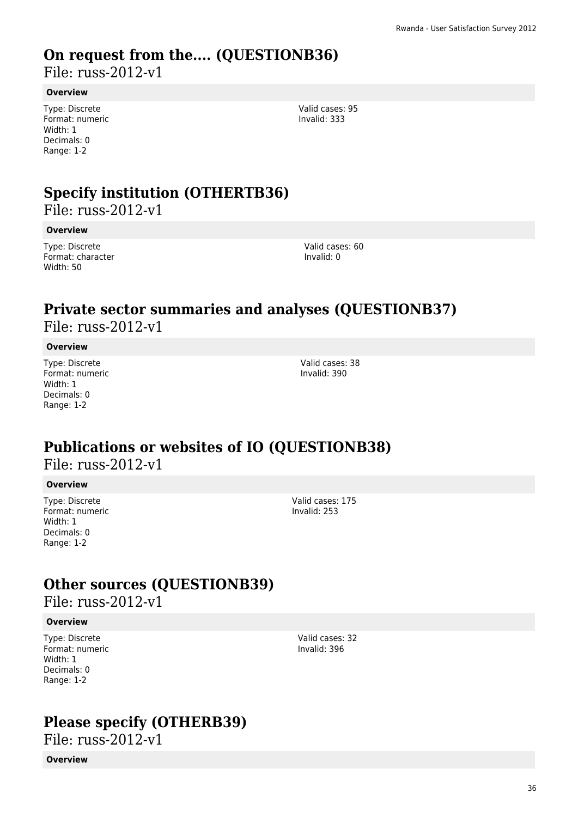## **On request from the.... (QUESTIONB36)**

File: russ-2012-v1

#### **Overview**

Type: Discrete Format: numeric Width: 1 Decimals: 0 Range: 1-2

Valid cases: 95 Invalid: 333

### **Specify institution (OTHERTB36)**

File: russ-2012-v1

#### **Overview**

Type: Discrete Format: character Width: 50

Valid cases: 60 Invalid: 0

### **Private sector summaries and analyses (QUESTIONB37)**  File: russ-2012-v1

#### **Overview**

Type: Discrete Format: numeric Width: 1 Decimals: 0 Range: 1-2

Valid cases: 38 Invalid: 390

### **Publications or websites of IO (QUESTIONB38)**

File: russ-2012-v1

#### **Overview**

Type: Discrete Format: numeric Width: 1 Decimals: 0 Range: 1-2

Valid cases: 175 Invalid: 253

### **Other sources (QUESTIONB39)**

File: russ-2012-v1

### **Overview**

Type: Discrete Format: numeric Width: 1 Decimals: 0 Range: 1-2

Valid cases: 32 Invalid: 396

### **Please specify (OTHERB39)**

File: russ-2012-v1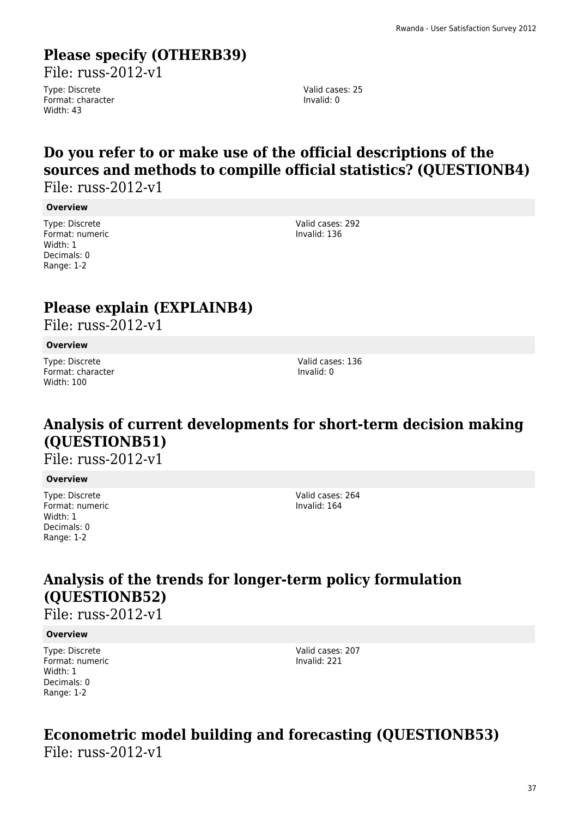# **Please specify (OTHERB39)**

File: russ-2012-v1

Type: Discrete Format: character Width: 43

Valid cases: 25 Invalid: 0

# **Do you refer to or make use of the official descriptions of the sources and methods to compille official statistics? (QUESTIONB4)**

File: russ-2012-v1

#### **Overview**

Type: Discrete Format: numeric Width: 1 Decimals: 0 Range: 1-2

Valid cases: 292 Invalid: 136

### **Please explain (EXPLAINB4)**

File: russ-2012-v1

#### **Overview**

Type: Discrete Format: character Width: 100

Valid cases: 136 Invalid: 0

# **Analysis of current developments for short-term decision making (QUESTIONB51)**

File: russ-2012-v1

#### **Overview**

Type: Discrete Format: numeric Width: 1 Decimals: 0 Range: 1-2

Valid cases: 264 Invalid: 164

# **Analysis of the trends for longer-term policy formulation (QUESTIONB52)**

File: russ-2012-v1

#### **Overview**

Type: Discrete Format: numeric Width: 1 Decimals: 0 Range: 1-2

Valid cases: 207 Invalid: 221

# **Econometric model building and forecasting (QUESTIONB53)**

File: russ-2012-v1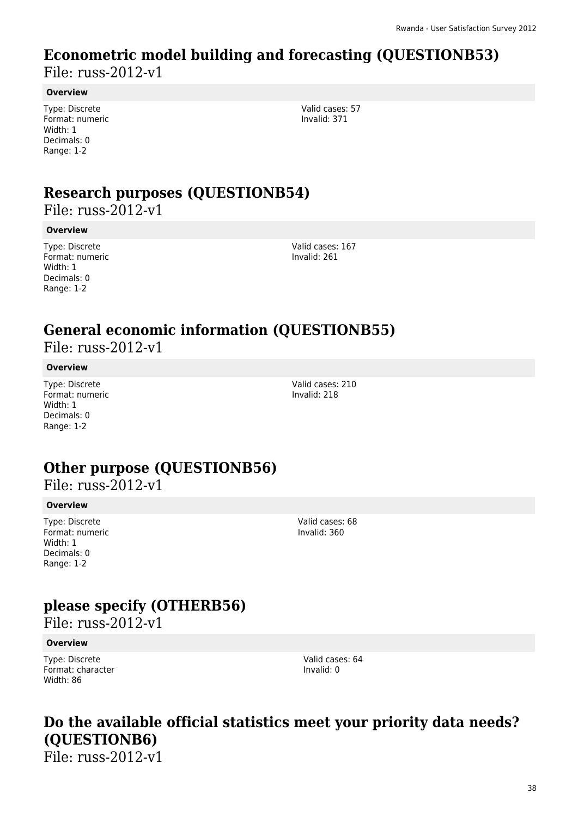### **Econometric model building and forecasting (QUESTIONB53)**

File: russ-2012-v1

#### **Overview**

Type: Discrete Format: numeric Width: 1 Decimals: 0 Range: 1-2

Valid cases: 57 Invalid: 371

# **Research purposes (QUESTIONB54)**

File: russ-2012-v1

#### **Overview**

Type: Discrete Format: numeric Width: 1 Decimals: 0 Range: 1-2

Valid cases: 167 Invalid: 261

# **General economic information (QUESTIONB55)**

File: russ-2012-v1

#### **Overview**

Type: Discrete Format: numeric Width: 1 Decimals: 0 Range: 1-2

Valid cases: 210 Invalid: 218

# **Other purpose (QUESTIONB56)**

File: russ-2012-v1

#### **Overview**

Type: Discrete Format: numeric Width: 1 Decimals: 0 Range: 1-2

Valid cases: 68 Invalid: 360

# **please specify (OTHERB56)**

File: russ-2012-v1

#### **Overview**

Type: Discrete Format: character Width: 86

Valid cases: 64 Invalid: 0

### **Do the available official statistics meet your priority data needs? (QUESTIONB6)**  File: russ-2012-v1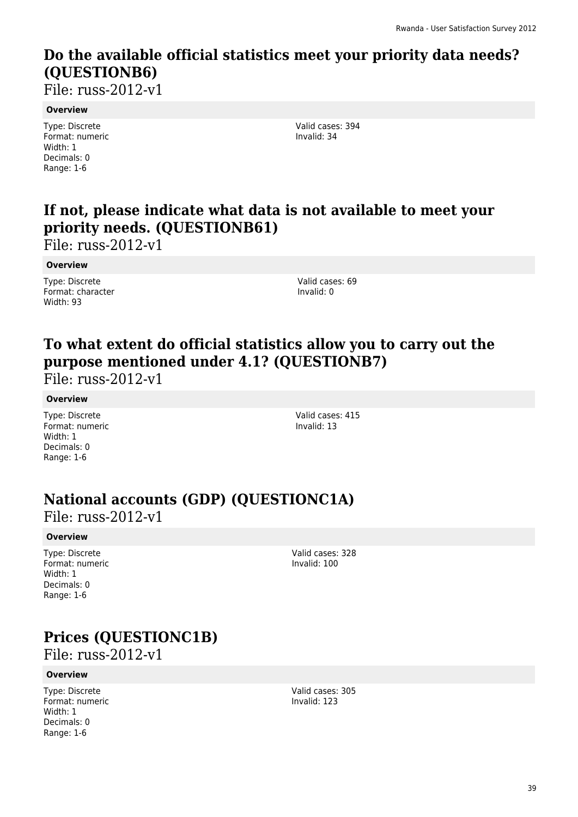# **Do the available official statistics meet your priority data needs? (QUESTIONB6)**

File: russ-2012-v1

#### **Overview**

Type: Discrete Format: numeric Width: 1 Decimals: 0 Range: 1-6

Valid cases: 394 Invalid: 34

### **If not, please indicate what data is not available to meet your priority needs. (QUESTIONB61)**

File: russ-2012-v1

#### **Overview**

Type: Discrete Format: character Width: 93

Valid cases: 69 Invalid: 0

# **To what extent do official statistics allow you to carry out the purpose mentioned under 4.1? (QUESTIONB7)**

File: russ-2012-v1

#### **Overview**

Type: Discrete Format: numeric Width: 1 Decimals: 0 Range: 1-6

Valid cases: 415 Invalid: 13

# **National accounts (GDP) (QUESTIONC1A)**

File: russ-2012-v1

#### **Overview**

Type: Discrete Format: numeric Width: 1 Decimals: 0 Range: 1-6

Valid cases: 328 Invalid: 100

# **Prices (QUESTIONC1B)**

File: russ-2012-v1

#### **Overview**

Type: Discrete Format: numeric Width: 1 Decimals: 0 Range: 1-6

Valid cases: 305 Invalid: 123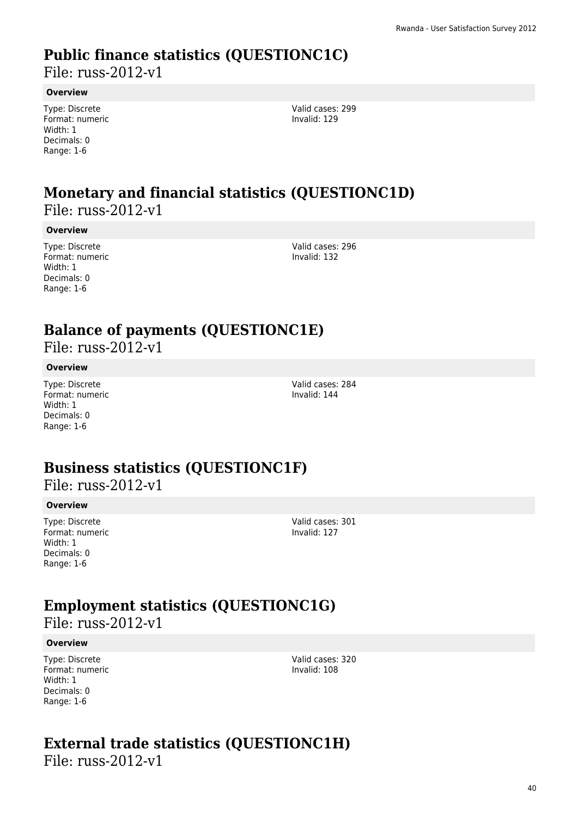### **Public finance statistics (QUESTIONC1C)**

File: russ-2012-v1

#### **Overview**

Type: Discrete Format: numeric Width: 1 Decimals: 0 Range: 1-6

Valid cases: 299 Invalid: 129

# **Monetary and financial statistics (QUESTIONC1D)**

File: russ-2012-v1

#### **Overview**

Type: Discrete Format: numeric Width: 1 Decimals: 0 Range: 1-6

Valid cases: 296 Invalid: 132

### **Balance of payments (QUESTIONC1E)**

File: russ-2012-v1

#### **Overview**

Type: Discrete Format: numeric Width: 1 Decimals: 0 Range: 1-6

Valid cases: 284 Invalid: 144

# **Business statistics (QUESTIONC1F)**

File: russ-2012-v1

#### **Overview**

Type: Discrete Format: numeric Width: 1 Decimals: 0 Range: 1-6

Valid cases: 301 Invalid: 127

### **Employment statistics (QUESTIONC1G)**

File: russ-2012-v1

#### **Overview**

Type: Discrete Format: numeric Width: 1 Decimals: 0 Range: 1-6

Valid cases: 320 Invalid: 108

# **External trade statistics (QUESTIONC1H)**

File: russ-2012-v1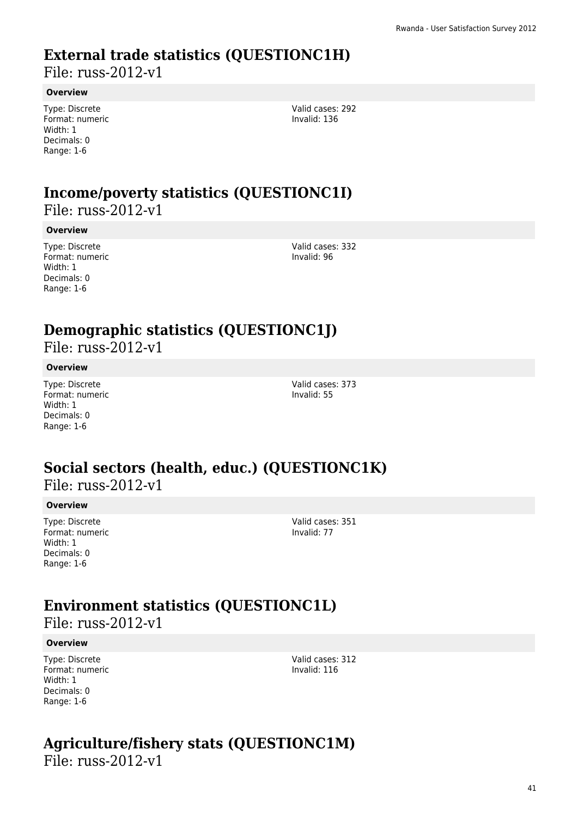### **External trade statistics (QUESTIONC1H)**

File: russ-2012-v1

#### **Overview**

Type: Discrete Format: numeric Width: 1 Decimals: 0 Range: 1-6

Valid cases: 292 Invalid: 136

# **Income/poverty statistics (QUESTIONC1I)**

File: russ-2012-v1

#### **Overview**

Type: Discrete Format: numeric Width: 1 Decimals: 0 Range: 1-6

Valid cases: 332 Invalid: 96

### **Demographic statistics (QUESTIONC1J)**

File: russ-2012-v1

#### **Overview**

Type: Discrete Format: numeric Width: 1 Decimals: 0 Range: 1-6

Valid cases: 373 Invalid: 55

### **Social sectors (health, educ.) (QUESTIONC1K)**  File: russ-2012-v1

#### **Overview**

Type: Discrete Format: numeric Width: 1 Decimals: 0 Range: 1-6

Valid cases: 351 Invalid: 77

# **Environment statistics (QUESTIONC1L)**

File: russ-2012-v1

#### **Overview**

Type: Discrete Format: numeric Width: 1 Decimals: 0 Range: 1-6

Valid cases: 312 Invalid: 116

# **Agriculture/fishery stats (QUESTIONC1M)**

File: russ-2012-v1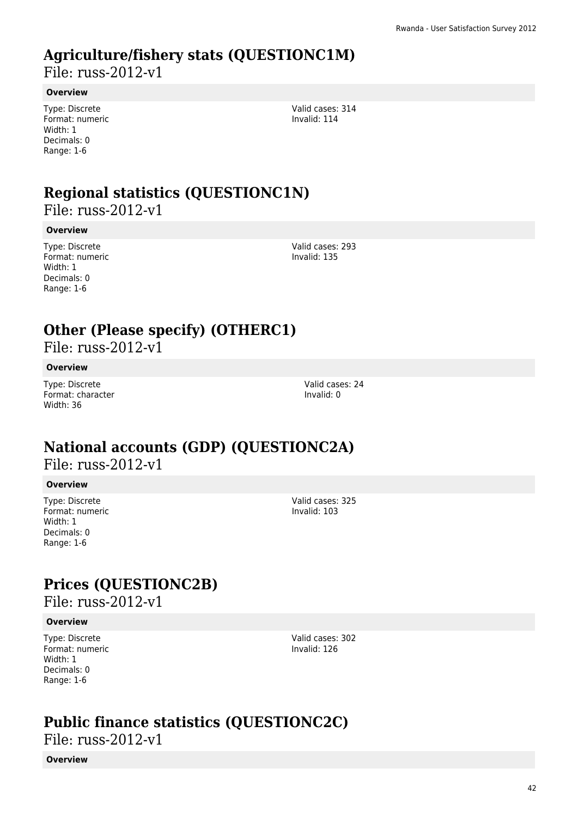### **Agriculture/fishery stats (QUESTIONC1M)**

File: russ-2012-v1

#### **Overview**

Type: Discrete Format: numeric Width: 1 Decimals: 0 Range: 1-6

Valid cases: 314 Invalid: 114

# **Regional statistics (QUESTIONC1N)**

File: russ-2012-v1

#### **Overview**

Type: Discrete Format: numeric Width: 1 Decimals: 0 Range: 1-6

Valid cases: 293 Invalid: 135

# **Other (Please specify) (OTHERC1)**

File: russ-2012-v1

#### **Overview**

Type: Discrete Format: character Width: 36

# **National accounts (GDP) (QUESTIONC2A)**

File: russ-2012-v1

#### **Overview**

Type: Discrete Format: numeric Width: 1 Decimals: 0 Range: 1-6

Valid cases: 325 Invalid: 103

Valid cases: 24 Invalid: 0

# **Prices (QUESTIONC2B)**

File: russ-2012-v1

#### **Overview**

Type: Discrete Format: numeric Width: 1 Decimals: 0 Range: 1-6

Valid cases: 302 Invalid: 126

### **Public finance statistics (QUESTIONC2C)**

File: russ-2012-v1

**Overview**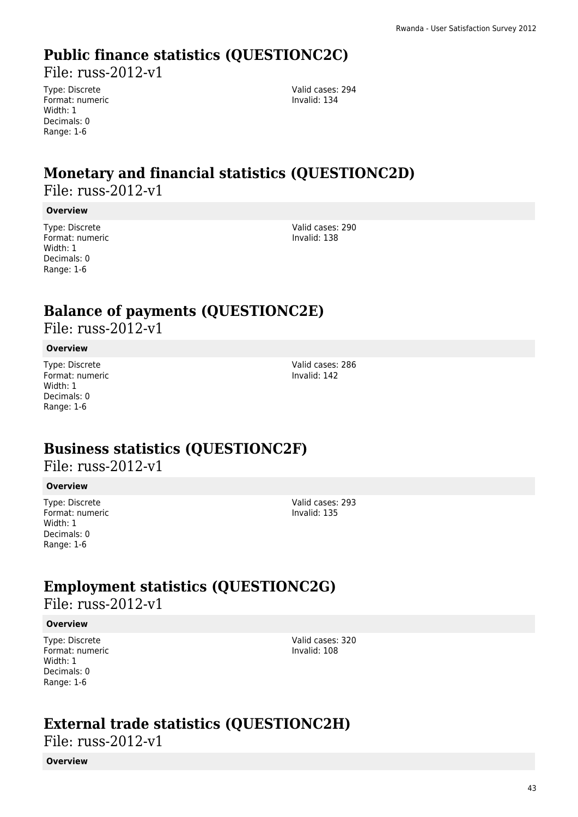# **Public finance statistics (QUESTIONC2C)**

File: russ-2012-v1

Type: Discrete Format: numeric Width: 1 Decimals: 0 Range: 1-6

Valid cases: 294 Invalid: 134

### **Monetary and financial statistics (QUESTIONC2D)**  File: russ-2012-v1

#### **Overview**

Type: Discrete Format: numeric Width: 1 Decimals: 0 Range: 1-6

Valid cases: 290 Invalid: 138

### **Balance of payments (QUESTIONC2E)**

File: russ-2012-v1

#### **Overview**

Type: Discrete Format: numeric Width: 1 Decimals: 0 Range: 1-6

Valid cases: 286 Invalid: 142

### **Business statistics (QUESTIONC2F)**

File: russ-2012-v1

#### **Overview**

Type: Discrete Format: numeric Width: 1 Decimals: 0 Range: 1-6

Valid cases: 293 Invalid: 135

### **Employment statistics (QUESTIONC2G)**

File: russ-2012-v1

#### **Overview**

Type: Discrete Format: numeric Width: 1 Decimals: 0 Range: 1-6

Valid cases: 320 Invalid: 108

### **External trade statistics (QUESTIONC2H)**

File: russ-2012-v1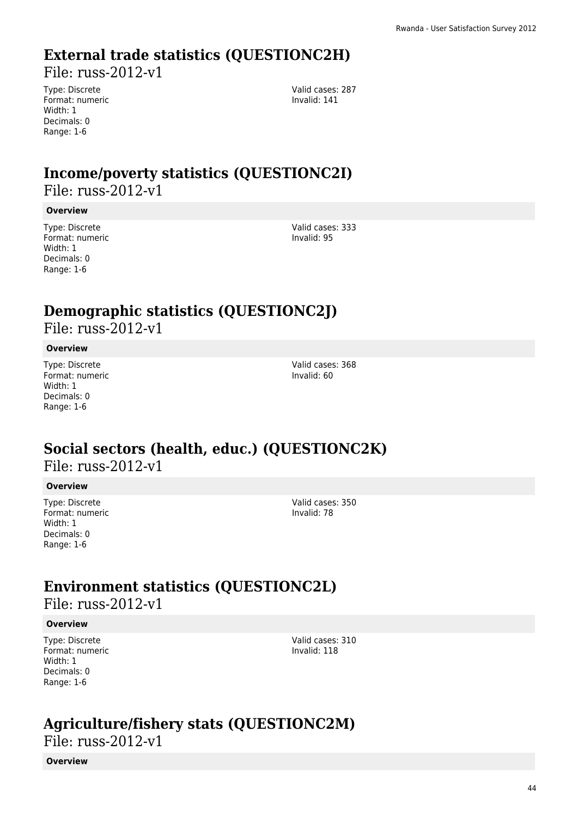# **External trade statistics (QUESTIONC2H)**

File: russ-2012-v1

Type: Discrete Format: numeric Width: 1 Decimals: 0 Range: 1-6

Valid cases: 287 Invalid: 141

# **Income/poverty statistics (QUESTIONC2I)**

File: russ-2012-v1

#### **Overview**

Type: Discrete Format: numeric Width: 1 Decimals: 0 Range: 1-6

Valid cases: 333 Invalid: 95

# **Demographic statistics (QUESTIONC2J)**

File: russ-2012-v1

#### **Overview**

Type: Discrete Format: numeric Width: 1 Decimals: 0 Range: 1-6

Valid cases: 368 Invalid: 60

### **Social sectors (health, educ.) (QUESTIONC2K)**  File: russ-2012-v1

#### **Overview**

Type: Discrete Format: numeric Width: 1 Decimals: 0 Range: 1-6

Valid cases: 350 Invalid: 78

# **Environment statistics (QUESTIONC2L)**

File: russ-2012-v1

#### **Overview**

Type: Discrete Format: numeric Width: 1 Decimals: 0 Range: 1-6

Valid cases: 310 Invalid: 118

### **Agriculture/fishery stats (QUESTIONC2M)**

File: russ-2012-v1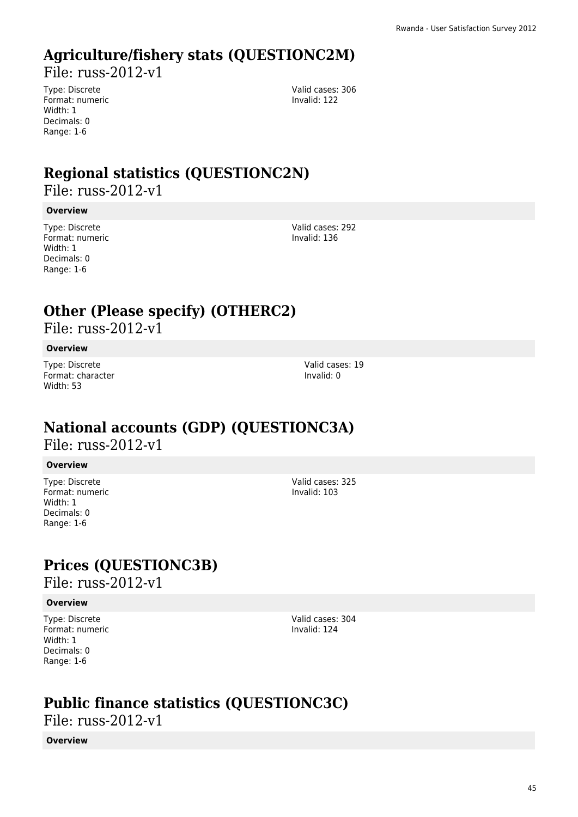# **Agriculture/fishery stats (QUESTIONC2M)**

File: russ-2012-v1

Type: Discrete Format: numeric Width: 1 Decimals: 0 Range: 1-6

Valid cases: 306 Invalid: 122

# **Regional statistics (QUESTIONC2N)**

File: russ-2012-v1

#### **Overview**

Type: Discrete Format: numeric Width: 1 Decimals: 0 Range: 1-6

Valid cases: 292 Invalid: 136

# **Other (Please specify) (OTHERC2)**

File: russ-2012-v1

#### **Overview**

Type: Discrete Format: character Width: 53

# **National accounts (GDP) (QUESTIONC3A)**

File: russ-2012-v1

#### **Overview**

Type: Discrete Format: numeric Width: 1 Decimals: 0 Range: 1-6

Valid cases: 325 Invalid: 103

Valid cases: 19 Invalid: 0

# **Prices (QUESTIONC3B)**

File: russ-2012-v1

#### **Overview**

Type: Discrete Format: numeric Width: 1 Decimals: 0 Range: 1-6

Valid cases: 304 Invalid: 124

# **Public finance statistics (QUESTIONC3C)**

File: russ-2012-v1

#### **Overview**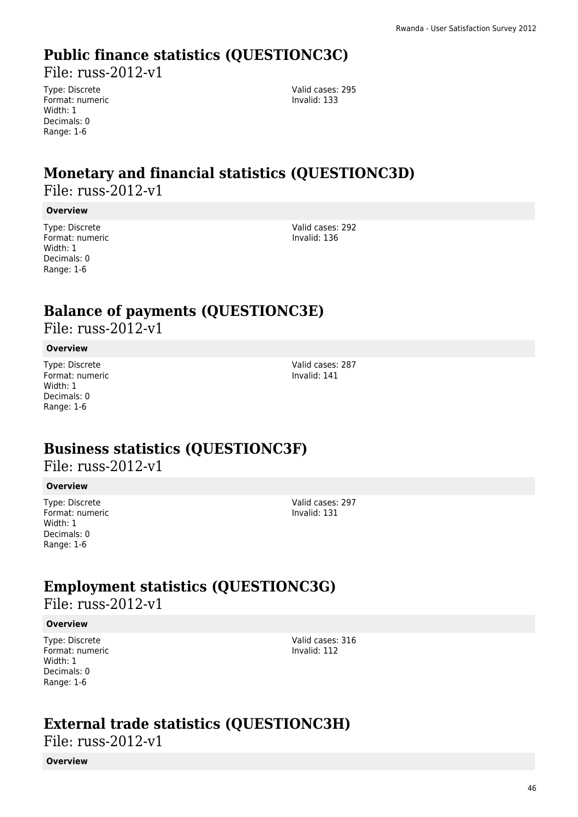# **Public finance statistics (QUESTIONC3C)**

File: russ-2012-v1

Type: Discrete Format: numeric Width: 1 Decimals: 0 Range: 1-6

Valid cases: 295 Invalid: 133

### **Monetary and financial statistics (QUESTIONC3D)**  File: russ-2012-v1

#### **Overview**

Type: Discrete Format: numeric Width: 1 Decimals: 0 Range: 1-6

Valid cases: 292 Invalid: 136

### **Balance of payments (QUESTIONC3E)**

File: russ-2012-v1

#### **Overview**

Type: Discrete Format: numeric Width: 1 Decimals: 0 Range: 1-6

Valid cases: 287 Invalid: 141

### **Business statistics (QUESTIONC3F)**

File: russ-2012-v1

#### **Overview**

Type: Discrete Format: numeric Width: 1 Decimals: 0 Range: 1-6

Valid cases: 297 Invalid: 131

### **Employment statistics (QUESTIONC3G)**

File: russ-2012-v1

#### **Overview**

Type: Discrete Format: numeric Width: 1 Decimals: 0 Range: 1-6

Valid cases: 316 Invalid: 112

### **External trade statistics (QUESTIONC3H)**

File: russ-2012-v1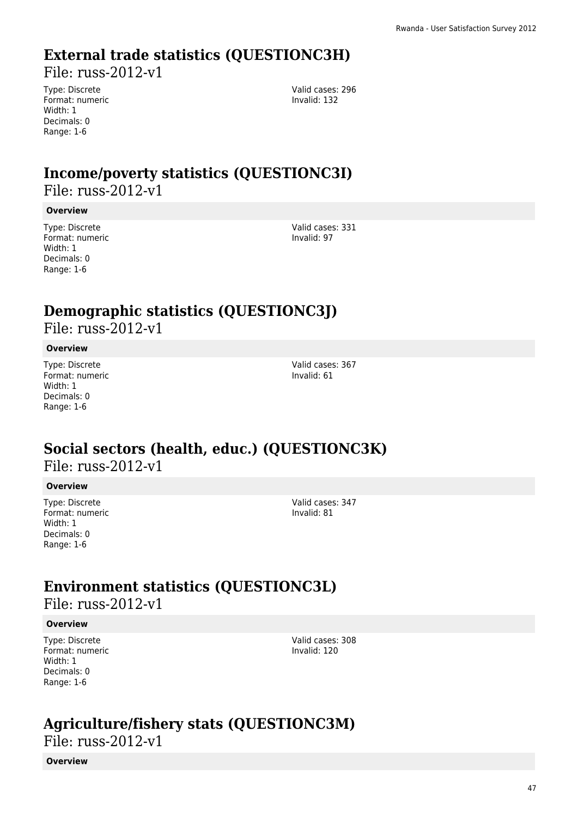# **External trade statistics (QUESTIONC3H)**

File: russ-2012-v1

Type: Discrete Format: numeric Width: 1 Decimals: 0 Range: 1-6

Valid cases: 296 Invalid: 132

# **Income/poverty statistics (QUESTIONC3I)**

File: russ-2012-v1

#### **Overview**

Type: Discrete Format: numeric Width: 1 Decimals: 0 Range: 1-6

Valid cases: 331 Invalid: 97

# **Demographic statistics (QUESTIONC3J)**

File: russ-2012-v1

#### **Overview**

Type: Discrete Format: numeric Width: 1 Decimals: 0 Range: 1-6

Valid cases: 367 Invalid: 61

### **Social sectors (health, educ.) (QUESTIONC3K)**  File: russ-2012-v1

#### **Overview**

Type: Discrete Format: numeric Width: 1 Decimals: 0 Range: 1-6

Valid cases: 347 Invalid: 81

# **Environment statistics (QUESTIONC3L)**

File: russ-2012-v1

#### **Overview**

Type: Discrete Format: numeric Width: 1 Decimals: 0 Range: 1-6

Valid cases: 308 Invalid: 120

### **Agriculture/fishery stats (QUESTIONC3M)**

File: russ-2012-v1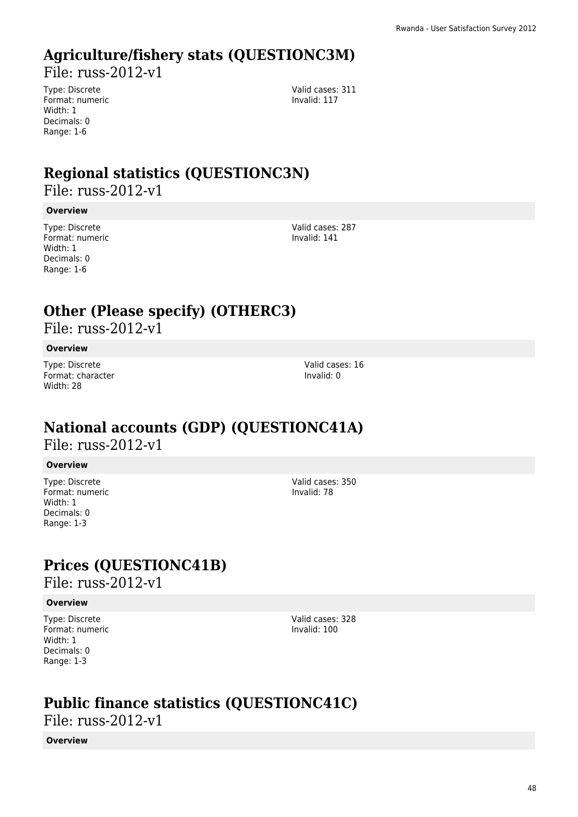# **Agriculture/fishery stats (QUESTIONC3M)**

File: russ-2012-v1

Type: Discrete Format: numeric Width: 1 Decimals: 0 Range: 1-6

Valid cases: 311 Invalid: 117

# **Regional statistics (QUESTIONC3N)**

File: russ-2012-v1

#### **Overview**

Type: Discrete Format: numeric Width: 1 Decimals: 0 Range: 1-6

Valid cases: 287 Invalid: 141

# **Other (Please specify) (OTHERC3)**

File: russ-2012-v1

#### **Overview**

Type: Discrete Format: character Width: 28

# **National accounts (GDP) (QUESTIONC41A)**

File: russ-2012-v1

#### **Overview**

Type: Discrete Format: numeric Width: 1 Decimals: 0 Range: 1-3

Valid cases: 350 Invalid: 78

Valid cases: 16 Invalid: 0

# **Prices (QUESTIONC41B)**

File: russ-2012-v1

#### **Overview**

Type: Discrete Format: numeric Width: 1 Decimals: 0 Range: 1-3

Valid cases: 328 Invalid: 100

# **Public finance statistics (QUESTIONC41C)**

File: russ-2012-v1

**Overview**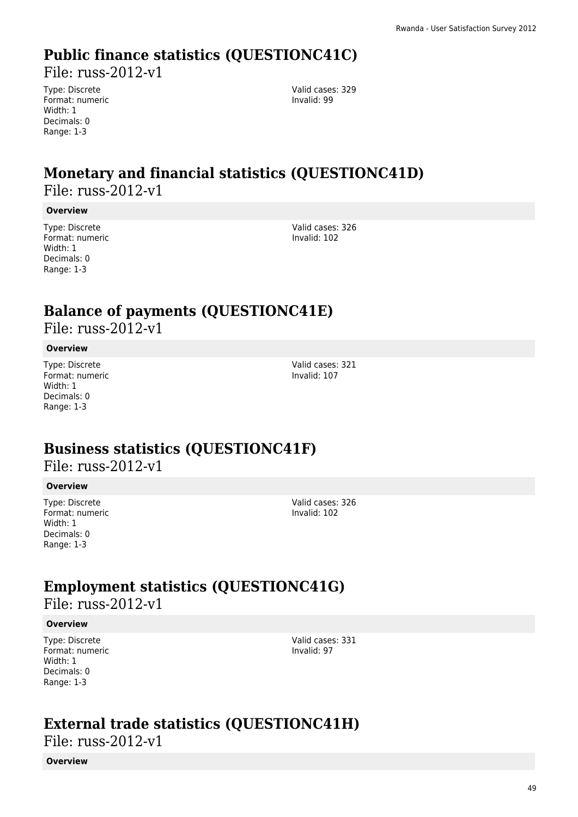# **Public finance statistics (QUESTIONC41C)**

File: russ-2012-v1

Type: Discrete Format: numeric Width: 1 Decimals: 0 Range: 1-3

Valid cases: 329 Invalid: 99

### **Monetary and financial statistics (QUESTIONC41D)**  File: russ-2012-v1

#### **Overview**

Type: Discrete Format: numeric Width: 1 Decimals: 0 Range: 1-3

Valid cases: 326 Invalid: 102

### **Balance of payments (QUESTIONC41E)**

File: russ-2012-v1

#### **Overview**

Type: Discrete Format: numeric Width: 1 Decimals: 0 Range: 1-3

Valid cases: 321 Invalid: 107

### **Business statistics (QUESTIONC41F)**

File: russ-2012-v1

#### **Overview**

Type: Discrete Format: numeric Width: 1 Decimals: 0 Range: 1-3

Valid cases: 326 Invalid: 102

### **Employment statistics (QUESTIONC41G)**

File: russ-2012-v1

#### **Overview**

Type: Discrete Format: numeric Width: 1 Decimals: 0 Range: 1-3

Valid cases: 331 Invalid: 97

### **External trade statistics (QUESTIONC41H)**

File: russ-2012-v1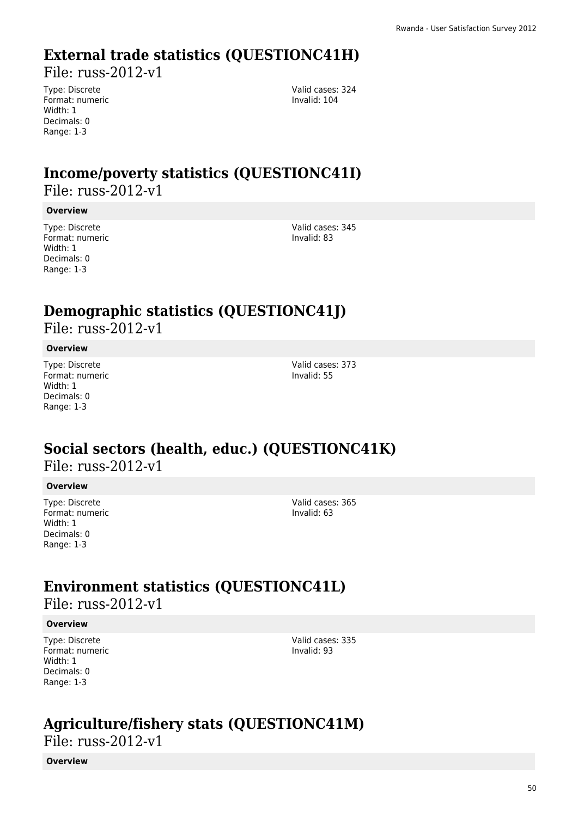# **External trade statistics (QUESTIONC41H)**

File: russ-2012-v1

Type: Discrete Format: numeric Width: 1 Decimals: 0 Range: 1-3

Valid cases: 324 Invalid: 104

# **Income/poverty statistics (QUESTIONC41I)**

File: russ-2012-v1

#### **Overview**

Type: Discrete Format: numeric Width: 1 Decimals: 0 Range: 1-3

Valid cases: 345 Invalid: 83

# **Demographic statistics (QUESTIONC41J)**

File: russ-2012-v1

#### **Overview**

Type: Discrete Format: numeric Width: 1 Decimals: 0 Range: 1-3

Valid cases: 373 Invalid: 55

### **Social sectors (health, educ.) (QUESTIONC41K)**  File: russ-2012-v1

#### **Overview**

Type: Discrete Format: numeric Width: 1 Decimals: 0 Range: 1-3

Valid cases: 365 Invalid: 63

# **Environment statistics (QUESTIONC41L)**

File: russ-2012-v1

#### **Overview**

Type: Discrete Format: numeric Width: 1 Decimals: 0 Range: 1-3

Valid cases: 335 Invalid: 93

### **Agriculture/fishery stats (QUESTIONC41M)**

File: russ-2012-v1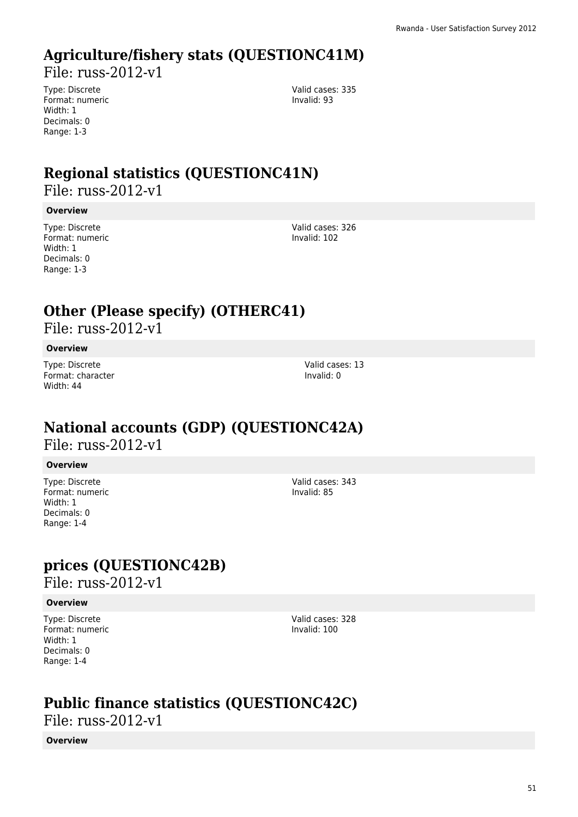# **Agriculture/fishery stats (QUESTIONC41M)**

File: russ-2012-v1

Type: Discrete Format: numeric Width: 1 Decimals: 0 Range: 1-3

Valid cases: 335 Invalid: 93

# **Regional statistics (QUESTIONC41N)**

File: russ-2012-v1

#### **Overview**

Type: Discrete Format: numeric Width: 1 Decimals: 0 Range: 1-3

Valid cases: 326 Invalid: 102

# **Other (Please specify) (OTHERC41)**

File: russ-2012-v1

#### **Overview**

Type: Discrete Format: character Width: 44

**National accounts (GDP) (QUESTIONC42A)** 

File: russ-2012-v1

#### **Overview**

Type: Discrete Format: numeric Width: 1 Decimals: 0 Range: 1-4

Valid cases: 343 Invalid: 85

Valid cases: 13 Invalid: 0

# **prices (QUESTIONC42B)**

File: russ-2012-v1

#### **Overview**

Type: Discrete Format: numeric Width: 1 Decimals: 0 Range: 1-4

Valid cases: 328 Invalid: 100

# **Public finance statistics (QUESTIONC42C)**

File: russ-2012-v1

**Overview**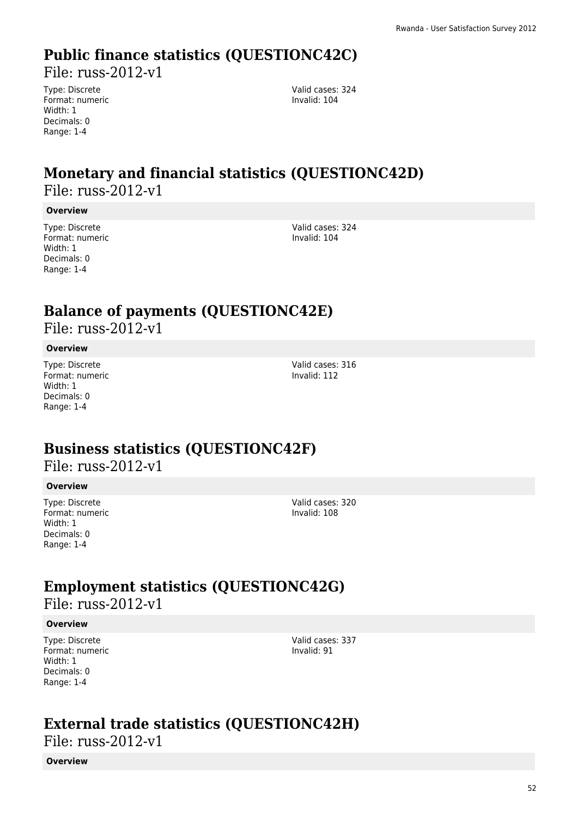# **Public finance statistics (QUESTIONC42C)**

File: russ-2012-v1

Type: Discrete Format: numeric Width: 1 Decimals: 0 Range: 1-4

Valid cases: 324 Invalid: 104

### **Monetary and financial statistics (QUESTIONC42D)**  File: russ-2012-v1

#### **Overview**

Type: Discrete Format: numeric Width: 1 Decimals: 0 Range: 1-4

Valid cases: 324 Invalid: 104

### **Balance of payments (QUESTIONC42E)**

File: russ-2012-v1

#### **Overview**

Type: Discrete Format: numeric Width: 1 Decimals: 0 Range: 1-4

Valid cases: 316 Invalid: 112

### **Business statistics (QUESTIONC42F)**

File: russ-2012-v1

#### **Overview**

Type: Discrete Format: numeric Width: 1 Decimals: 0 Range: 1-4

Valid cases: 320 Invalid: 108

### **Employment statistics (QUESTIONC42G)**

File: russ-2012-v1

#### **Overview**

Type: Discrete Format: numeric Width: 1 Decimals: 0 Range: 1-4

Valid cases: 337 Invalid: 91

### **External trade statistics (QUESTIONC42H)**

File: russ-2012-v1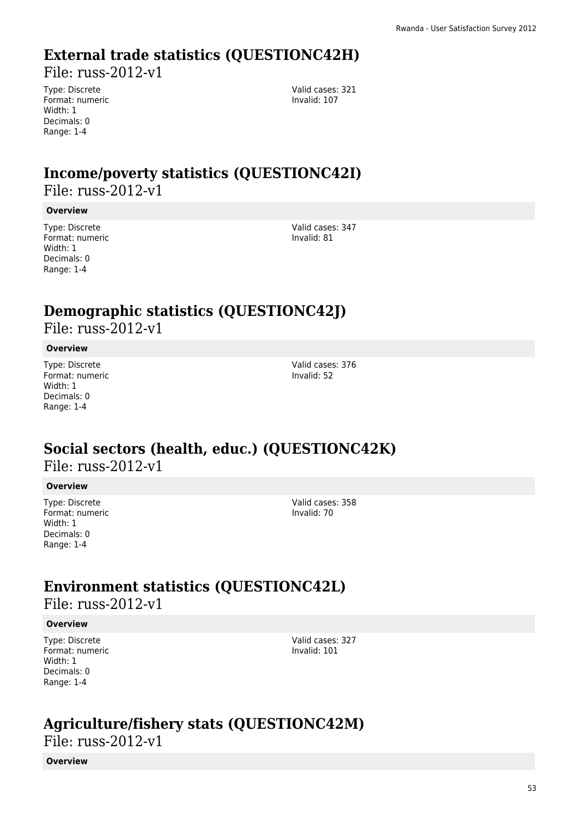# **External trade statistics (QUESTIONC42H)**

File: russ-2012-v1

Type: Discrete Format: numeric Width: 1 Decimals: 0 Range: 1-4

Valid cases: 321 Invalid: 107

# **Income/poverty statistics (QUESTIONC42I)**

File: russ-2012-v1

#### **Overview**

Type: Discrete Format: numeric Width: 1 Decimals: 0 Range: 1-4

Valid cases: 347 Invalid: 81

# **Demographic statistics (QUESTIONC42J)**

File: russ-2012-v1

#### **Overview**

Type: Discrete Format: numeric Width: 1 Decimals: 0 Range: 1-4

Valid cases: 376 Invalid: 52

### **Social sectors (health, educ.) (QUESTIONC42K)**  File: russ-2012-v1

#### **Overview**

Type: Discrete Format: numeric Width: 1 Decimals: 0 Range: 1-4

Valid cases: 358 Invalid: 70

# **Environment statistics (QUESTIONC42L)**

File: russ-2012-v1

#### **Overview**

Type: Discrete Format: numeric Width: 1 Decimals: 0 Range: 1-4

Valid cases: 327 Invalid: 101

### **Agriculture/fishery stats (QUESTIONC42M)**

File: russ-2012-v1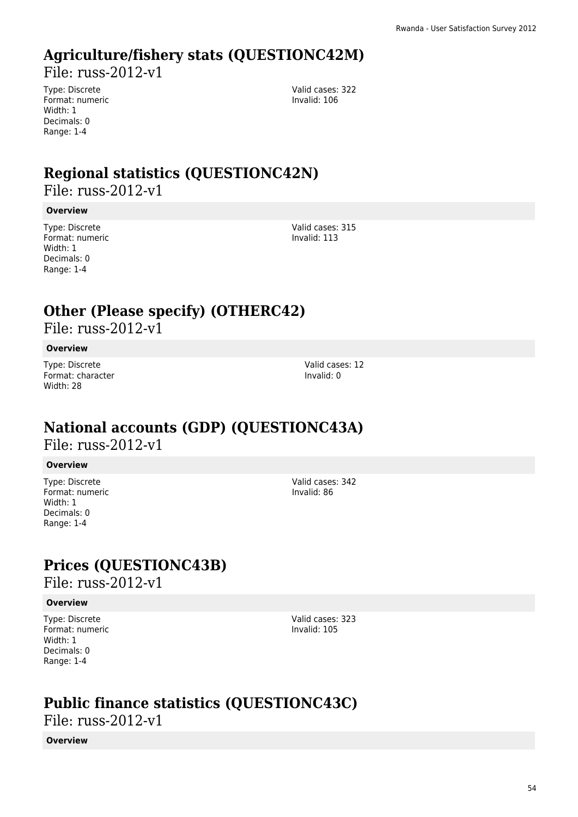# **Agriculture/fishery stats (QUESTIONC42M)**

File: russ-2012-v1

Type: Discrete Format: numeric Width: 1 Decimals: 0 Range: 1-4

Valid cases: 322 Invalid: 106

# **Regional statistics (QUESTIONC42N)**

File: russ-2012-v1

#### **Overview**

Type: Discrete Format: numeric Width: 1 Decimals: 0 Range: 1-4

Valid cases: 315 Invalid: 113

# **Other (Please specify) (OTHERC42)**

File: russ-2012-v1

#### **Overview**

Type: Discrete Format: character Width: 28

Valid cases: 12 Invalid: 0

# **National accounts (GDP) (QUESTIONC43A)**

File: russ-2012-v1

#### **Overview**

Type: Discrete Format: numeric Width: 1 Decimals: 0 Range: 1-4

Valid cases: 342 Invalid: 86

# **Prices (QUESTIONC43B)**

File: russ-2012-v1

#### **Overview**

Type: Discrete Format: numeric Width: 1 Decimals: 0 Range: 1-4

Valid cases: 323 Invalid: 105

# **Public finance statistics (QUESTIONC43C)**

File: russ-2012-v1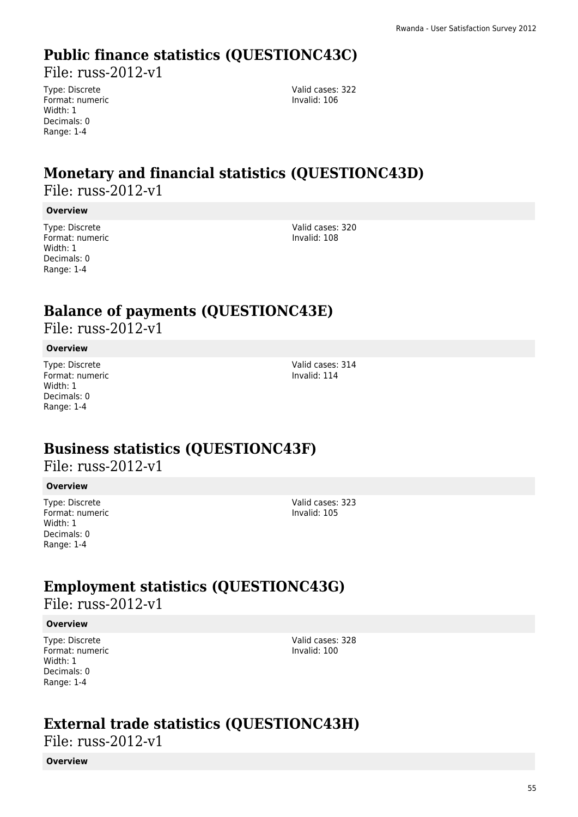# **Public finance statistics (QUESTIONC43C)**

File: russ-2012-v1

Type: Discrete Format: numeric Width: 1 Decimals: 0 Range: 1-4

Valid cases: 322 Invalid: 106

### **Monetary and financial statistics (QUESTIONC43D)**  File: russ-2012-v1

#### **Overview**

Type: Discrete Format: numeric Width: 1 Decimals: 0 Range: 1-4

Valid cases: 320 Invalid: 108

### **Balance of payments (QUESTIONC43E)**

File: russ-2012-v1

#### **Overview**

Type: Discrete Format: numeric Width: 1 Decimals: 0 Range: 1-4

Valid cases: 314 Invalid: 114

### **Business statistics (QUESTIONC43F)**

File: russ-2012-v1

#### **Overview**

Type: Discrete Format: numeric Width: 1 Decimals: 0 Range: 1-4

Valid cases: 323 Invalid: 105

### **Employment statistics (QUESTIONC43G)**

File: russ-2012-v1

#### **Overview**

Type: Discrete Format: numeric Width: 1 Decimals: 0 Range: 1-4

Valid cases: 328 Invalid: 100

### **External trade statistics (QUESTIONC43H)**

File: russ-2012-v1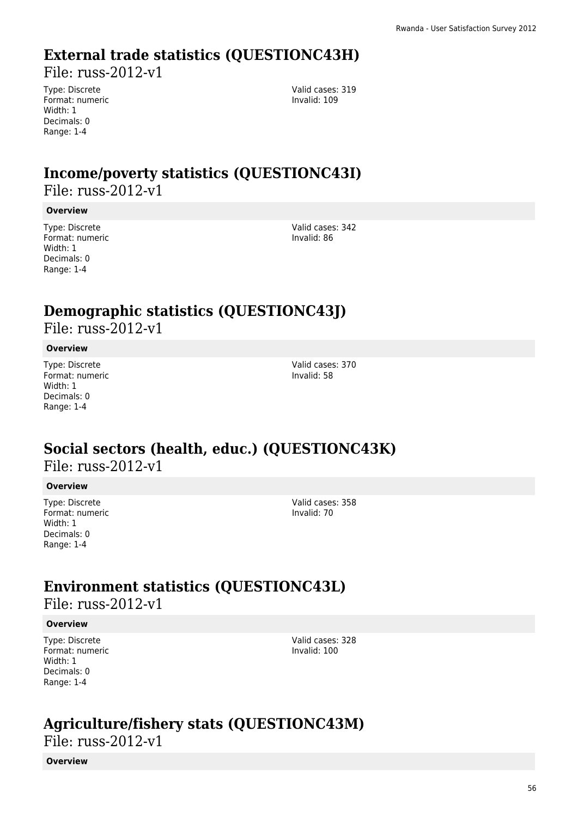# **External trade statistics (QUESTIONC43H)**

File: russ-2012-v1

Type: Discrete Format: numeric Width: 1 Decimals: 0 Range: 1-4

Valid cases: 319 Invalid: 109

### **Income/poverty statistics (QUESTIONC43I)**  File: russ-2012-v1

#### **Overview**

Type: Discrete Format: numeric Width: 1 Decimals: 0 Range: 1-4

Valid cases: 342 Invalid: 86

# **Demographic statistics (QUESTIONC43J)**

File: russ-2012-v1

#### **Overview**

Type: Discrete Format: numeric Width: 1 Decimals: 0 Range: 1-4

Valid cases: 370 Invalid: 58

### **Social sectors (health, educ.) (QUESTIONC43K)**  File: russ-2012-v1

#### **Overview**

Type: Discrete Format: numeric Width: 1 Decimals: 0 Range: 1-4

Valid cases: 358 Invalid: 70

# **Environment statistics (QUESTIONC43L)**

File: russ-2012-v1

#### **Overview**

Type: Discrete Format: numeric Width: 1 Decimals: 0 Range: 1-4

Valid cases: 328 Invalid: 100

### **Agriculture/fishery stats (QUESTIONC43M)**

File: russ-2012-v1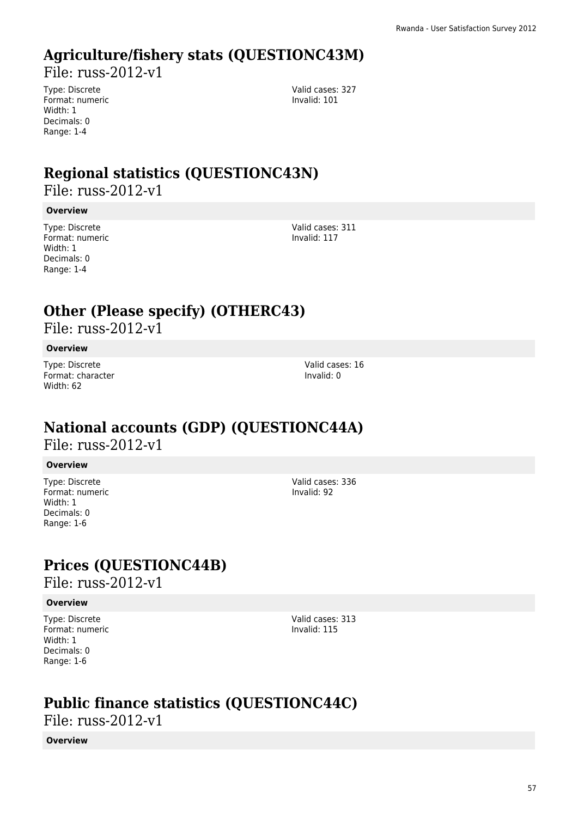# **Agriculture/fishery stats (QUESTIONC43M)**

File: russ-2012-v1

Type: Discrete Format: numeric Width: 1 Decimals: 0 Range: 1-4

Valid cases: 327 Invalid: 101

# **Regional statistics (QUESTIONC43N)**

File: russ-2012-v1

#### **Overview**

Type: Discrete Format: numeric Width: 1 Decimals: 0 Range: 1-4

Valid cases: 311 Invalid: 117

# **Other (Please specify) (OTHERC43)**

File: russ-2012-v1

#### **Overview**

Type: Discrete Format: character Width: 62

**National accounts (GDP) (QUESTIONC44A)** 

File: russ-2012-v1

#### **Overview**

Type: Discrete Format: numeric Width: 1 Decimals: 0 Range: 1-6

Valid cases: 336 Invalid: 92

Valid cases: 16 Invalid: 0

# **Prices (QUESTIONC44B)**

File: russ-2012-v1

#### **Overview**

Type: Discrete Format: numeric Width: 1 Decimals: 0 Range: 1-6

Valid cases: 313 Invalid: 115

# **Public finance statistics (QUESTIONC44C)**

File: russ-2012-v1

**Overview**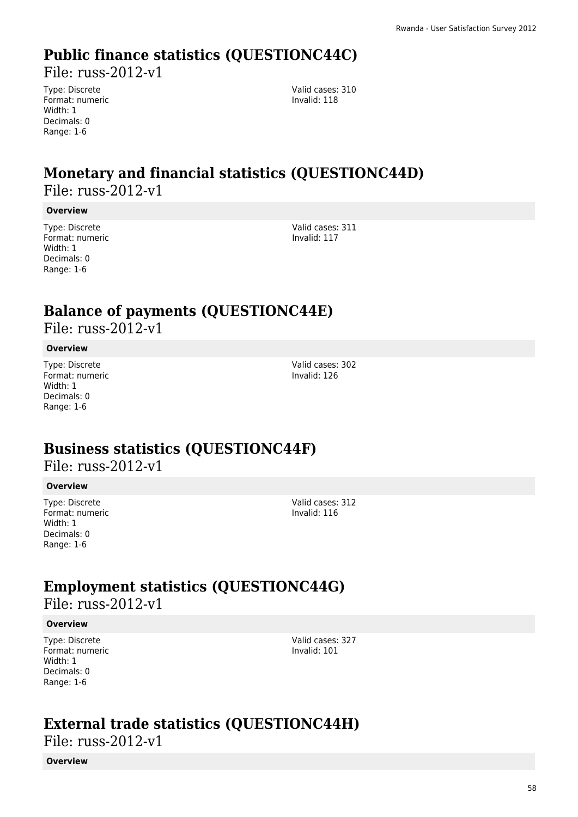### **Public finance statistics (QUESTIONC44C)**

File: russ-2012-v1

Type: Discrete Format: numeric Width: 1 Decimals: 0 Range: 1-6

Valid cases: 310 Invalid: 118

### **Monetary and financial statistics (QUESTIONC44D)**  File: russ-2012-v1

#### **Overview**

Type: Discrete Format: numeric Width: 1 Decimals: 0 Range: 1-6

Valid cases: 311 Invalid: 117

### **Balance of payments (QUESTIONC44E)**

File: russ-2012-v1

#### **Overview**

Type: Discrete Format: numeric Width: 1 Decimals: 0 Range: 1-6

Valid cases: 302 Invalid: 126

### **Business statistics (QUESTIONC44F)**

File: russ-2012-v1

#### **Overview**

Type: Discrete Format: numeric Width: 1 Decimals: 0 Range: 1-6

Valid cases: 312 Invalid: 116

### **Employment statistics (QUESTIONC44G)**

File: russ-2012-v1

#### **Overview**

Type: Discrete Format: numeric Width: 1 Decimals: 0 Range: 1-6

Valid cases: 327 Invalid: 101

### **External trade statistics (QUESTIONC44H)**

File: russ-2012-v1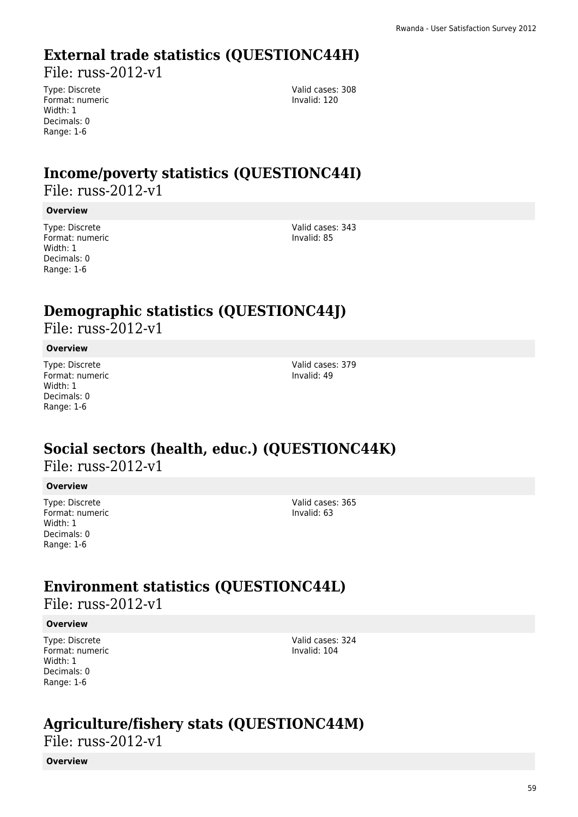# **External trade statistics (QUESTIONC44H)**

File: russ-2012-v1

Type: Discrete Format: numeric Width: 1 Decimals: 0 Range: 1-6

Valid cases: 308 Invalid: 120

# **Income/poverty statistics (QUESTIONC44I)**

File: russ-2012-v1

#### **Overview**

Type: Discrete Format: numeric Width: 1 Decimals: 0 Range: 1-6

Valid cases: 343 Invalid: 85

# **Demographic statistics (QUESTIONC44J)**

File: russ-2012-v1

#### **Overview**

Type: Discrete Format: numeric Width: 1 Decimals: 0 Range: 1-6

Valid cases: 379 Invalid: 49

### **Social sectors (health, educ.) (QUESTIONC44K)**  File: russ-2012-v1

#### **Overview**

Type: Discrete Format: numeric Width: 1 Decimals: 0 Range: 1-6

Valid cases: 365 Invalid: 63

# **Environment statistics (QUESTIONC44L)**

File: russ-2012-v1

#### **Overview**

Type: Discrete Format: numeric Width: 1 Decimals: 0 Range: 1-6

Valid cases: 324 Invalid: 104

### **Agriculture/fishery stats (QUESTIONC44M)**

File: russ-2012-v1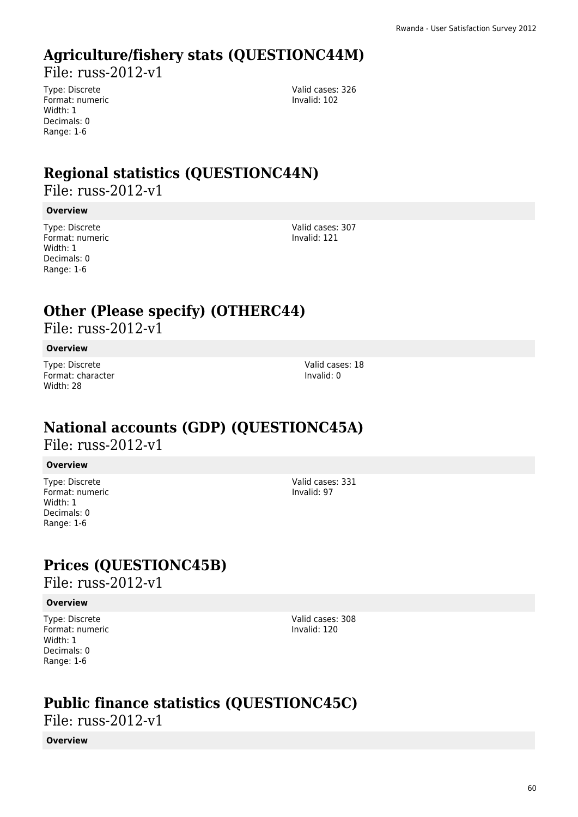# **Agriculture/fishery stats (QUESTIONC44M)**

File: russ-2012-v1

Type: Discrete Format: numeric Width: 1 Decimals: 0 Range: 1-6

Valid cases: 326 Invalid: 102

# **Regional statistics (QUESTIONC44N)**

File: russ-2012-v1

#### **Overview**

Type: Discrete Format: numeric Width: 1 Decimals: 0 Range: 1-6

Valid cases: 307 Invalid: 121

# **Other (Please specify) (OTHERC44)**

File: russ-2012-v1

#### **Overview**

Type: Discrete Format: character Width: 28

**National accounts (GDP) (QUESTIONC45A)** 

File: russ-2012-v1

#### **Overview**

Type: Discrete Format: numeric Width: 1 Decimals: 0 Range: 1-6

Valid cases: 331 Invalid: 97

Valid cases: 18 Invalid: 0

# **Prices (QUESTIONC45B)**

File: russ-2012-v1

#### **Overview**

Type: Discrete Format: numeric Width: 1 Decimals: 0 Range: 1-6

Valid cases: 308 Invalid: 120

# **Public finance statistics (QUESTIONC45C)**

File: russ-2012-v1

**Overview**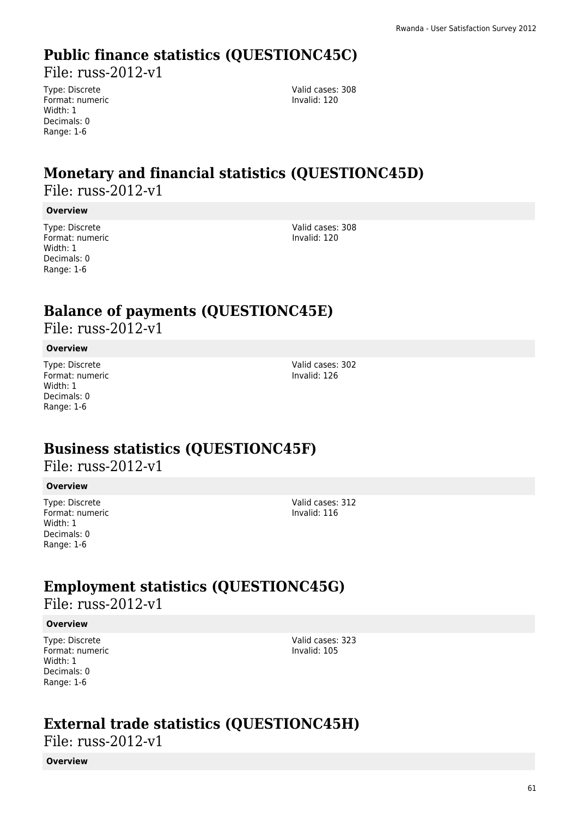# **Public finance statistics (QUESTIONC45C)**

File: russ-2012-v1

Type: Discrete Format: numeric Width: 1 Decimals: 0 Range: 1-6

Valid cases: 308 Invalid: 120

### **Monetary and financial statistics (QUESTIONC45D)**  File: russ-2012-v1

#### **Overview**

Type: Discrete Format: numeric Width: 1 Decimals: 0 Range: 1-6

Valid cases: 308 Invalid: 120

### **Balance of payments (QUESTIONC45E)**

File: russ-2012-v1

#### **Overview**

Type: Discrete Format: numeric Width: 1 Decimals: 0 Range: 1-6

Valid cases: 302 Invalid: 126

### **Business statistics (QUESTIONC45F)**

File: russ-2012-v1

#### **Overview**

Type: Discrete Format: numeric Width: 1 Decimals: 0 Range: 1-6

Valid cases: 312 Invalid: 116

### **Employment statistics (QUESTIONC45G)**

File: russ-2012-v1

#### **Overview**

Type: Discrete Format: numeric Width: 1 Decimals: 0 Range: 1-6

Valid cases: 323 Invalid: 105

### **External trade statistics (QUESTIONC45H)**

File: russ-2012-v1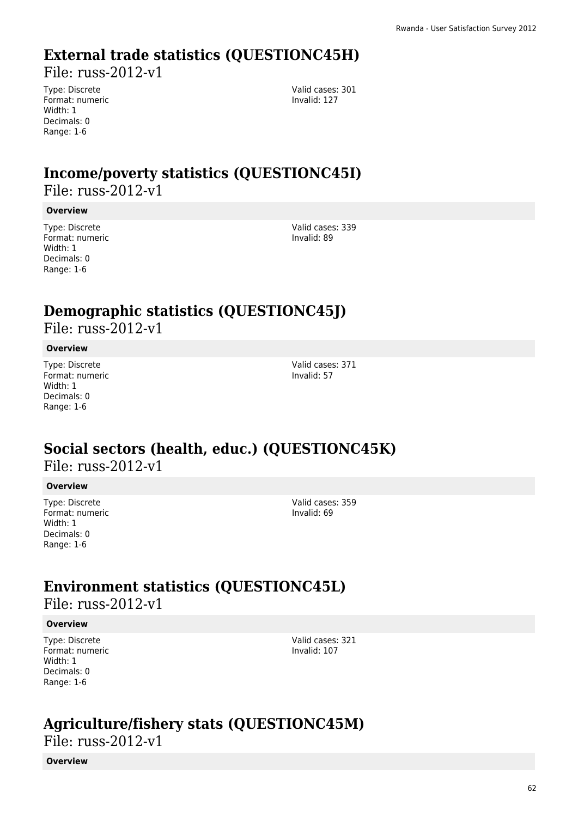# **External trade statistics (QUESTIONC45H)**

File: russ-2012-v1

Type: Discrete Format: numeric Width: 1 Decimals: 0 Range: 1-6

Valid cases: 301 Invalid: 127

### **Income/poverty statistics (QUESTIONC45I)**  File: russ-2012-v1

#### **Overview**

Type: Discrete Format: numeric Width: 1 Decimals: 0 Range: 1-6

Valid cases: 339 Invalid: 89

# **Demographic statistics (QUESTIONC45J)**

File: russ-2012-v1

#### **Overview**

Type: Discrete Format: numeric Width: 1 Decimals: 0 Range: 1-6

Valid cases: 371 Invalid: 57

### **Social sectors (health, educ.) (QUESTIONC45K)**  File: russ-2012-v1

#### **Overview**

Type: Discrete Format: numeric Width: 1 Decimals: 0 Range: 1-6

Valid cases: 359 Invalid: 69

# **Environment statistics (QUESTIONC45L)**

File: russ-2012-v1

#### **Overview**

Type: Discrete Format: numeric Width: 1 Decimals: 0 Range: 1-6

Valid cases: 321 Invalid: 107

### **Agriculture/fishery stats (QUESTIONC45M)**

File: russ-2012-v1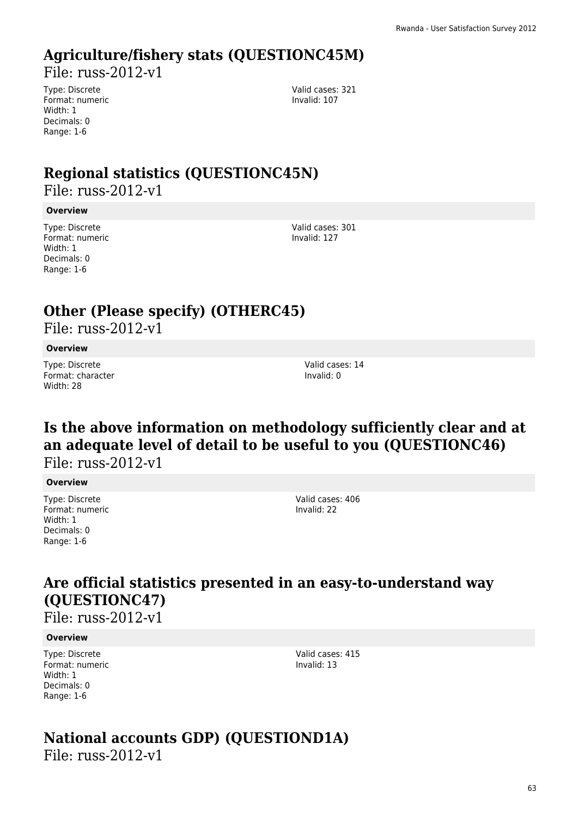# **Agriculture/fishery stats (QUESTIONC45M)**

File: russ-2012-v1

Type: Discrete Format: numeric Width: 1 Decimals: 0 Range: 1-6

Valid cases: 321 Invalid: 107

# **Regional statistics (QUESTIONC45N)**

File: russ-2012-v1

#### **Overview**

Type: Discrete Format: numeric Width: 1 Decimals: 0 Range: 1-6

Valid cases: 301 Invalid: 127

### **Other (Please specify) (OTHERC45)**

File: russ-2012-v1

#### **Overview**

Type: Discrete Format: character Width: 28

Valid cases: 14 Invalid: 0

### **Is the above information on methodology sufficiently clear and at an adequate level of detail to be useful to you (QUESTIONC46)**   $File: russ-2012-v1$

#### **Overview**

Type: Discrete Format: numeric Width: 1 Decimals: 0 Range: 1-6

Valid cases: 406 Invalid: 22

# **Are official statistics presented in an easy-to-understand way (QUESTIONC47)**

File: russ-2012-v1

#### **Overview**

Type: Discrete Format: numeric Width: 1 Decimals: 0 Range: 1-6

Valid cases: 415 Invalid: 13

# **National accounts GDP) (QUESTIOND1A)**

File: russ-2012-v1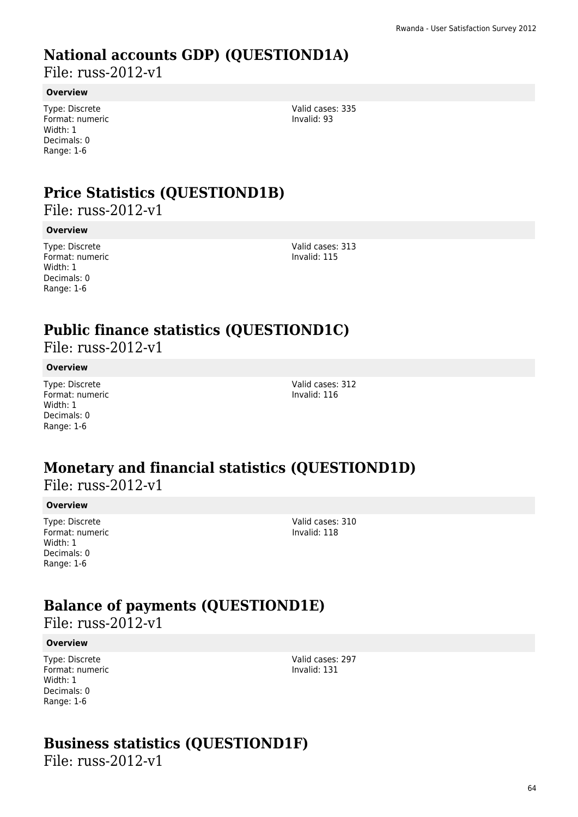### **National accounts GDP) (QUESTIOND1A)**

File: russ-2012-v1

#### **Overview**

Type: Discrete Format: numeric Width: 1 Decimals: 0 Range: 1-6

Valid cases: 335 Invalid: 93

# **Price Statistics (QUESTIOND1B)**

File: russ-2012-v1

#### **Overview**

Type: Discrete Format: numeric Width: 1 Decimals: 0 Range: 1-6

Valid cases: 313 Invalid: 115

### **Public finance statistics (QUESTIOND1C)**

File: russ-2012-v1

#### **Overview**

Type: Discrete Format: numeric Width: 1 Decimals: 0 Range: 1-6

Valid cases: 312 Invalid: 116

### **Monetary and financial statistics (QUESTIOND1D)**  File: russ-2012-v1

#### **Overview**

Type: Discrete Format: numeric Width: 1 Decimals: 0 Range: 1-6

Valid cases: 310 Invalid: 118

# **Balance of payments (QUESTIOND1E)**

File: russ-2012-v1

#### **Overview**

Type: Discrete Format: numeric Width: 1 Decimals: 0 Range: 1-6

Valid cases: 297 Invalid: 131

# **Business statistics (QUESTIOND1F)**

File: russ-2012-v1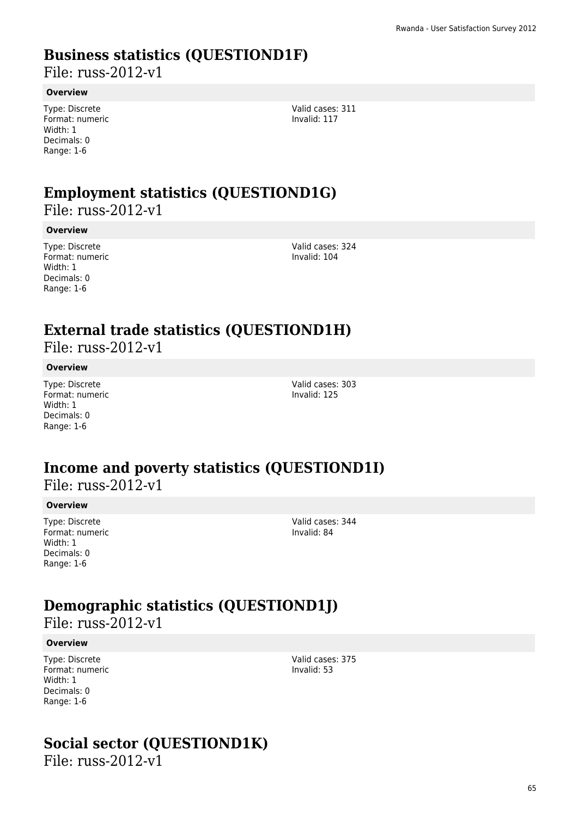### **Business statistics (QUESTIOND1F)**

File: russ-2012-v1

#### **Overview**

Type: Discrete Format: numeric Width: 1 Decimals: 0 Range: 1-6

Valid cases: 311 Invalid: 117

### **Employment statistics (QUESTIOND1G)**

File: russ-2012-v1

#### **Overview**

Type: Discrete Format: numeric Width: 1 Decimals: 0 Range: 1-6

Valid cases: 324 Invalid: 104

### **External trade statistics (QUESTIOND1H)**

File: russ-2012-v1

#### **Overview**

Type: Discrete Format: numeric Width: 1 Decimals: 0 Range: 1-6

Valid cases: 303 Invalid: 125

### **Income and poverty statistics (QUESTIOND1I)**  File: russ-2012-v1

#### **Overview**

Type: Discrete Format: numeric Width: 1 Decimals: 0 Range: 1-6

Valid cases: 344 Invalid: 84

# **Demographic statistics (QUESTIOND1J)**

File: russ-2012-v1

#### **Overview**

Type: Discrete Format: numeric Width: 1 Decimals: 0 Range: 1-6

# **Social sector (QUESTIOND1K)**

File: russ-2012-v1

Valid cases: 375 Invalid: 53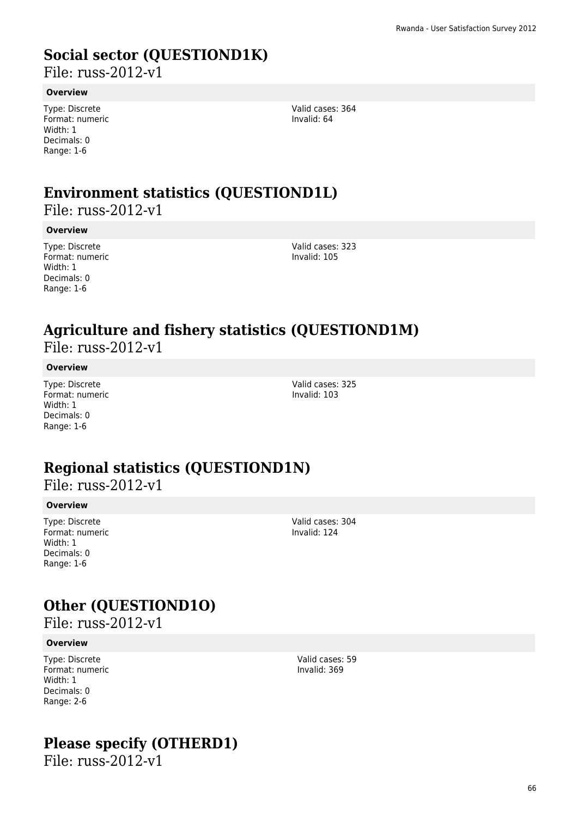# **Social sector (QUESTIOND1K)**

File: russ-2012-v1

#### **Overview**

Type: Discrete Format: numeric Width: 1 Decimals: 0 Range: 1-6

Valid cases: 364 Invalid: 64

### **Environment statistics (QUESTIOND1L)**

File: russ-2012-v1

#### **Overview**

Type: Discrete Format: numeric Width: 1 Decimals: 0 Range: 1-6

Valid cases: 323 Invalid: 105

# **Agriculture and fishery statistics (QUESTIOND1M)**

File: russ-2012-v1

#### **Overview**

Type: Discrete Format: numeric Width: 1 Decimals: 0 Range: 1-6

Valid cases: 325 Invalid: 103

# **Regional statistics (QUESTIOND1N)**

File: russ-2012-v1

#### **Overview**

Type: Discrete Format: numeric Width: 1 Decimals: 0 Range: 1-6

Valid cases: 304 Invalid: 124

# **Other (QUESTIOND1O)**

File: russ-2012-v1

#### **Overview**

Type: Discrete Format: numeric Width: 1 Decimals: 0 Range: 2-6

### **Please specify (OTHERD1)**

File: russ-2012-v1

Valid cases: 59 Invalid: 369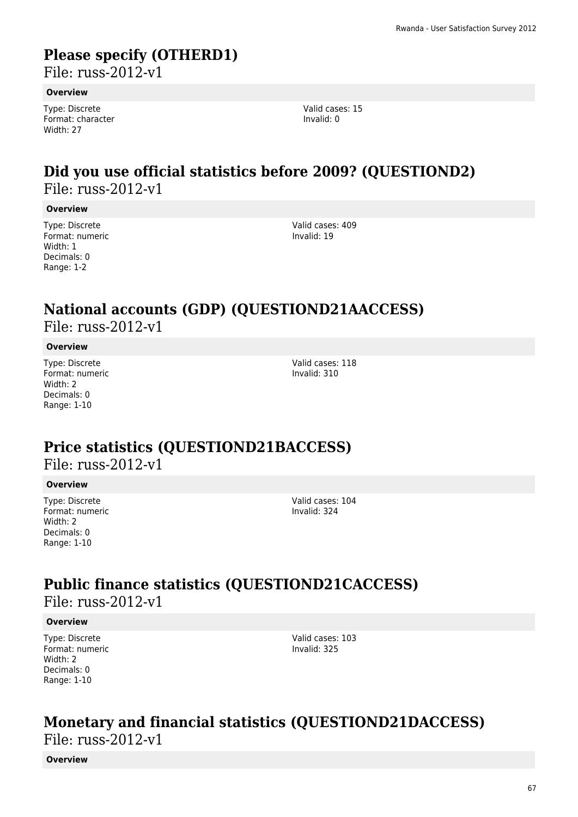# **Please specify (OTHERD1)**

File: russ-2012-v1

#### **Overview**

Type: Discrete Format: character Width: 27

Valid cases: 15 Invalid: 0

# **Did you use official statistics before 2009? (QUESTIOND2)**

File: russ-2012-v1

#### **Overview**

Type: Discrete Format: numeric Width: 1 Decimals: 0 Range: 1-2

Valid cases: 409 Invalid: 19

### **National accounts (GDP) (QUESTIOND21AACCESS)**   $File: r$ uss-2012-v1

#### **Overview**

Type: Discrete Format: numeric Width: 2 Decimals: 0 Range: 1-10

Valid cases: 118 Invalid: 310

# **Price statistics (QUESTIOND21BACCESS)**

File: russ-2012-v1

#### **Overview**

Type: Discrete Format: numeric Width: 2 Decimals: 0 Range: 1-10

Valid cases: 104 Invalid: 324

# **Public finance statistics (QUESTIOND21CACCESS)**

File: russ-2012-v1

#### **Overview**

Type: Discrete Format: numeric Width: 2 Decimals: 0 Range: 1-10

Valid cases: 103 Invalid: 325

# **Monetary and financial statistics (QUESTIOND21DACCESS)**

File: russ-2012-v1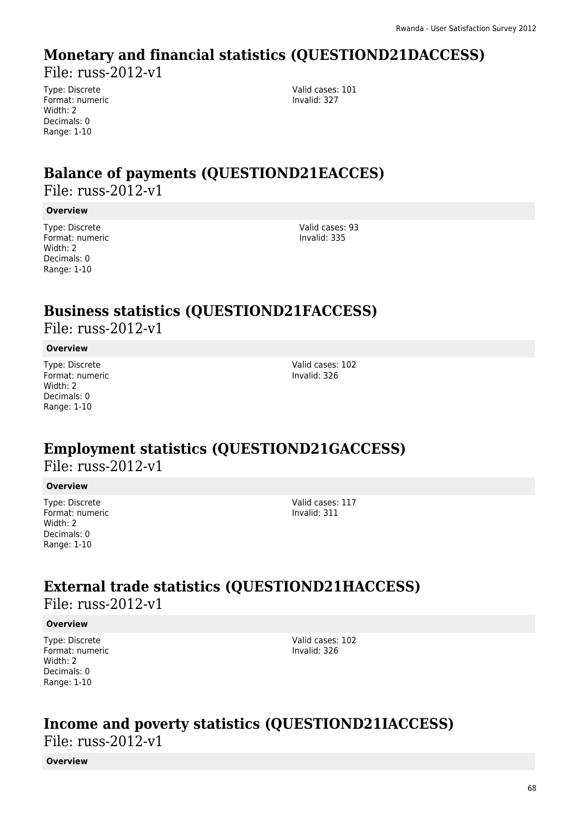# **Monetary and financial statistics (QUESTIOND21DACCESS)**

File: russ-2012-v1

Type: Discrete Format: numeric Width: 2 Decimals: 0 Range: 1-10

Valid cases: 101 Invalid: 327

### **Balance of payments (QUESTIOND21EACCES)**  File: russ-2012-v1

#### **Overview**

Type: Discrete Format: numeric Width: 2 Decimals: 0 Range: 1-10

Valid cases: 93 Invalid: 335

### **Business statistics (QUESTIOND21FACCESS)**

File: russ-2012-v1

#### **Overview**

Type: Discrete Format: numeric Width: 2 Decimals: 0 Range: 1-10

Valid cases: 102 Invalid: 326

# **Employment statistics (QUESTIOND21GACCESS)**

File: russ-2012-v1

#### **Overview**

Type: Discrete Format: numeric Width: 2 Decimals: 0 Range: 1-10

Valid cases: 117 Invalid: 311

# **External trade statistics (QUESTIOND21HACCESS)**

File: russ-2012-v1

#### **Overview**

Type: Discrete Format: numeric Width: 2 Decimals: 0 Range: 1-10

Valid cases: 102 Invalid: 326

### **Income and poverty statistics (QUESTIOND21IACCESS)**

File: russ-2012-v1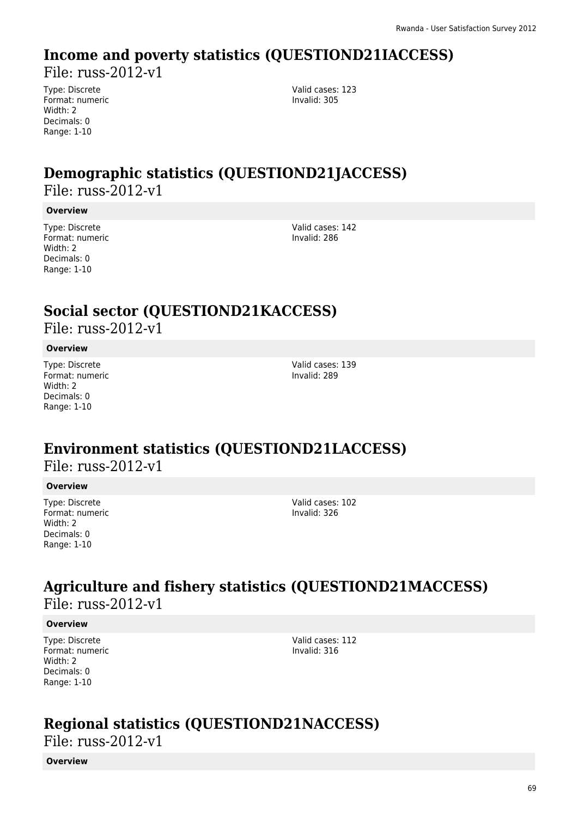### **Income and poverty statistics (QUESTIOND21IACCESS)**

File: russ-2012-v1

Type: Discrete Format: numeric Width: 2 Decimals: 0 Range: 1-10

Valid cases: 123 Invalid: 305

# **Demographic statistics (QUESTIOND21JACCESS)**

File: russ-2012-v1

#### **Overview**

Type: Discrete Format: numeric Width: 2 Decimals: 0 Range: 1-10

Valid cases: 142 Invalid: 286

### **Social sector (QUESTIOND21KACCESS)**

File: russ-2012-v1

#### **Overview**

Type: Discrete Format: numeric Width: 2 Decimals: 0 Range: 1-10

Valid cases: 139 Invalid: 289

# **Environment statistics (QUESTIOND21LACCESS)**

File: russ-2012-v1

#### **Overview**

Type: Discrete Format: numeric Width: 2 Decimals: 0 Range: 1-10

Valid cases: 102 Invalid: 326

### **Agriculture and fishery statistics (QUESTIOND21MACCESS)**  File: russ-2012-v1

#### **Overview**

Type: Discrete Format: numeric Width: 2 Decimals: 0 Range: 1-10

Valid cases: 112 Invalid: 316

### **Regional statistics (QUESTIOND21NACCESS)**

File: russ-2012-v1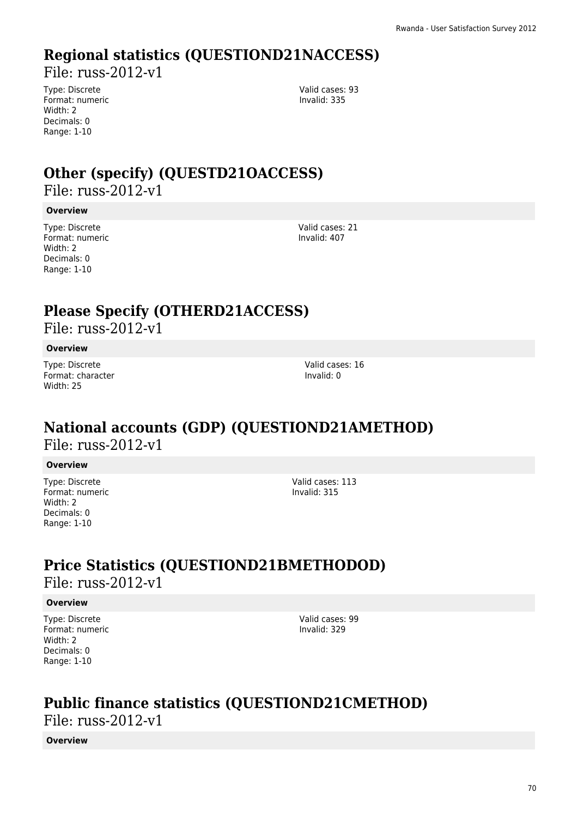# **Regional statistics (QUESTIOND21NACCESS)**

File: russ-2012-v1

Type: Discrete Format: numeric Width: 2 Decimals: 0 Range: 1-10

Valid cases: 93 Invalid: 335

# **Other (specify) (QUESTD21OACCESS)**

File: russ-2012-v1

#### **Overview**

Type: Discrete Format: numeric Width: 2 Decimals: 0 Range: 1-10

Valid cases: 21 Invalid: 407

### **Please Specify (OTHERD21ACCESS)**

File: russ-2012-v1

#### **Overview**

Type: Discrete Format: character Width: 25

Valid cases: 16 Invalid: 0

### **National accounts (GDP) (QUESTIOND21AMETHOD)**  File: russ-2012-v1

#### **Overview**

Type: Discrete Format: numeric Width: 2 Decimals: 0 Range: 1-10

Valid cases: 113 Invalid: 315

### **Price Statistics (QUESTIOND21BMETHODOD)**  File: russ-2012-v1

#### **Overview**

Type: Discrete Format: numeric Width: 2 Decimals: 0 Range: 1-10

Valid cases: 99 Invalid: 329

# **Public finance statistics (QUESTIOND21CMETHOD)**

File: russ-2012-v1

**Overview**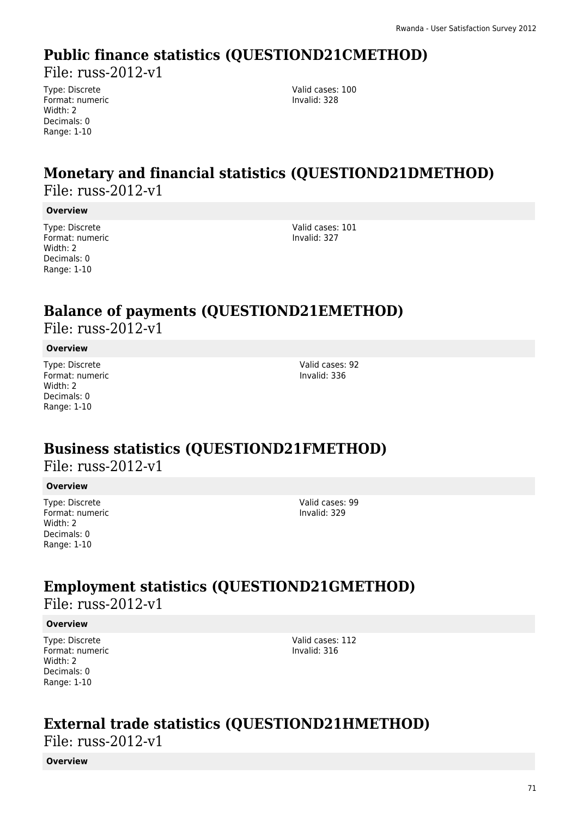### **Public finance statistics (QUESTIOND21CMETHOD)**

File: russ-2012-v1

Type: Discrete Format: numeric Width: 2 Decimals: 0 Range: 1-10

Valid cases: 100 Invalid: 328

### **Monetary and financial statistics (QUESTIOND21DMETHOD)**  File: russ-2012-v1

#### **Overview**

Type: Discrete Format: numeric Width: 2 Decimals: 0 Range: 1-10

Valid cases: 101 Invalid: 327

# **Balance of payments (QUESTIOND21EMETHOD)**

File: russ-2012-v1

#### **Overview**

Type: Discrete Format: numeric Width: 2 Decimals: 0 Range: 1-10

Valid cases: 92 Invalid: 336

# **Business statistics (QUESTIOND21FMETHOD)**

File: russ-2012-v1

#### **Overview**

Type: Discrete Format: numeric Width: 2 Decimals: 0 Range: 1-10

Valid cases: 99 Invalid: 329

### **Employment statistics (QUESTIOND21GMETHOD)**

File: russ-2012-v1

#### **Overview**

Type: Discrete Format: numeric Width: 2 Decimals: 0 Range: 1-10

Valid cases: 112 Invalid: 316

### **External trade statistics (QUESTIOND21HMETHOD)**

File: russ-2012-v1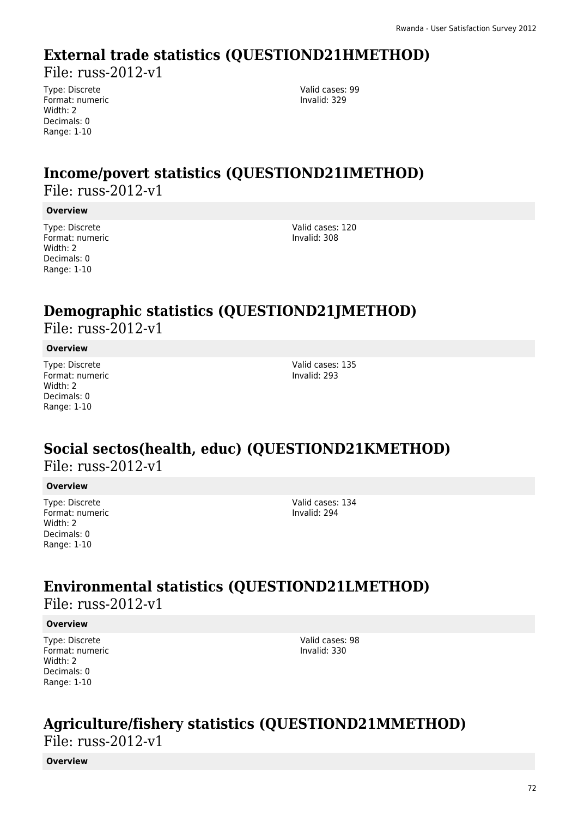### **External trade statistics (QUESTIOND21HMETHOD)**

File: russ-2012-v1

Type: Discrete Format: numeric Width: 2 Decimals: 0 Range: 1-10

Valid cases: 99 Invalid: 329

### **Income/povert statistics (QUESTIOND21IMETHOD)**  File: russ-2012-v1

#### **Overview**

Type: Discrete Format: numeric Width: 2 Decimals: 0 Range: 1-10

Valid cases: 120 Invalid: 308

### **Demographic statistics (QUESTIOND21JMETHOD)**

File: russ-2012-v1

#### **Overview**

Type: Discrete Format: numeric Width: 2 Decimals: 0 Range: 1-10

Valid cases: 135 Invalid: 293

### **Social sectos(health, educ) (QUESTIOND21KMETHOD)**  File: russ-2012-v1

#### **Overview**

Type: Discrete Format: numeric Width: 2 Decimals: 0 Range: 1-10

Valid cases: 134 Invalid: 294

### **Environmental statistics (QUESTIOND21LMETHOD)**  File: russ-2012-v1

#### **Overview**

Type: Discrete Format: numeric Width: 2 Decimals: 0 Range: 1-10

Valid cases: 98 Invalid: 330

### **Agriculture/fishery statistics (QUESTIOND21MMETHOD)**

File: russ-2012-v1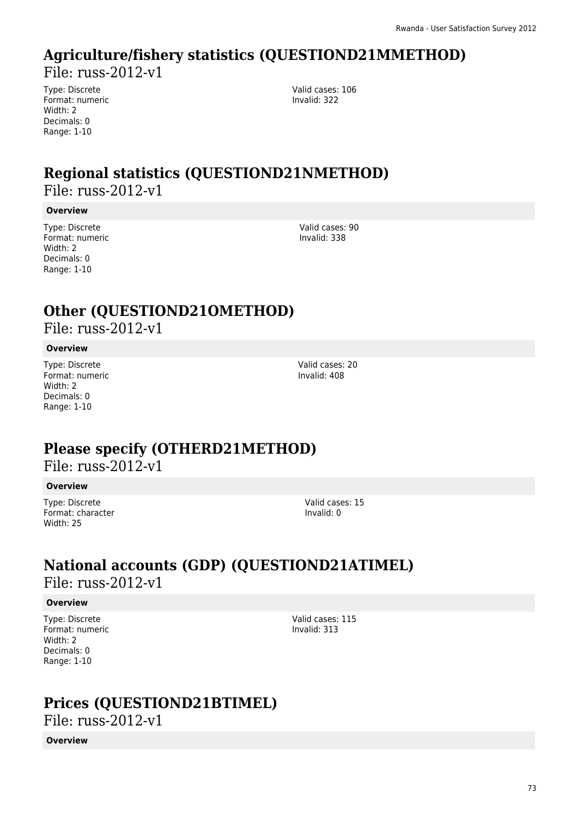## **Agriculture/fishery statistics (QUESTIOND21MMETHOD)**

File: russ-2012-v1

Type: Discrete Format: numeric Width: 2 Decimals: 0 Range: 1-10

Valid cases: 106 Invalid: 322

# **Regional statistics (QUESTIOND21NMETHOD)**

File: russ-2012-v1

### **Overview**

Type: Discrete Format: numeric Width: 2 Decimals: 0 Range: 1-10

Valid cases: 90 Invalid: 338

## **Other (QUESTIOND21OMETHOD)**

File: russ-2012-v1

### **Overview**

Type: Discrete Format: numeric Width: 2 Decimals: 0 Range: 1-10

Valid cases: 20 Invalid: 408

## **Please specify (OTHERD21METHOD)**

File: russ-2012-v1

### **Overview**

Type: Discrete Format: character Width: 25

Valid cases: 15 Invalid: 0

## **National accounts (GDP) (QUESTIOND21ATIMEL)**  File: russ-2012-v1

### **Overview**

Type: Discrete Format: numeric Width: 2 Decimals: 0 Range: 1-10

Valid cases: 115 Invalid: 313

# **Prices (QUESTIOND21BTIMEL)**

File: russ-2012-v1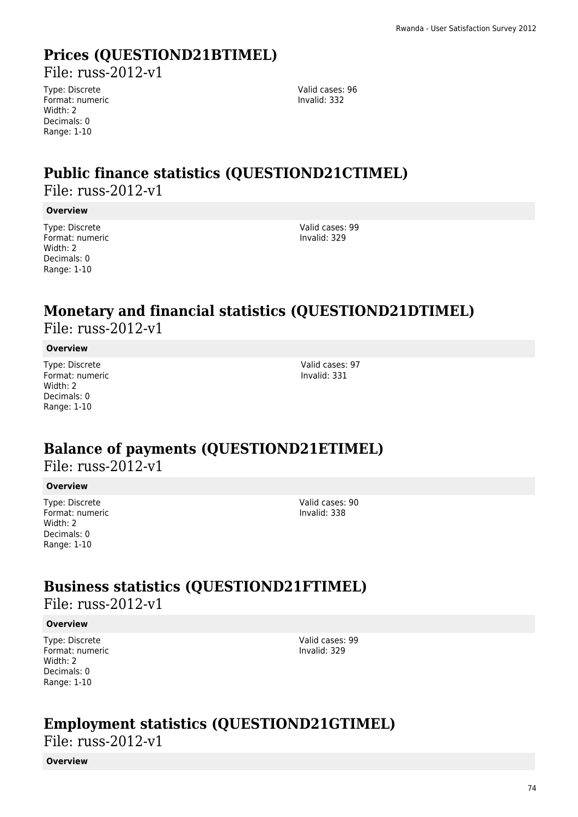# **Prices (QUESTIOND21BTIMEL)**

File: russ-2012-v1

Type: Discrete Format: numeric Width: 2 Decimals: 0 Range: 1-10

Valid cases: 96 Invalid: 332

# **Public finance statistics (QUESTIOND21CTIMEL)**

File: russ-2012-v1

### **Overview**

Type: Discrete Format: numeric Width: 2 Decimals: 0 Range: 1-10

Valid cases: 99 Invalid: 329

# **Monetary and financial statistics (QUESTIOND21DTIMEL)**

File: russ-2012-v1

### **Overview**

Type: Discrete Format: numeric Width: 2 Decimals: 0 Range: 1-10

Valid cases: 97 Invalid: 331

## **Balance of payments (QUESTIOND21ETIMEL)**  File: russ-2012-v1

### **Overview**

Type: Discrete Format: numeric Width: 2 Decimals: 0 Range: 1-10

Valid cases: 90 Invalid: 338

## **Business statistics (QUESTIOND21FTIMEL)**

File: russ-2012-v1

### **Overview**

Type: Discrete Format: numeric Width: 2 Decimals: 0 Range: 1-10

Valid cases: 99 Invalid: 329

## **Employment statistics (QUESTIOND21GTIMEL)**

File: russ-2012-v1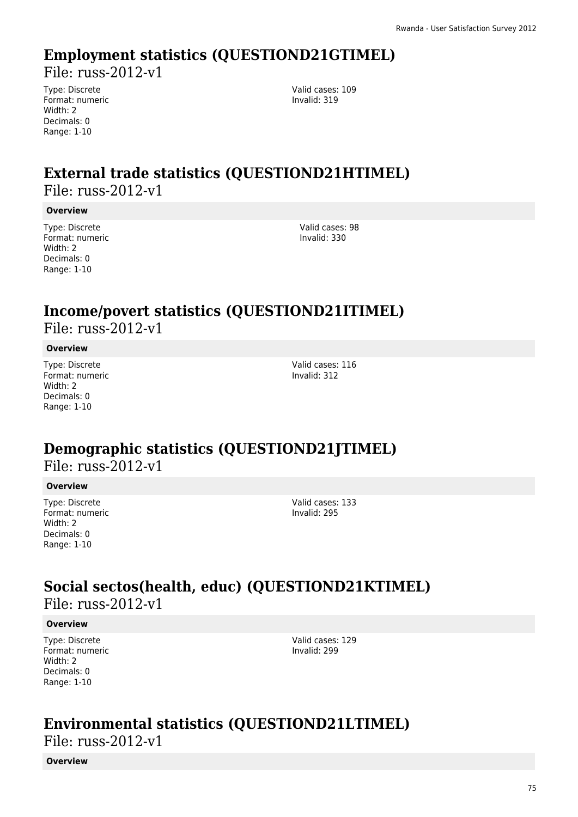## **Employment statistics (QUESTIOND21GTIMEL)**

File: russ-2012-v1

Type: Discrete Format: numeric Width: 2 Decimals: 0 Range: 1-10

Valid cases: 109 Invalid: 319

## **External trade statistics (QUESTIOND21HTIMEL)**  File: russ-2012-v1

### **Overview**

Type: Discrete Format: numeric Width: 2 Decimals: 0 Range: 1-10

Valid cases: 98 Invalid: 330

## **Income/povert statistics (QUESTIOND21ITIMEL)**

File: russ-2012-v1

### **Overview**

Type: Discrete Format: numeric Width: 2 Decimals: 0 Range: 1-10

Valid cases: 116 Invalid: 312

# **Demographic statistics (QUESTIOND21JTIMEL)**

File: russ-2012-v1

### **Overview**

Type: Discrete Format: numeric Width: 2 Decimals: 0 Range: 1-10

Valid cases: 133 Invalid: 295

## **Social sectos(health, educ) (QUESTIOND21KTIMEL)**  File: russ-2012-v1

### **Overview**

Type: Discrete Format: numeric Width: 2 Decimals: 0 Range: 1-10

Valid cases: 129 Invalid: 299

## **Environmental statistics (QUESTIOND21LTIMEL)**

File: russ-2012-v1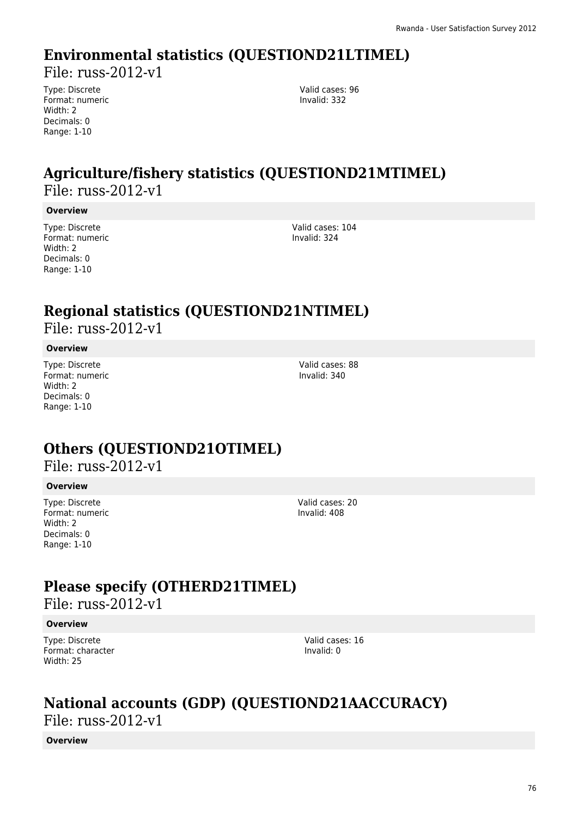## **Environmental statistics (QUESTIOND21LTIMEL)**

File: russ-2012-v1

Type: Discrete Format: numeric Width: 2 Decimals: 0 Range: 1-10

Valid cases: 96 Invalid: 332

# **Agriculture/fishery statistics (QUESTIOND21MTIMEL)**  File: russ-2012-v1

### **Overview**

Type: Discrete Format: numeric Width: 2 Decimals: 0 Range: 1-10

Valid cases: 104 Invalid: 324

## **Regional statistics (QUESTIOND21NTIMEL)**

File: russ-2012-v1

### **Overview**

Type: Discrete Format: numeric Width: 2 Decimals: 0 Range: 1-10

Valid cases: 88 Invalid: 340

## **Others (QUESTIOND21OTIMEL)**

File: russ-2012-v1

### **Overview**

Type: Discrete Format: numeric Width: 2 Decimals: 0 Range: 1-10

Valid cases: 20 Invalid: 408

## **Please specify (OTHERD21TIMEL)**

File: russ-2012-v1

### **Overview**

Type: Discrete Format: character Width: 25

Valid cases: 16 Invalid: 0

# **National accounts (GDP) (QUESTIOND21AACCURACY)**

File: russ-2012-v1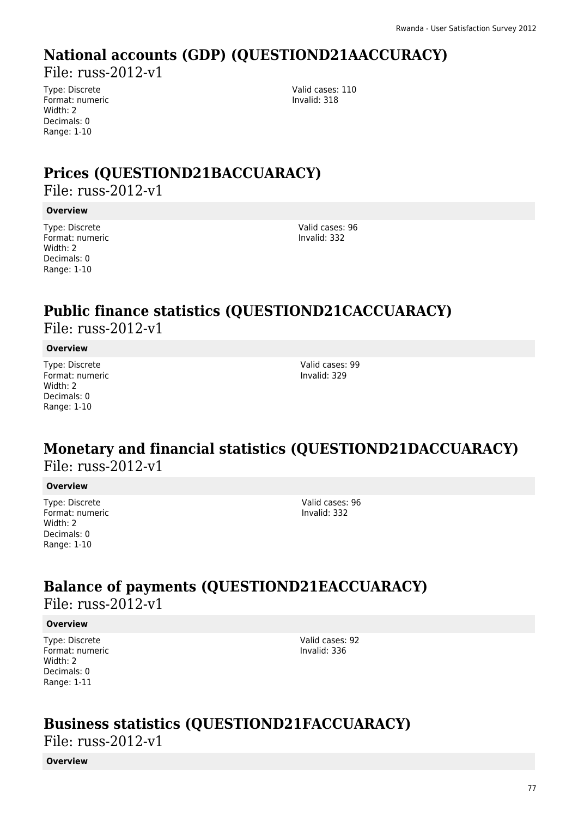## **National accounts (GDP) (QUESTIOND21AACCURACY)**

File: russ-2012-v1

Type: Discrete Format: numeric Width: 2 Decimals: 0 Range: 1-10

Valid cases: 110 Invalid: 318

# **Prices (QUESTIOND21BACCUARACY)**

File: russ-2012-v1

### **Overview**

Type: Discrete Format: numeric Width: 2 Decimals: 0 Range: 1-10

Valid cases: 96 Invalid: 332

# **Public finance statistics (QUESTIOND21CACCUARACY)**

File: russ-2012-v1

### **Overview**

Type: Discrete Format: numeric Width: 2 Decimals: 0 Range: 1-10

Valid cases: 99 Invalid: 329

## **Monetary and financial statistics (QUESTIOND21DACCUARACY)**  File: russ-2012-v1

### **Overview**

Type: Discrete Format: numeric Width: 2 Decimals: 0 Range: 1-10

Valid cases: 96 Invalid: 332

## **Balance of payments (QUESTIOND21EACCUARACY)**  File: russ-2012-v1

### **Overview**

Type: Discrete Format: numeric Width: 2 Decimals: 0 Range: 1-11

Valid cases: 92 Invalid: 336

## **Business statistics (QUESTIOND21FACCUARACY)**

File: russ-2012-v1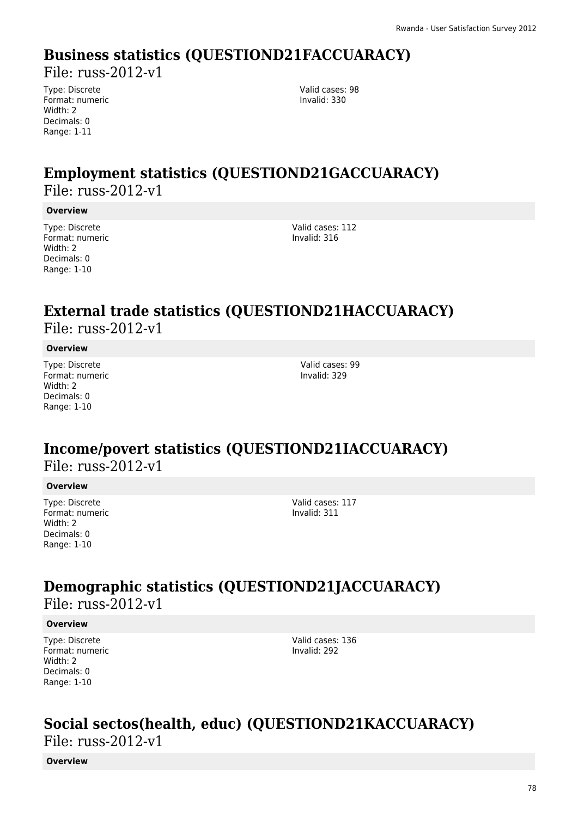## **Business statistics (QUESTIOND21FACCUARACY)**

File: russ-2012-v1

Type: Discrete Format: numeric Width: 2 Decimals: 0 Range: 1-11

Valid cases: 98 Invalid: 330

## **Employment statistics (QUESTIOND21GACCUARACY)**  File: russ-2012-v1

#### **Overview**

Type: Discrete Format: numeric Width: 2 Decimals: 0 Range: 1-10

Valid cases: 112 Invalid: 316

## **External trade statistics (QUESTIOND21HACCUARACY)**

File: russ-2012-v1

### **Overview**

Type: Discrete Format: numeric Width: 2 Decimals: 0 Range: 1-10

Valid cases: 99 Invalid: 329

## **Income/povert statistics (QUESTIOND21IACCUARACY)**  File: russ-2012-v1

### **Overview**

Type: Discrete Format: numeric Width: 2 Decimals: 0 Range: 1-10

Valid cases: 117 Invalid: 311

## **Demographic statistics (QUESTIOND21JACCUARACY)**

File: russ-2012-v1

### **Overview**

Type: Discrete Format: numeric Width: 2 Decimals: 0 Range: 1-10

Valid cases: 136 Invalid: 292

# **Social sectos(health, educ) (QUESTIOND21KACCUARACY)**

File: russ-2012-v1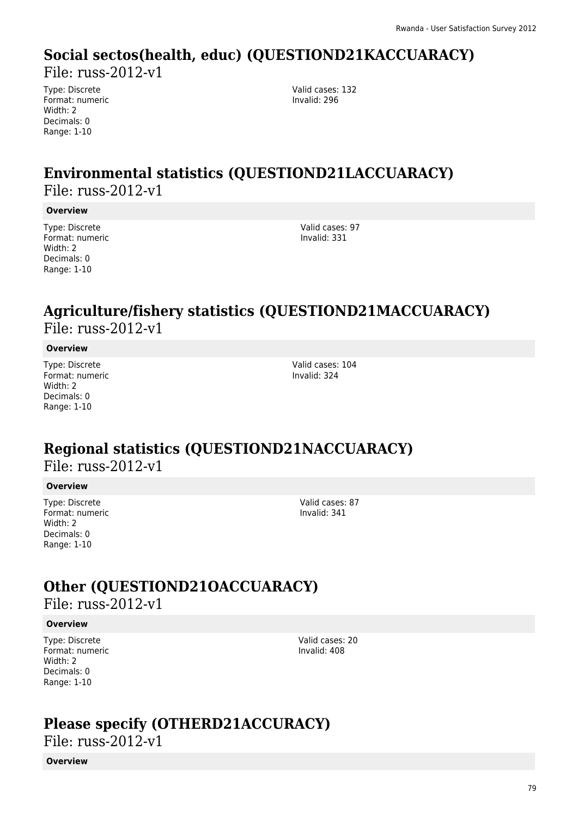# **Social sectos(health, educ) (QUESTIOND21KACCUARACY)**

File: russ-2012-v1

Type: Discrete Format: numeric Width: 2 Decimals: 0 Range: 1-10

Valid cases: 132 Invalid: 296

## **Environmental statistics (QUESTIOND21LACCUARACY)**  File: russ-2012-v1

### **Overview**

Type: Discrete Format: numeric Width: 2 Decimals: 0 Range: 1-10

Valid cases: 97 Invalid: 331

## **Agriculture/fishery statistics (QUESTIOND21MACCUARACY)**  File: russ-2012-v1

### **Overview**

Type: Discrete Format: numeric Width: 2 Decimals: 0 Range: 1-10

Valid cases: 104 Invalid: 324

## **Regional statistics (QUESTIOND21NACCUARACY)**  File: russ-2012-v1

### **Overview**

Type: Discrete Format: numeric Width: 2 Decimals: 0 Range: 1-10

Valid cases: 87 Invalid: 341

## **Other (QUESTIOND21OACCUARACY)**

File: russ-2012-v1

### **Overview**

Type: Discrete Format: numeric Width: 2 Decimals: 0 Range: 1-10

Valid cases: 20 Invalid: 408

## **Please specify (OTHERD21ACCURACY)**

File: russ-2012-v1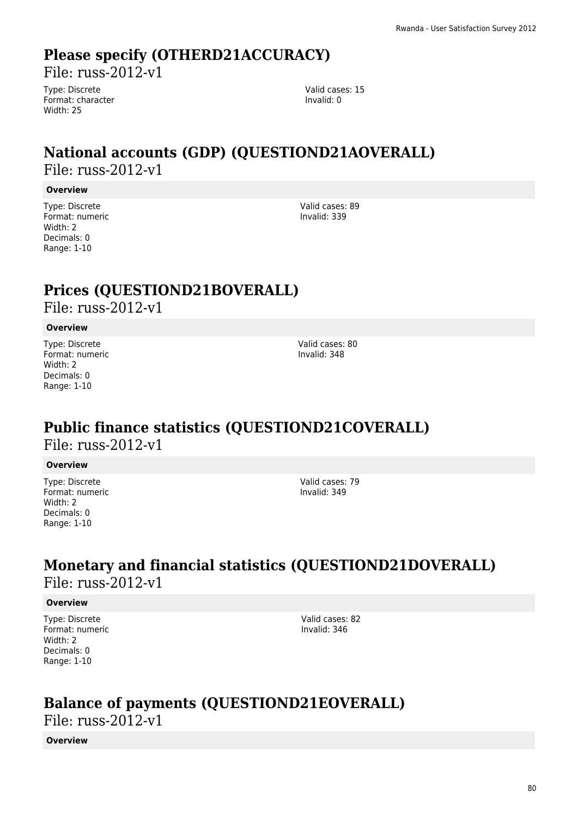# **Please specify (OTHERD21ACCURACY)**

File: russ-2012-v1

Type: Discrete Format: character Width: 25

Valid cases: 15 Invalid: 0

## **National accounts (GDP) (QUESTIOND21AOVERALL)**  File: russ-2012-v1

#### **Overview**

Type: Discrete Format: numeric Width: 2 Decimals: 0 Range: 1-10

Valid cases: 89 Invalid: 339

# **Prices (QUESTIOND21BOVERALL)**

 $File: russ-2012-v1$ 

### **Overview**

Type: Discrete Format: numeric Width: 2 Decimals: 0 Range: 1-10

Valid cases: 80 Invalid: 348

## **Public finance statistics (QUESTIOND21COVERALL)**  File: russ-2012-v1

### **Overview**

Type: Discrete Format: numeric Width: 2 Decimals: 0 Range: 1-10

Valid cases: 79 Invalid: 349

## **Monetary and financial statistics (QUESTIOND21DOVERALL)**  File: russ-2012-v1

### **Overview**

Type: Discrete Format: numeric Width: 2 Decimals: 0 Range: 1-10

Valid cases: 82 Invalid: 346

# **Balance of payments (QUESTIOND21EOVERALL)**

File: russ-2012-v1

**Overview**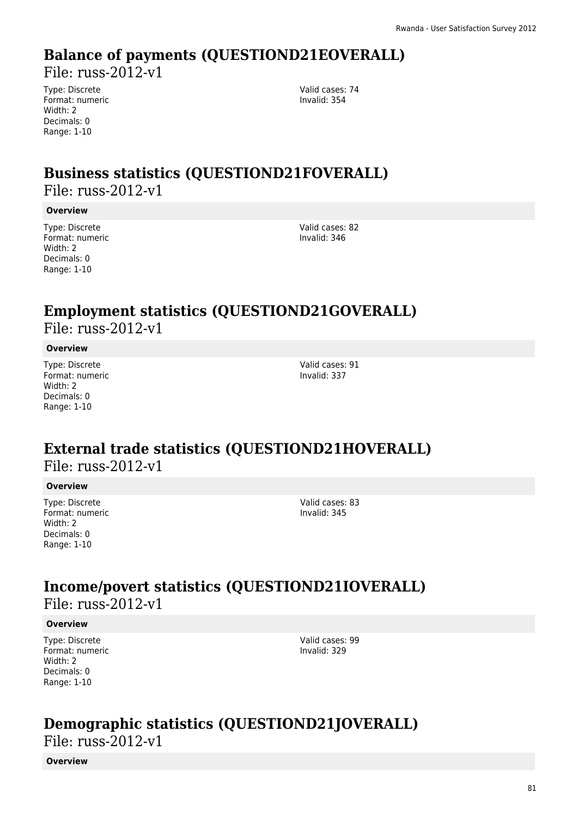## **Balance of payments (QUESTIOND21EOVERALL)**

File: russ-2012-v1

Type: Discrete Format: numeric Width: 2 Decimals: 0 Range: 1-10

Valid cases: 74 Invalid: 354

# **Business statistics (QUESTIOND21FOVERALL)**

File: russ-2012-v1

### **Overview**

Type: Discrete Format: numeric Width: 2 Decimals: 0 Range: 1-10

Valid cases: 82 Invalid: 346

## **Employment statistics (QUESTIOND21GOVERALL)**

File: russ-2012-v1

### **Overview**

Type: Discrete Format: numeric Width: 2 Decimals: 0 Range: 1-10

Valid cases: 91 Invalid: 337

## **External trade statistics (QUESTIOND21HOVERALL)**  File: russ-2012-v1

### **Overview**

Type: Discrete Format: numeric Width: 2 Decimals: 0 Range: 1-10

Valid cases: 83 Invalid: 345

## **Income/povert statistics (QUESTIOND21IOVERALL)**  File: russ-2012-v1

### **Overview**

Type: Discrete Format: numeric Width: 2 Decimals: 0 Range: 1-10

Valid cases: 99 Invalid: 329

# **Demographic statistics (QUESTIOND21JOVERALL)**

File: russ-2012-v1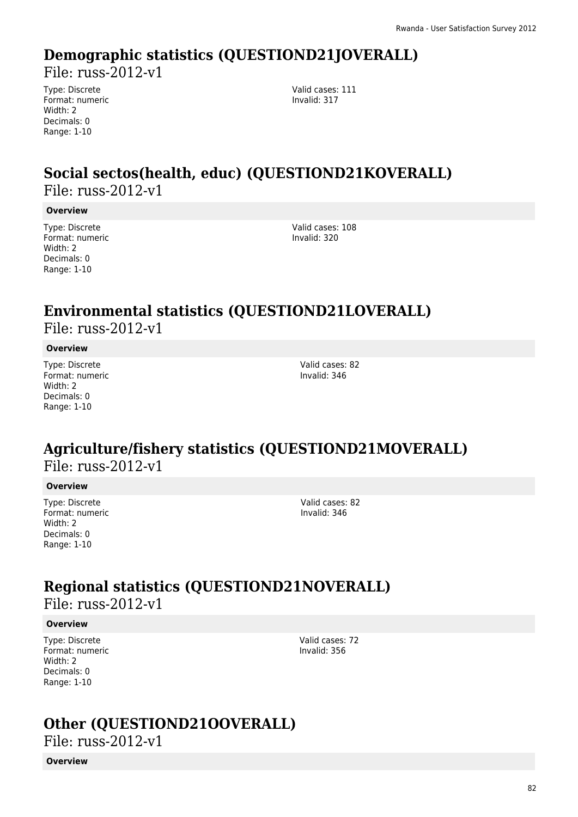## **Demographic statistics (QUESTIOND21JOVERALL)**

File: russ-2012-v1

Type: Discrete Format: numeric Width: 2 Decimals: 0 Range: 1-10

Valid cases: 111 Invalid: 317

## **Social sectos(health, educ) (QUESTIOND21KOVERALL)**  File: russ-2012-v1

### **Overview**

Type: Discrete Format: numeric Width: 2 Decimals: 0 Range: 1-10

Valid cases: 108 Invalid: 320

## **Environmental statistics (QUESTIOND21LOVERALL)**

File: russ-2012-v1

### **Overview**

Type: Discrete Format: numeric Width: 2 Decimals: 0 Range: 1-10

Valid cases: 82 Invalid: 346

## **Agriculture/fishery statistics (QUESTIOND21MOVERALL)**  File: russ-2012-v1

### **Overview**

Type: Discrete Format: numeric Width: 2 Decimals: 0 Range: 1-10

Valid cases: 82 Invalid: 346

# **Regional statistics (QUESTIOND21NOVERALL)**

File: russ-2012-v1

### **Overview**

Type: Discrete Format: numeric Width: 2 Decimals: 0 Range: 1-10

Valid cases: 72 Invalid: 356

## **Other (QUESTIOND21OOVERALL)**

File: russ-2012-v1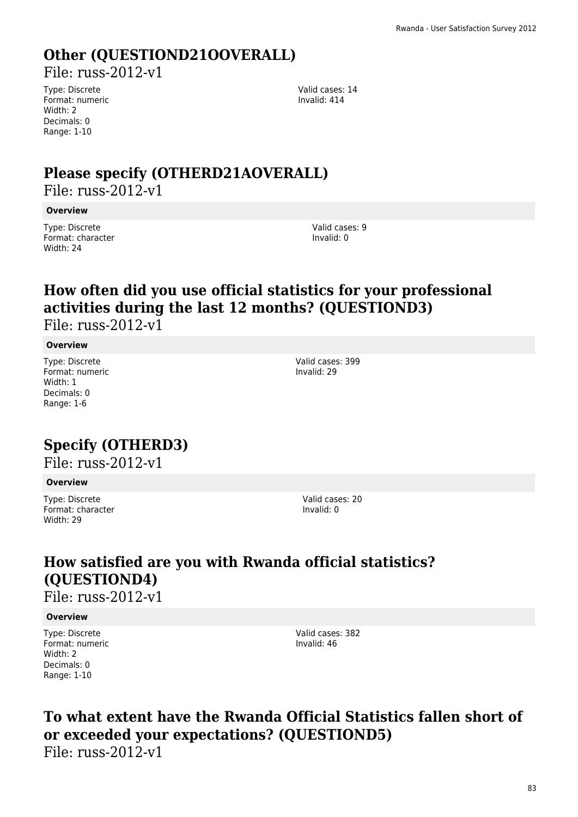# **Other (QUESTIOND21OOVERALL)**

File: russ-2012-v1

Type: Discrete Format: numeric Width: 2 Decimals: 0 Range: 1-10

Valid cases: 14 Invalid: 414

## **Please specify (OTHERD21AOVERALL)**

File: russ-2012-v1

#### **Overview**

Type: Discrete Format: character Width: 24

Valid cases: 9 Invalid: 0

# **How often did you use official statistics for your professional activities during the last 12 months? (QUESTIOND3)**

File: russ-2012-v1

### **Overview**

Type: Discrete Format: numeric Width: 1 Decimals: 0 Range: 1-6

Valid cases: 399 Invalid: 29

# **Specify (OTHERD3)**

 $File: russ-2012-v1$ 

### **Overview**

Type: Discrete Format: character Width: 29

Valid cases: 20 Invalid: 0

# **How satisfied are you with Rwanda official statistics? (QUESTIOND4)**

File: russ-2012-v1

### **Overview**

Type: Discrete Format: numeric Width: 2 Decimals: 0 Range: 1-10

Valid cases: 382 Invalid: 46

## **To what extent have the Rwanda Official Statistics fallen short of or exceeded your expectations? (QUESTIOND5)**  File: russ-2012-v1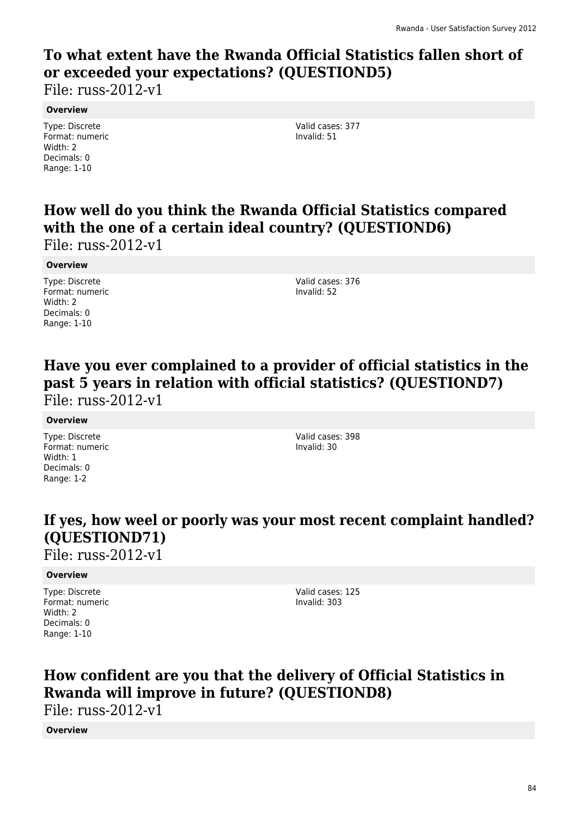# **To what extent have the Rwanda Official Statistics fallen short of or exceeded your expectations? (QUESTIOND5)**

File: russ-2012-v1

### **Overview**

Type: Discrete Format: numeric Width: 2 Decimals: 0 Range: 1-10

Valid cases: 377 Invalid: 51

# **How well do you think the Rwanda Official Statistics compared with the one of a certain ideal country? (QUESTIOND6)**

File: russ-2012-v1

### **Overview**

Type: Discrete Format: numeric Width: 2 Decimals: 0 Range: 1-10

Valid cases: 376 Invalid: 52

## **Have you ever complained to a provider of official statistics in the past 5 years in relation with official statistics? (QUESTIOND7)**  File: russ-2012-v1

### **Overview**

Type: Discrete Format: numeric Width: 1 Decimals: 0 Range: 1-2

Valid cases: 398 Invalid: 30

# **If yes, how weel or poorly was your most recent complaint handled? (QUESTIOND71)**

File: russ-2012-v1

### **Overview**

Type: Discrete Format: numeric Width: 2 Decimals: 0 Range: 1-10

Valid cases: 125 Invalid: 303

## **How confident are you that the delivery of Official Statistics in Rwanda will improve in future? (QUESTIOND8)**

File: russ-2012-v1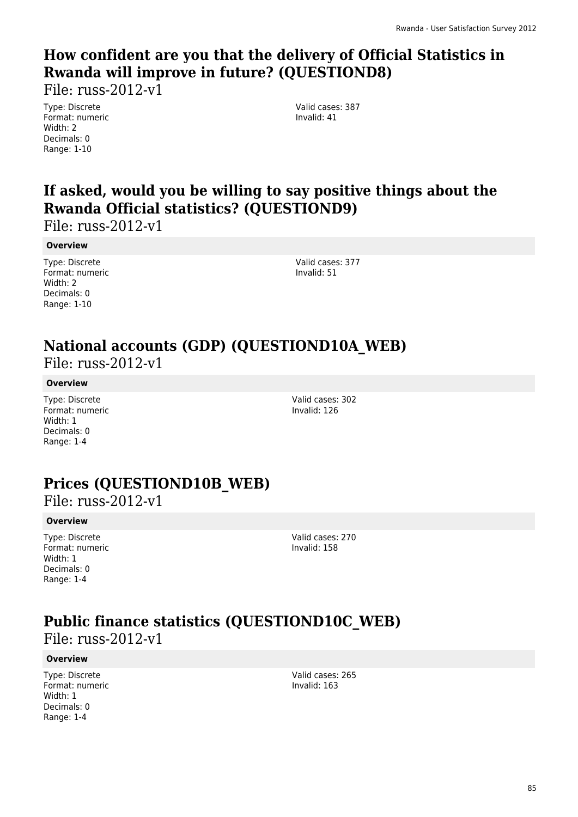# **How confident are you that the delivery of Official Statistics in Rwanda will improve in future? (QUESTIOND8)**

File: russ-2012-v1

Type: Discrete Format: numeric Width: 2 Decimals: 0 Range: 1-10

Valid cases: 387 Invalid: 41

# **If asked, would you be willing to say positive things about the Rwanda Official statistics? (QUESTIOND9)**

File: russ-2012-v1

### **Overview**

Type: Discrete Format: numeric Width: 2 Decimals: 0 Range: 1-10

Valid cases: 377 Invalid: 51

# **National accounts (GDP) (QUESTIOND10A\_WEB)**

File: russ-2012-v1

### **Overview**

Type: Discrete Format: numeric Width: 1 Decimals: 0 Range: 1-4

Valid cases: 302 Invalid: 126

# **Prices (QUESTIOND10B\_WEB)**

 $File: russ-2012-v1$ 

### **Overview**

Type: Discrete Format: numeric Width: 1 Decimals: 0 Range: 1-4

Valid cases: 270 Invalid: 158

### **Public finance statistics (QUESTIOND10C\_WEB)**  File: russ-2012-v1

### **Overview**

Type: Discrete Format: numeric Width: 1 Decimals: 0 Range: 1-4

Valid cases: 265 Invalid: 163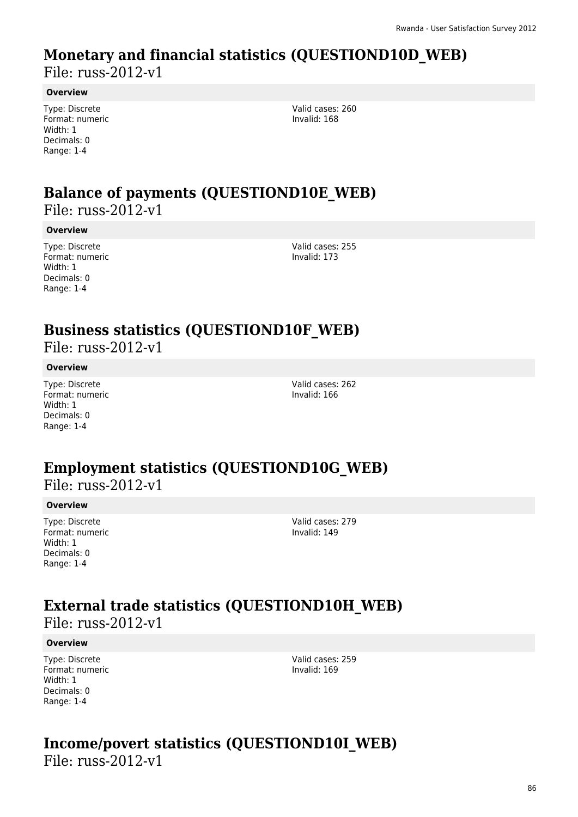# **Monetary and financial statistics (QUESTIOND10D\_WEB)**

File: russ-2012-v1

### **Overview**

Type: Discrete Format: numeric Width: 1 Decimals: 0 Range: 1-4

Valid cases: 260 Invalid: 168

### **Balance of payments (QUESTIOND10E\_WEB)**  File: russ-2012-v1

### **Overview**

Type: Discrete Format: numeric Width: 1 Decimals: 0 Range: 1-4

Valid cases: 255 Invalid: 173

## **Business statistics (QUESTIOND10F\_WEB)**

File: russ-2012-v1

### **Overview**

Type: Discrete Format: numeric Width: 1 Decimals: 0 Range: 1-4

Valid cases: 262 Invalid: 166

### **Employment statistics (QUESTIOND10G\_WEB)**  File: russ-2012-v1

### **Overview**

Type: Discrete Format: numeric Width: 1 Decimals: 0 Range: 1-4

Valid cases: 279 Invalid: 149

# **External trade statistics (QUESTIOND10H\_WEB)**

File: russ-2012-v1

### **Overview**

Type: Discrete Format: numeric Width: 1 Decimals: 0 Range: 1-4

Valid cases: 259 Invalid: 169

# **Income/povert statistics (QUESTIOND10I\_WEB)**

File: russ-2012-v1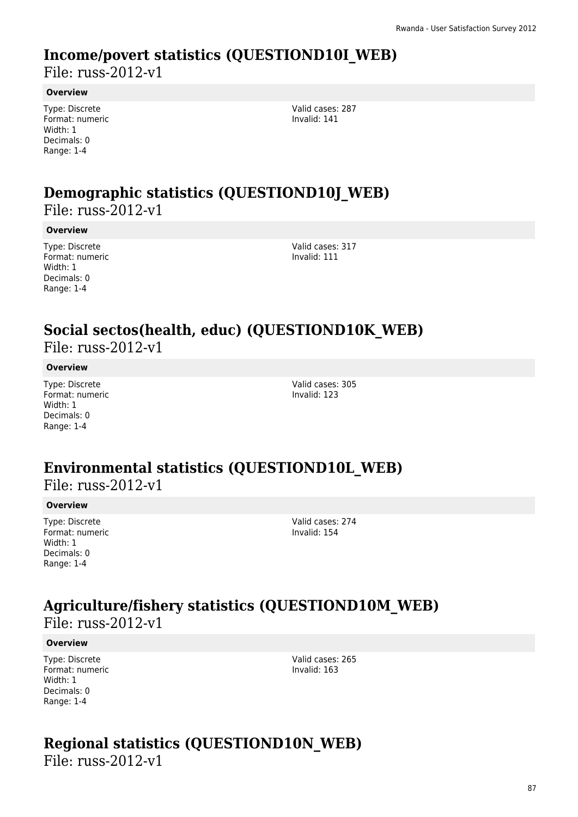## **Income/povert statistics (QUESTIOND10I\_WEB)**

File: russ-2012-v1

### **Overview**

Type: Discrete Format: numeric Width: 1 Decimals: 0 Range: 1-4

Valid cases: 287 Invalid: 141

# **Demographic statistics (QUESTIOND10J\_WEB)**

File: russ-2012-v1

#### **Overview**

Type: Discrete Format: numeric Width: 1 Decimals: 0 Range: 1-4

Valid cases: 317 Invalid: 111

# **Social sectos(health, educ) (QUESTIOND10K\_WEB)**

File: russ-2012-v1

### **Overview**

Type: Discrete Format: numeric Width: 1 Decimals: 0 Range: 1-4

Valid cases: 305 Invalid: 123

### **Environmental statistics (QUESTIOND10L\_WEB)**  File: russ-2012-v1

#### **Overview**

Type: Discrete Format: numeric Width: 1 Decimals: 0 Range: 1-4

Valid cases: 274 Invalid: 154

### **Agriculture/fishery statistics (QUESTIOND10M\_WEB)**  File: russ-2012-v1

### **Overview**

Type: Discrete Format: numeric Width: 1 Decimals: 0 Range: 1-4

Valid cases: 265 Invalid: 163

# **Regional statistics (QUESTIOND10N\_WEB)**

File: russ-2012-v1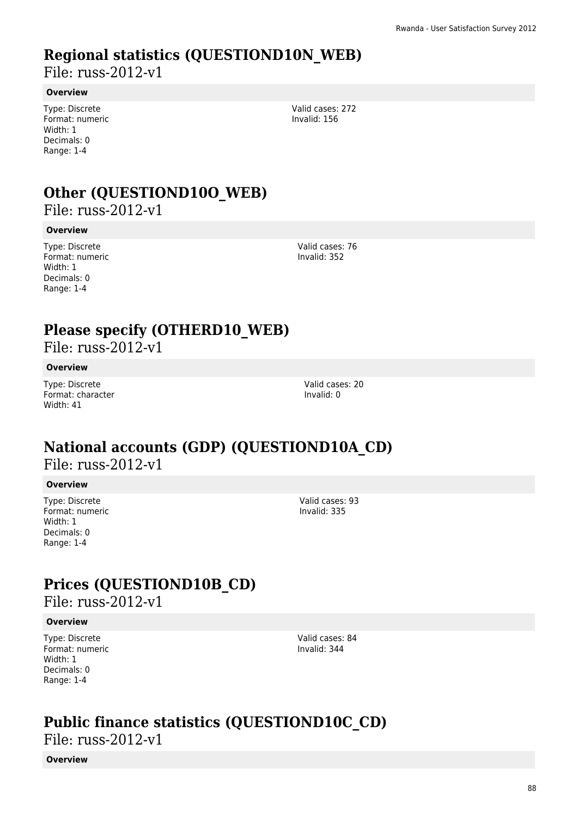# **Regional statistics (QUESTIOND10N\_WEB)**

File: russ-2012-v1

### **Overview**

Type: Discrete Format: numeric Width: 1 Decimals: 0 Range: 1-4

Valid cases: 272 Invalid: 156

# **Other (QUESTIOND10O\_WEB)**

File: russ-2012-v1

### **Overview**

Type: Discrete Format: numeric Width: 1 Decimals: 0 Range: 1-4

Valid cases: 76 Invalid: 352

# **Please specify (OTHERD10\_WEB)**

File: russ-2012-v1

### **Overview**

Type: Discrete Format: character Width: 41

# **National accounts (GDP) (QUESTIOND10A\_CD)**

File: russ-2012-v1

### **Overview**

Type: Discrete Format: numeric Width: 1 Decimals: 0 Range: 1-4

Valid cases: 93 Invalid: 335

Valid cases: 20 Invalid: 0

# **Prices (QUESTIOND10B\_CD)**

File: russ-2012-v1

### **Overview**

Type: Discrete Format: numeric Width: 1 Decimals: 0 Range: 1-4

Valid cases: 84 Invalid: 344

## **Public finance statistics (QUESTIOND10C\_CD)**

File: russ-2012-v1

**Overview**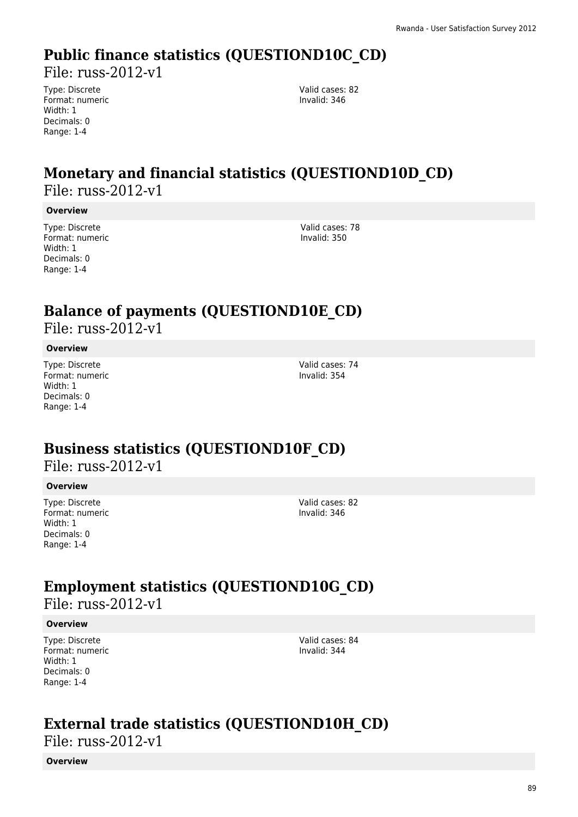## **Public finance statistics (QUESTIOND10C\_CD)**

File: russ-2012-v1

Type: Discrete Format: numeric Width: 1 Decimals: 0 Range: 1-4

Valid cases: 82 Invalid: 346

# **Monetary and financial statistics (QUESTIOND10D\_CD)**  File: russ-2012-v1

### **Overview**

Type: Discrete Format: numeric Width: 1 Decimals: 0 Range: 1-4

Valid cases: 78 Invalid: 350

## **Balance of payments (QUESTIOND10E\_CD)**

File: russ-2012-v1

### **Overview**

Type: Discrete Format: numeric Width: 1 Decimals: 0 Range: 1-4

Valid cases: 74 Invalid: 354

## **Business statistics (QUESTIOND10F\_CD)**

File: russ-2012-v1

### **Overview**

Type: Discrete Format: numeric Width: 1 Decimals: 0 Range: 1-4

Valid cases: 82 Invalid: 346

## **Employment statistics (QUESTIOND10G\_CD)**

File: russ-2012-v1

### **Overview**

Type: Discrete Format: numeric Width: 1 Decimals: 0 Range: 1-4

Valid cases: 84 Invalid: 344

## **External trade statistics (QUESTIOND10H\_CD)**

File: russ-2012-v1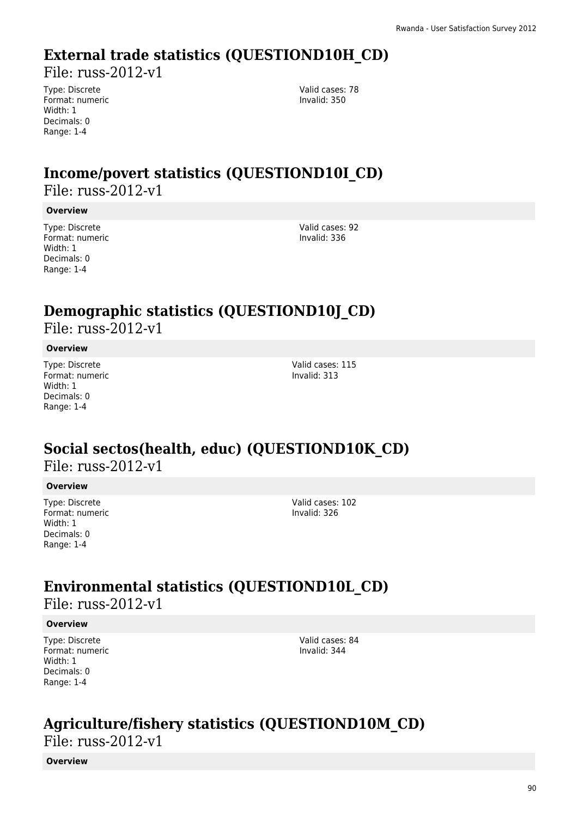# **External trade statistics (QUESTIOND10H\_CD)**

File: russ-2012-v1

Type: Discrete Format: numeric Width: 1 Decimals: 0 Range: 1-4

Valid cases: 78 Invalid: 350

## **Income/povert statistics (QUESTIOND10I\_CD)**  File: russ-2012-v1

### **Overview**

Type: Discrete Format: numeric Width: 1 Decimals: 0 Range: 1-4

Valid cases: 92 Invalid: 336

# **Demographic statistics (QUESTIOND10J\_CD)**

File: russ-2012-v1

### **Overview**

Type: Discrete Format: numeric Width: 1 Decimals: 0 Range: 1-4

Valid cases: 115 Invalid: 313

## **Social sectos(health, educ) (QUESTIOND10K\_CD)**  File: russ-2012-v1

**Overview**

Type: Discrete Format: numeric Width: 1 Decimals: 0 Range: 1-4

Valid cases: 102 Invalid: 326

# **Environmental statistics (QUESTIOND10L\_CD)**

File: russ-2012-v1

### **Overview**

Type: Discrete Format: numeric Width: 1 Decimals: 0 Range: 1-4

Valid cases: 84 Invalid: 344

## **Agriculture/fishery statistics (QUESTIOND10M\_CD)**

File: russ-2012-v1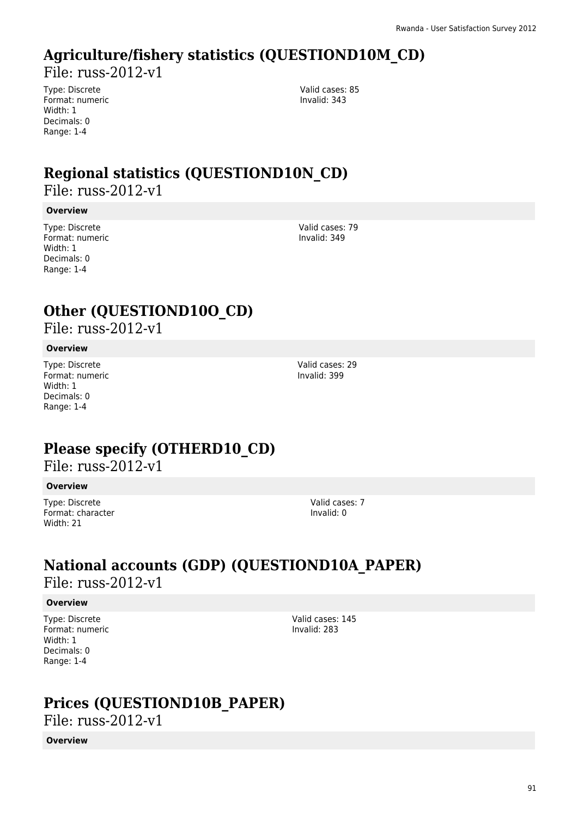# **Agriculture/fishery statistics (QUESTIOND10M\_CD)**

File: russ-2012-v1

Type: Discrete Format: numeric Width: 1 Decimals: 0 Range: 1-4

**Regional statistics (QUESTIOND10N\_CD)** 

File: russ-2012-v1

### **Overview**

Type: Discrete Format: numeric Width: 1 Decimals: 0 Range: 1-4

**Other (QUESTIOND10O\_CD)** 

File: russ-2012-v1

### **Overview**

Type: Discrete Format: numeric Width: 1 Decimals: 0 Range: 1-4

**Please specify (OTHERD10\_CD)** 

File: russ-2012-v1

### **Overview**

Type: Discrete Format: character Width: 21

Valid cases: 7 Invalid: 0

## **National accounts (GDP) (QUESTIOND10A\_PAPER)**  File: russ-2012-v1

### **Overview**

Type: Discrete Format: numeric Width: 1 Decimals: 0 Range: 1-4

Valid cases: 145 Invalid: 283

# **Prices (QUESTIOND10B\_PAPER)**

File: russ-2012-v1

**Overview**

Valid cases: 85 Invalid: 343

Valid cases: 79 Invalid: 349

Valid cases: 29 Invalid: 399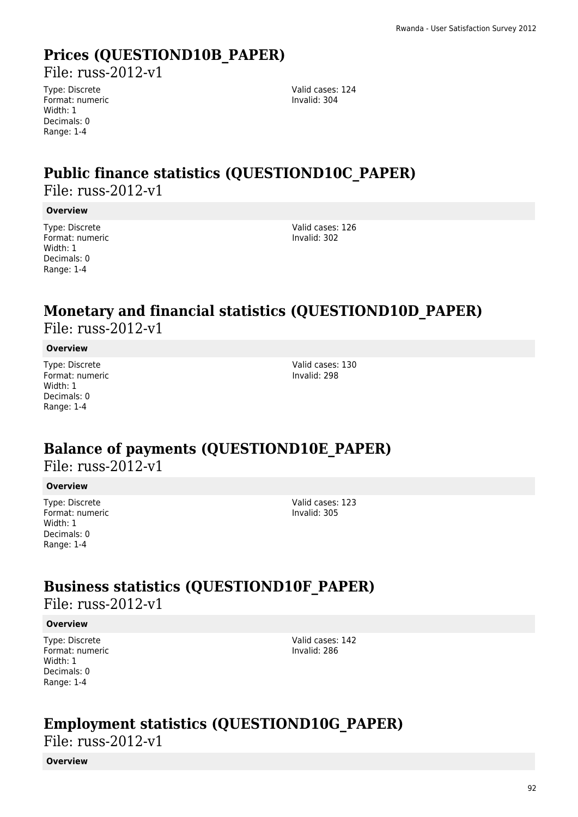# **Prices (QUESTIOND10B\_PAPER)**

File: russ-2012-v1

Type: Discrete Format: numeric Width: 1 Decimals: 0 Range: 1-4

Valid cases: 124 Invalid: 304

# **Public finance statistics (QUESTIOND10C\_PAPER)**

File: russ-2012-v1

### **Overview**

Type: Discrete Format: numeric Width: 1 Decimals: 0 Range: 1-4

Valid cases: 126 Invalid: 302

# **Monetary and financial statistics (QUESTIOND10D\_PAPER)**

File: russ-2012-v1

### **Overview**

Type: Discrete Format: numeric Width: 1 Decimals: 0 Range: 1-4

Valid cases: 130 Invalid: 298

## **Balance of payments (QUESTIOND10E\_PAPER)**  File: russ-2012-v1

### **Overview**

Type: Discrete Format: numeric Width: 1 Decimals: 0 Range: 1-4

Valid cases: 123 Invalid: 305

## **Business statistics (QUESTIOND10F\_PAPER)**

File: russ-2012-v1

### **Overview**

Type: Discrete Format: numeric Width: 1 Decimals: 0 Range: 1-4

Valid cases: 142 Invalid: 286

## **Employment statistics (QUESTIOND10G\_PAPER)**

File: russ-2012-v1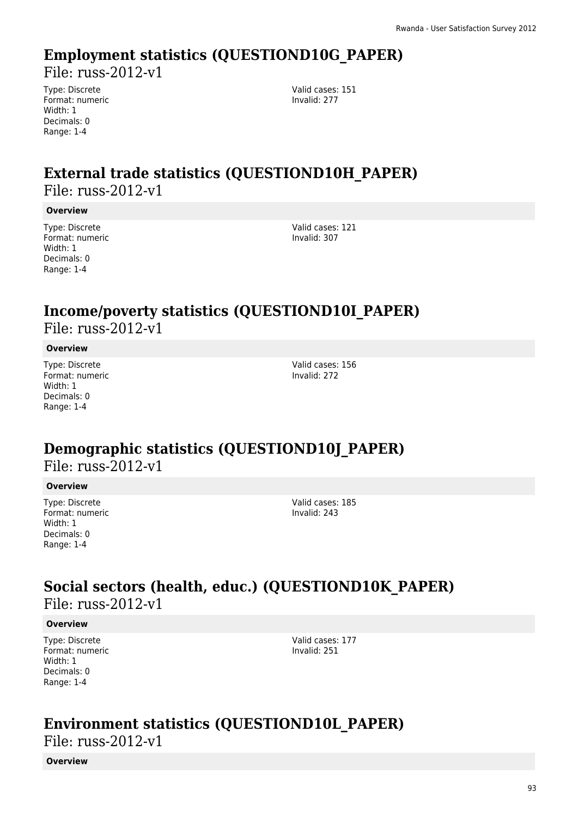## **Employment statistics (QUESTIOND10G\_PAPER)**

File: russ-2012-v1

Type: Discrete Format: numeric Width: 1 Decimals: 0 Range: 1-4

Valid cases: 151 Invalid: 277

## **External trade statistics (QUESTIOND10H\_PAPER)**  File: russ-2012-v1

#### **Overview**

Type: Discrete Format: numeric Width: 1 Decimals: 0 Range: 1-4

Valid cases: 121 Invalid: 307

## **Income/poverty statistics (QUESTIOND10I\_PAPER)**

File: russ-2012-v1

### **Overview**

Type: Discrete Format: numeric Width: 1 Decimals: 0 Range: 1-4

Valid cases: 156 Invalid: 272

# **Demographic statistics (QUESTIOND10J\_PAPER)**

File: russ-2012-v1

### **Overview**

Type: Discrete Format: numeric Width: 1 Decimals: 0 Range: 1-4

Valid cases: 185 Invalid: 243

## **Social sectors (health, educ.) (QUESTIOND10K\_PAPER)**  File: russ-2012-v1

### **Overview**

Type: Discrete Format: numeric Width: 1 Decimals: 0 Range: 1-4

Valid cases: 177 Invalid: 251

## **Environment statistics (QUESTIOND10L\_PAPER)**

File: russ-2012-v1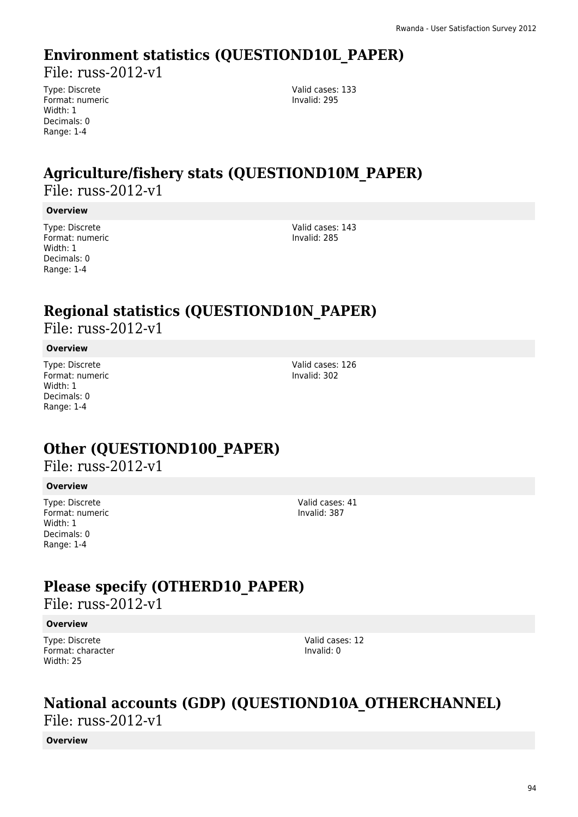## **Environment statistics (QUESTIOND10L\_PAPER)**

File: russ-2012-v1

Type: Discrete Format: numeric Width: 1 Decimals: 0 Range: 1-4

Valid cases: 133 Invalid: 295

# **Agriculture/fishery stats (QUESTIOND10M\_PAPER)**  File: russ-2012-v1

### **Overview**

Type: Discrete Format: numeric Width: 1 Decimals: 0 Range: 1-4

Valid cases: 143 Invalid: 285

## **Regional statistics (QUESTIOND10N\_PAPER)**

File: russ-2012-v1

### **Overview**

Type: Discrete Format: numeric Width: 1 Decimals: 0 Range: 1-4

Valid cases: 126 Invalid: 302

## **Other (QUESTIOND100\_PAPER)**

File: russ-2012-v1

### **Overview**

Type: Discrete Format: numeric Width: 1 Decimals: 0 Range: 1-4

Valid cases: 41 Invalid: 387

## **Please specify (OTHERD10\_PAPER)**

File: russ-2012-v1

### **Overview**

Type: Discrete Format: character Width: 25

Valid cases: 12 Invalid: 0

# **National accounts (GDP) (QUESTIOND10A\_OTHERCHANNEL)**

File: russ-2012-v1

**Overview**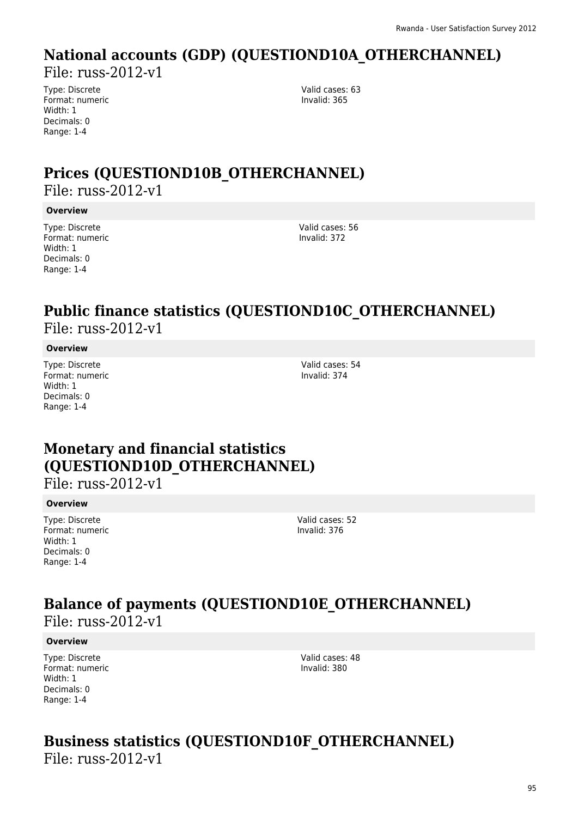# **National accounts (GDP) (QUESTIOND10A\_OTHERCHANNEL)**

File: russ-2012-v1

Type: Discrete Format: numeric Width: 1 Decimals: 0 Range: 1-4

Valid cases: 63 Invalid: 365

# **Prices (QUESTIOND10B\_OTHERCHANNEL)**

File: russ-2012-v1

### **Overview**

Type: Discrete Format: numeric Width: 1 Decimals: 0 Range: 1-4

Valid cases: 56 Invalid: 372

# **Public finance statistics (QUESTIOND10C\_OTHERCHANNEL)**

File: russ-2012-v1

### **Overview**

Type: Discrete Format: numeric Width: 1 Decimals: 0 Range: 1-4

Valid cases: 54 Invalid: 374

## **Monetary and financial statistics (QUESTIOND10D\_OTHERCHANNEL)**

File: russ-2012-v1

### **Overview**

Type: Discrete Format: numeric Width: 1 Decimals: 0 Range: 1-4

Valid cases: 52 Invalid: 376

## **Balance of payments (QUESTIOND10E\_OTHERCHANNEL)**  File: russ-2012-v1

### **Overview**

Type: Discrete Format: numeric Width: 1 Decimals: 0 Range: 1-4

Valid cases: 48 Invalid: 380

## **Business statistics (QUESTIOND10F\_OTHERCHANNEL)**  File: russ-2012-v1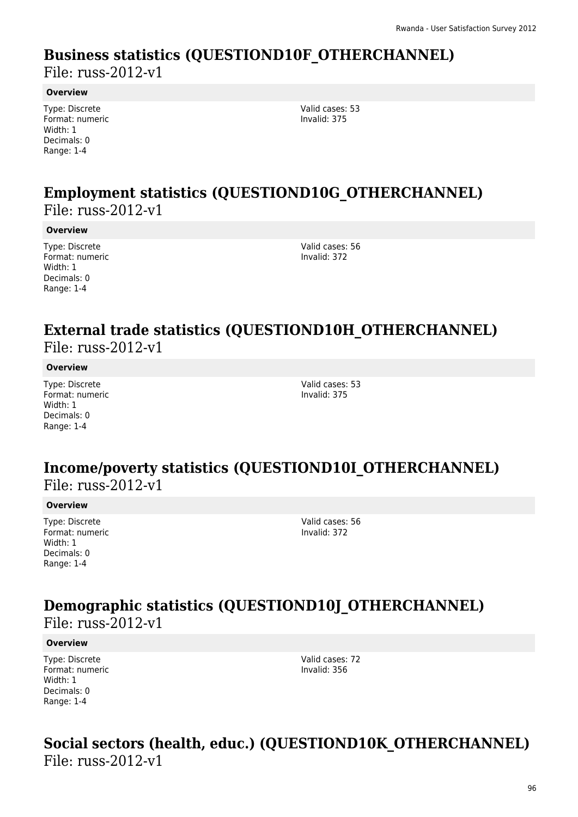## **Business statistics (QUESTIOND10F\_OTHERCHANNEL)**

File: russ-2012-v1

### **Overview**

Type: Discrete Format: numeric Width: 1 Decimals: 0 Range: 1-4

Valid cases: 53 Invalid: 375

### **Employment statistics (QUESTIOND10G\_OTHERCHANNEL)**  File: russ-2012-v1

**Overview**

Type: Discrete Format: numeric Width: 1 Decimals: 0 Range: 1-4

Valid cases: 56 Invalid: 372

# **External trade statistics (QUESTIOND10H\_OTHERCHANNEL)**

File: russ-2012-v1

### **Overview**

Type: Discrete Format: numeric Width: 1 Decimals: 0 Range: 1-4

Valid cases: 53 Invalid: 375

## **Income/poverty statistics (QUESTIOND10I\_OTHERCHANNEL)**  File: russ-2012-v1

### **Overview**

Type: Discrete Format: numeric Width: 1 Decimals: 0 Range: 1-4

Valid cases: 56 Invalid: 372

# **Demographic statistics (QUESTIOND10J\_OTHERCHANNEL)**

File: russ-2012-v1

### **Overview**

Type: Discrete Format: numeric Width: 1 Decimals: 0 Range: 1-4

Valid cases: 72 Invalid: 356

### **Social sectors (health, educ.) (QUESTIOND10K\_OTHERCHANNEL)**  File: russ-2012-v1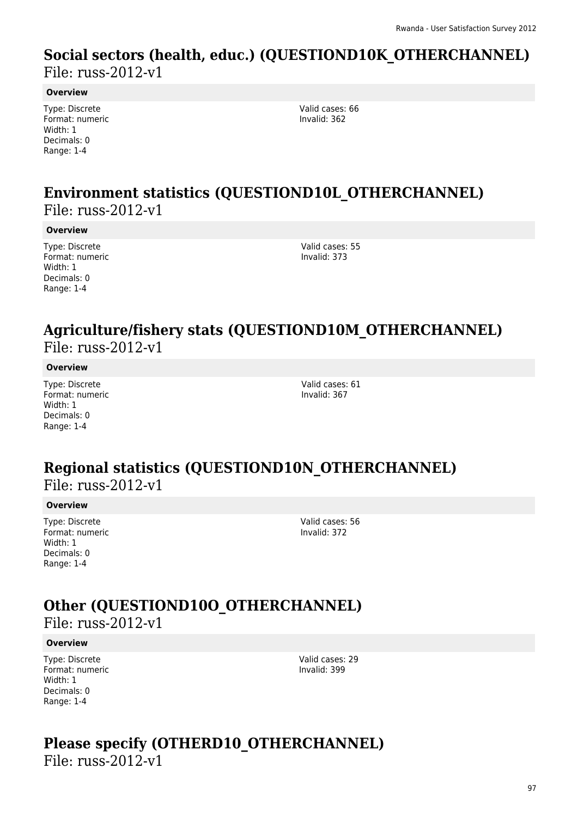# **Social sectors (health, educ.) (QUESTIOND10K\_OTHERCHANNEL)**

File: russ-2012-v1

### **Overview**

Type: Discrete Format: numeric Width: 1 Decimals: 0 Range: 1-4

Valid cases: 66 Invalid: 362

# **Environment statistics (QUESTIOND10L\_OTHERCHANNEL)**

File: russ-2012-v1

### **Overview**

Type: Discrete Format: numeric Width: 1 Decimals: 0 Range: 1-4

Valid cases: 55 Invalid: 373

## **Agriculture/fishery stats (QUESTIOND10M\_OTHERCHANNEL)**  File: russ-2012-v1

### **Overview**

Type: Discrete Format: numeric Width: 1 Decimals: 0 Range: 1-4

Valid cases: 61 Invalid: 367

### **Regional statistics (QUESTIOND10N\_OTHERCHANNEL)**  File: russ-2012-v1

#### **Overview**

Type: Discrete Format: numeric Width: 1 Decimals: 0 Range: 1-4

Valid cases: 56 Invalid: 372

# **Other (QUESTIOND10O\_OTHERCHANNEL)**

File: russ-2012-v1

### **Overview**

Type: Discrete Format: numeric Width: 1 Decimals: 0 Range: 1-4

Valid cases: 29 Invalid: 399

# **Please specify (OTHERD10\_OTHERCHANNEL)**

File: russ-2012-v1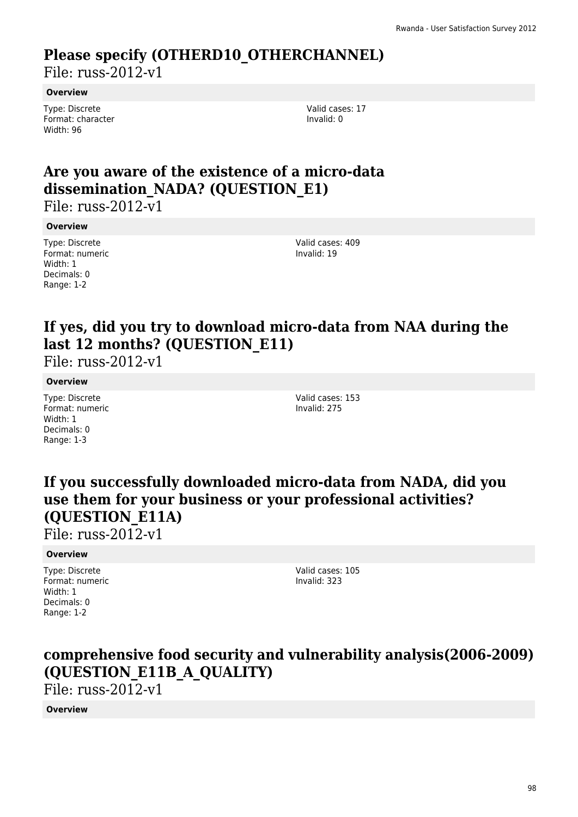# **Please specify (OTHERD10\_OTHERCHANNEL)**

File: russ-2012-v1

#### **Overview**

Type: Discrete Format: character Width: 96

Valid cases: 17 Invalid: 0

# **Are you aware of the existence of a micro-data dissemination\_NADA? (QUESTION\_E1)**

File: russ-2012-v1

#### **Overview**

Type: Discrete Format: numeric Width: 1 Decimals: 0 Range: 1-2

Valid cases: 409 Invalid: 19

# **If yes, did you try to download micro-data from NAA during the last 12 months? (QUESTION\_E11)**

File: russ-2012-v1

### **Overview**

Type: Discrete Format: numeric Width: 1 Decimals: 0 Range: 1-3

Valid cases: 153 Invalid: 275

## **If you successfully downloaded micro-data from NADA, did you use them for your business or your professional activities? (QUESTION\_E11A)**

File: russ-2012-v1

### **Overview**

Type: Discrete Format: numeric Width: 1 Decimals: 0 Range: 1-2

Valid cases: 105 Invalid: 323

## **comprehensive food security and vulnerability analysis(2006-2009) (QUESTION\_E11B\_A\_QUALITY)**

File: russ-2012-v1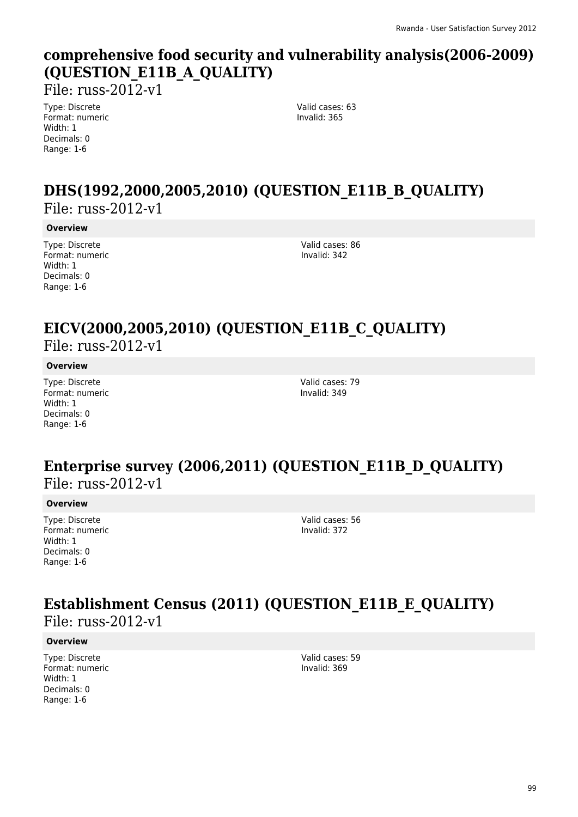## **comprehensive food security and vulnerability analysis(2006-2009) (QUESTION\_E11B\_A\_QUALITY)**

File: russ-2012-v1

Type: Discrete Format: numeric Width: 1 Decimals: 0 Range: 1-6

Valid cases: 63 Invalid: 365

## **DHS(1992,2000,2005,2010) (QUESTION\_E11B\_B\_QUALITY)**  File: russ-2012-v1

#### **Overview**

Type: Discrete Format: numeric Width: 1 Decimals: 0 Range: 1-6

Valid cases: 86 Invalid: 342

### **EICV(2000,2005,2010) (QUESTION\_E11B\_C\_QUALITY)**  File: russ-2012-v1

**Overview**

Type: Discrete Format: numeric Width: 1 Decimals: 0 Range: 1-6

Valid cases: 79 Invalid: 349

### **Enterprise survey (2006,2011) (QUESTION\_E11B\_D\_QUALITY)**  File: russ-2012-v1

### **Overview**

Type: Discrete Format: numeric Width: 1 Decimals: 0 Range: 1-6

Valid cases: 56 Invalid: 372

## **Establishment Census (2011) (QUESTION\_E11B\_E\_QUALITY)**  File: russ-2012-v1

### **Overview**

Type: Discrete Format: numeric Width: 1 Decimals: 0 Range: 1-6

Valid cases: 59 Invalid: 369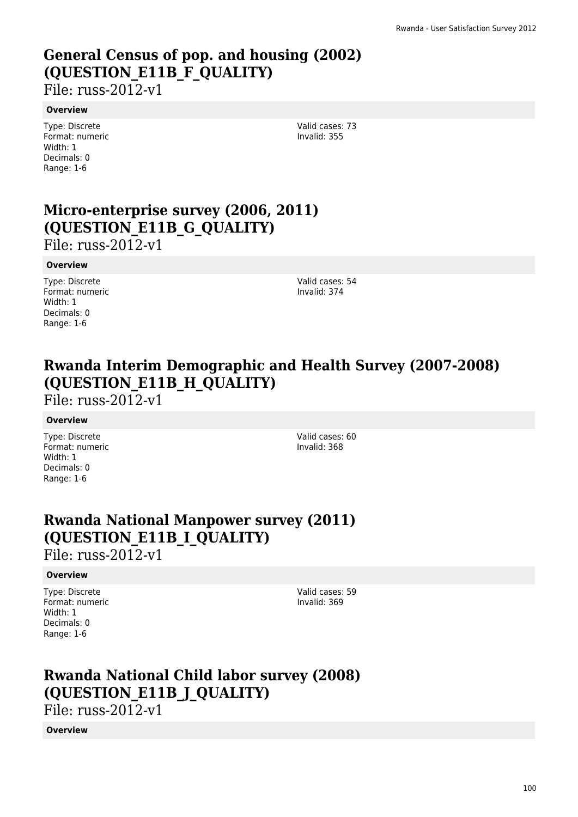# **General Census of pop. and housing (2002) (QUESTION\_E11B\_F\_QUALITY)**

File: russ-2012-v1

#### **Overview**

Type: Discrete Format: numeric Width: 1 Decimals: 0 Range: 1-6

Valid cases: 73 Invalid: 355

# **Micro-enterprise survey (2006, 2011) (QUESTION\_E11B\_G\_QUALITY)**

File: russ-2012-v1

### **Overview**

Type: Discrete Format: numeric Width: 1 Decimals: 0 Range: 1-6

Valid cases: 54 Invalid: 374

## **Rwanda Interim Demographic and Health Survey (2007-2008) (QUESTION\_E11B\_H\_QUALITY)**

File: russ-2012-v1

### **Overview**

Type: Discrete Format: numeric Width: 1 Decimals: 0 Range: 1-6

Valid cases: 60 Invalid: 368

# **Rwanda National Manpower survey (2011) (QUESTION\_E11B\_I\_QUALITY)**

File: russ-2012-v1

### **Overview**

Type: Discrete Format: numeric Width: 1 Decimals: 0 Range: 1-6

Valid cases: 59 Invalid: 369

# **Rwanda National Child labor survey (2008) (QUESTION\_E11B\_J\_QUALITY)**

File: russ-2012-v1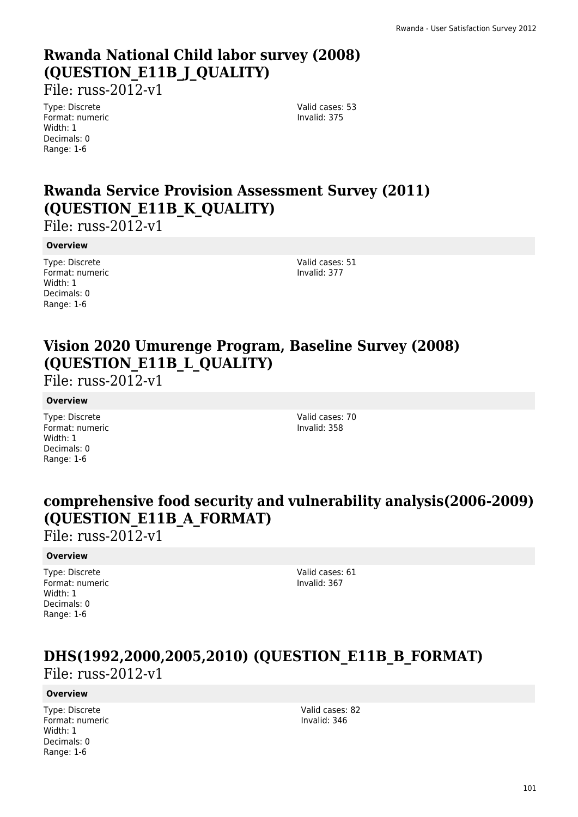# **Rwanda National Child labor survey (2008) (QUESTION\_E11B\_J\_QUALITY)**

File: russ-2012-v1

Type: Discrete Format: numeric Width: 1 Decimals: 0 Range: 1-6

Valid cases: 53 Invalid: 375

# **Rwanda Service Provision Assessment Survey (2011) (QUESTION\_E11B\_K\_QUALITY)**

File: russ-2012-v1

**Overview**

| Type: Discrete  |
|-----------------|
| Format: numeric |
| Width: 1        |
| Decimals: 0     |
| Range: 1-6      |

Valid cases: 51 Invalid: 377

## **Vision 2020 Umurenge Program, Baseline Survey (2008) (QUESTION\_E11B\_L\_QUALITY)**

File: russ-2012-v1

### **Overview**

Type: Discrete Format: numeric Width: 1 Decimals: 0 Range: 1-6

Valid cases: 70 Invalid: 358

## **comprehensive food security and vulnerability analysis(2006-2009) (QUESTION\_E11B\_A\_FORMAT)**

File: russ-2012-v1

### **Overview**

Type: Discrete Format: numeric Width: 1 Decimals: 0 Range: 1-6

Valid cases: 61 Invalid: 367

## **DHS(1992,2000,2005,2010) (QUESTION\_E11B\_B\_FORMAT)**  File: russ-2012-v1

### **Overview**

Type: Discrete Format: numeric Width: 1 Decimals: 0 Range: 1-6

Valid cases: 82 Invalid: 346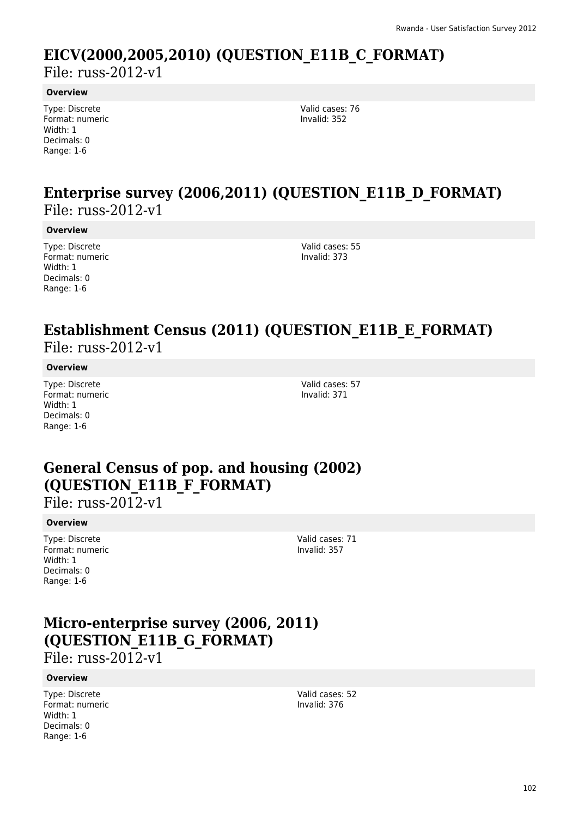## **EICV(2000,2005,2010) (QUESTION\_E11B\_C\_FORMAT)**

File: russ-2012-v1

### **Overview**

Type: Discrete Format: numeric Width: 1 Decimals: 0 Range: 1-6

Valid cases: 76 Invalid: 352

## **Enterprise survey (2006,2011) (QUESTION\_E11B\_D\_FORMAT)**  File: russ-2012-v1

### **Overview**

Type: Discrete Format: numeric Width: 1 Decimals: 0 Range: 1-6

Valid cases: 55 Invalid: 373

### **Establishment Census (2011) (QUESTION\_E11B\_E\_FORMAT)**  File: russ-2012-v1

### **Overview**

Type: Discrete Format: numeric Width: 1 Decimals: 0 Range: 1-6

Valid cases: 57 Invalid: 371

## **General Census of pop. and housing (2002) (QUESTION\_E11B\_F\_FORMAT)**

File: russ-2012-v1

### **Overview**

Type: Discrete Format: numeric Width: 1 Decimals: 0 Range: 1-6

Valid cases: 71 Invalid: 357

## **Micro-enterprise survey (2006, 2011) (QUESTION\_E11B\_G\_FORMAT)**  File: russ-2012-v1

### **Overview**

Type: Discrete Format: numeric Width: 1 Decimals: 0 Range: 1-6

Valid cases: 52 Invalid: 376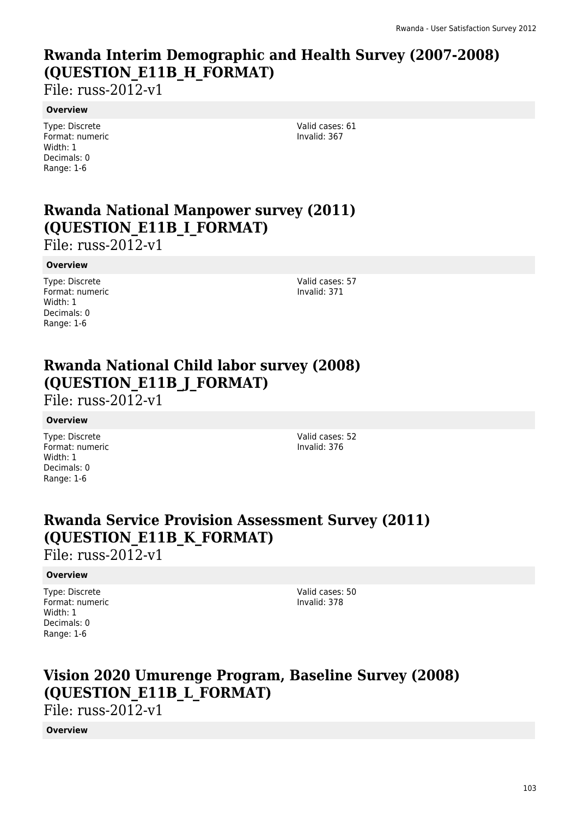# **Rwanda Interim Demographic and Health Survey (2007-2008) (QUESTION\_E11B\_H\_FORMAT)**

File: russ-2012-v1

### **Overview**

Type: Discrete Format: numeric Width: 1 Decimals: 0 Range: 1-6

Valid cases: 61 Invalid: 367

# **Rwanda National Manpower survey (2011) (QUESTION\_E11B\_I\_FORMAT)**

File: russ-2012-v1

### **Overview**

Type: Discrete Format: numeric Width: 1 Decimals: 0 Range: 1-6

Valid cases: 57 Invalid: 371

# **Rwanda National Child labor survey (2008) (QUESTION\_E11B\_J\_FORMAT)**

File: russ-2012-v1

### **Overview**

Type: Discrete Format: numeric Width: 1 Decimals: 0 Range: 1-6

Valid cases: 52 Invalid: 376

# **Rwanda Service Provision Assessment Survey (2011) (QUESTION\_E11B\_K\_FORMAT)**

File: russ-2012-v1

### **Overview**

Type: Discrete Format: numeric Width: 1 Decimals: 0 Range: 1-6

Valid cases: 50 Invalid: 378

# **Vision 2020 Umurenge Program, Baseline Survey (2008) (QUESTION\_E11B\_L\_FORMAT)**

File: russ-2012-v1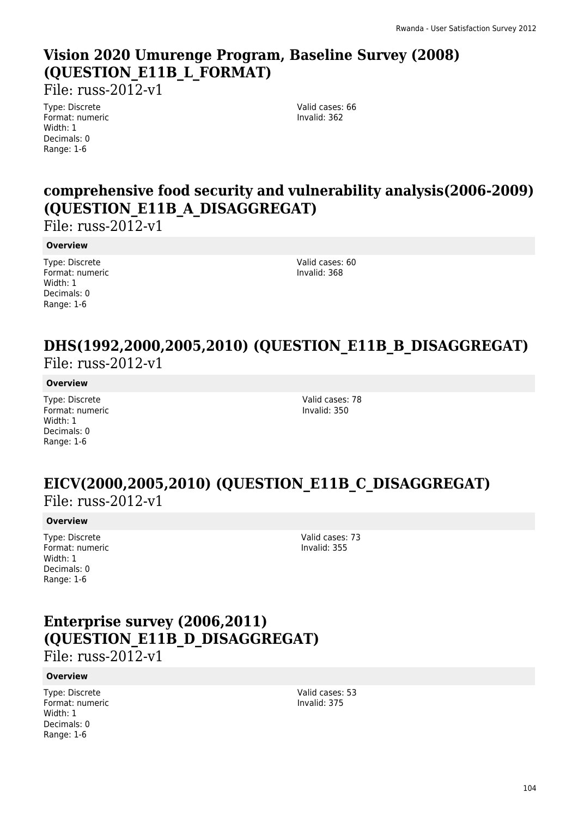# **Vision 2020 Umurenge Program, Baseline Survey (2008) (QUESTION\_E11B\_L\_FORMAT)**

File: russ-2012-v1

Type: Discrete Format: numeric Width: 1 Decimals: 0 Range: 1-6

Valid cases: 66 Invalid: 362

# **comprehensive food security and vulnerability analysis(2006-2009) (QUESTION\_E11B\_A\_DISAGGREGAT)**

File: russ-2012-v1

### **Overview**

| Type: Discrete  |
|-----------------|
| Format: numeric |
| Width: 1        |
| Decimals: 0     |
| Range: 1-6      |

Valid cases: 60 Invalid: 368

## **DHS(1992,2000,2005,2010) (QUESTION\_E11B\_B\_DISAGGREGAT)**  File: russ-2012-v1

### **Overview**

Type: Discrete Format: numeric Width: 1 Decimals: 0 Range: 1-6

Valid cases: 78 Invalid: 350

## **EICV(2000,2005,2010) (QUESTION\_E11B\_C\_DISAGGREGAT)**  File: russ-2012-v1

### **Overview**

Type: Discrete Format: numeric Width: 1 Decimals: 0 Range: 1-6

Valid cases: 73 Invalid: 355

# **Enterprise survey (2006,2011) (QUESTION\_E11B\_D\_DISAGGREGAT)**

 $File: russ-2012-v1$ 

### **Overview**

Type: Discrete Format: numeric Width: 1 Decimals: 0 Range: 1-6

Valid cases: 53 Invalid: 375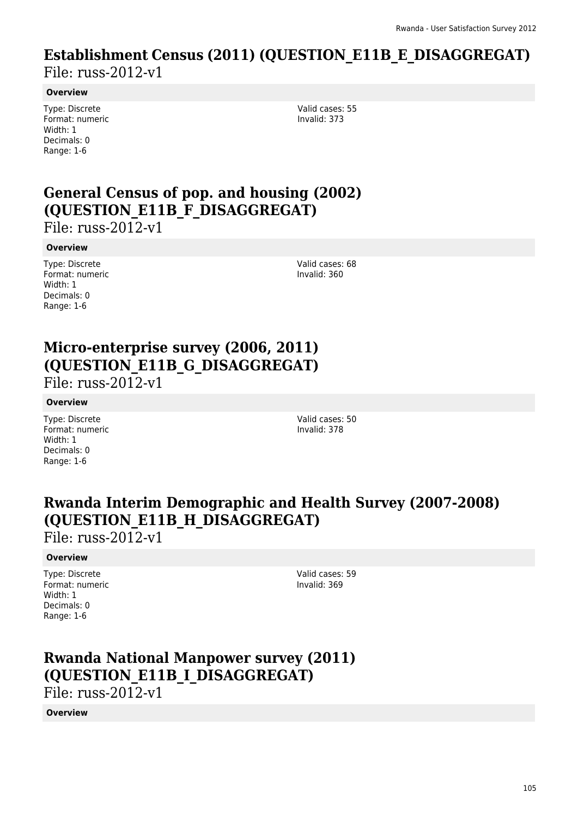# **Establishment Census (2011) (QUESTION\_E11B\_E\_DISAGGREGAT)**

File: russ-2012-v1

### **Overview**

Type: Discrete Format: numeric Width: 1 Decimals: 0 Range: 1-6

Valid cases: 55 Invalid: 373

## **General Census of pop. and housing (2002) (QUESTION\_E11B\_F\_DISAGGREGAT)**  File: russ-2012-v1

### **Overview**

| Type: Discrete  |
|-----------------|
| Format: numeric |
| Width: 1        |
| Decimals: 0     |
| Range: 1-6      |

Valid cases: 68 Invalid: 360

# **Micro-enterprise survey (2006, 2011) (QUESTION\_E11B\_G\_DISAGGREGAT)**

File: russ-2012-v1

### **Overview**

Type: Discrete Format: numeric Width: 1 Decimals: 0 Range: 1-6

Valid cases: 50 Invalid: 378

## **Rwanda Interim Demographic and Health Survey (2007-2008) (QUESTION\_E11B\_H\_DISAGGREGAT)**

File: russ-2012-v1

### **Overview**

Type: Discrete Format: numeric Width: 1 Decimals: 0 Range: 1-6

Valid cases: 59 Invalid: 369

## **Rwanda National Manpower survey (2011) (QUESTION\_E11B\_I\_DISAGGREGAT)**  File: russ-2012-v1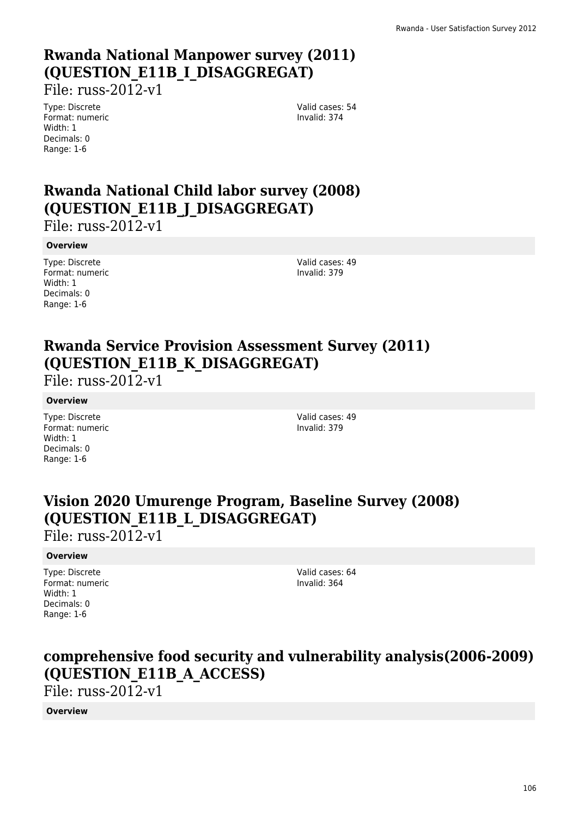# **Rwanda National Manpower survey (2011) (QUESTION\_E11B\_I\_DISAGGREGAT)**

File: russ-2012-v1

Type: Discrete Format: numeric Width: 1 Decimals: 0 Range: 1-6

Valid cases: 54 Invalid: 374

# **Rwanda National Child labor survey (2008) (QUESTION\_E11B\_J\_DISAGGREGAT)**

File: russ-2012-v1

**Overview**

| Type: Discrete  |
|-----------------|
| Format: numeric |
| Width: 1        |
| Decimals: 0     |
| Range: 1-6      |

Valid cases: 49 Invalid: 379

## **Rwanda Service Provision Assessment Survey (2011) (QUESTION\_E11B\_K\_DISAGGREGAT)**

File: russ-2012-v1

### **Overview**

Type: Discrete Format: numeric Width: 1 Decimals: 0 Range: 1-6

Valid cases: 49 Invalid: 379

## **Vision 2020 Umurenge Program, Baseline Survey (2008) (QUESTION\_E11B\_L\_DISAGGREGAT)**

File: russ-2012-v1

### **Overview**

Type: Discrete Format: numeric Width: 1 Decimals: 0 Range: 1-6

Valid cases: 64 Invalid: 364

# **comprehensive food security and vulnerability analysis(2006-2009) (QUESTION\_E11B\_A\_ACCESS)**

File: russ-2012-v1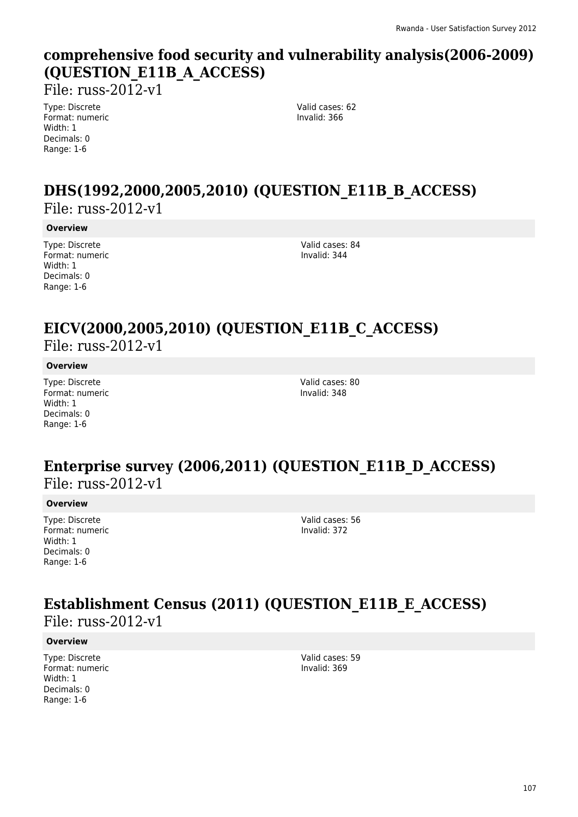## **comprehensive food security and vulnerability analysis(2006-2009) (QUESTION\_E11B\_A\_ACCESS)**

File: russ-2012-v1

Type: Discrete Format: numeric Width: 1 Decimals: 0 Range: 1-6

Valid cases: 62 Invalid: 366

## **DHS(1992,2000,2005,2010) (QUESTION\_E11B\_B\_ACCESS)**  File: russ-2012-v1

#### **Overview**

Type: Discrete Format: numeric Width: 1 Decimals: 0 Range: 1-6

Valid cases: 84 Invalid: 344

### **EICV(2000,2005,2010) (QUESTION\_E11B\_C\_ACCESS)**  File: russ-2012-v1

### **Overview**

Type: Discrete Format: numeric Width: 1 Decimals: 0 Range: 1-6

Valid cases: 80 Invalid: 348

### **Enterprise survey (2006,2011) (QUESTION\_E11B\_D\_ACCESS)**  File: russ-2012-v1

### **Overview**

Type: Discrete Format: numeric Width: 1 Decimals: 0 Range: 1-6

Valid cases: 56 Invalid: 372

## **Establishment Census (2011) (QUESTION\_E11B\_E\_ACCESS)**  File: russ-2012-v1

### **Overview**

Type: Discrete Format: numeric Width: 1 Decimals: 0 Range: 1-6

Valid cases: 59 Invalid: 369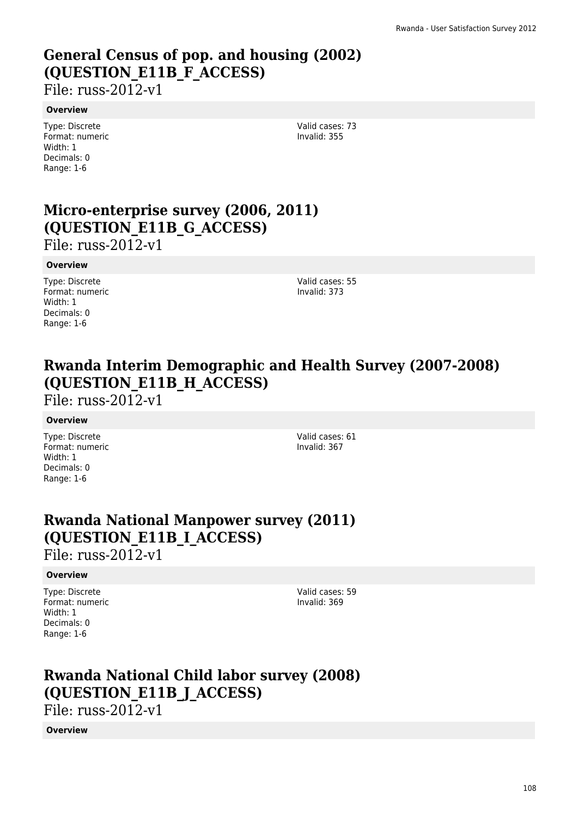# **General Census of pop. and housing (2002) (QUESTION\_E11B\_F\_ACCESS)**

File: russ-2012-v1

#### **Overview**

Type: Discrete Format: numeric Width: 1 Decimals: 0 Range: 1-6

Valid cases: 73 Invalid: 355

# **Micro-enterprise survey (2006, 2011) (QUESTION\_E11B\_G\_ACCESS)**

File: russ-2012-v1

### **Overview**

Type: Discrete Format: numeric Width: 1 Decimals: 0 Range: 1-6

Valid cases: 55 Invalid: 373

## **Rwanda Interim Demographic and Health Survey (2007-2008) (QUESTION\_E11B\_H\_ACCESS)**

File: russ-2012-v1

### **Overview**

Type: Discrete Format: numeric Width: 1 Decimals: 0 Range: 1-6

Valid cases: 61 Invalid: 367

## **Rwanda National Manpower survey (2011) (QUESTION\_E11B\_I\_ACCESS)**

File: russ-2012-v1

### **Overview**

Type: Discrete Format: numeric Width: 1 Decimals: 0 Range: 1-6

Valid cases: 59 Invalid: 369

# **Rwanda National Child labor survey (2008) (QUESTION\_E11B\_J\_ACCESS)**

File: russ-2012-v1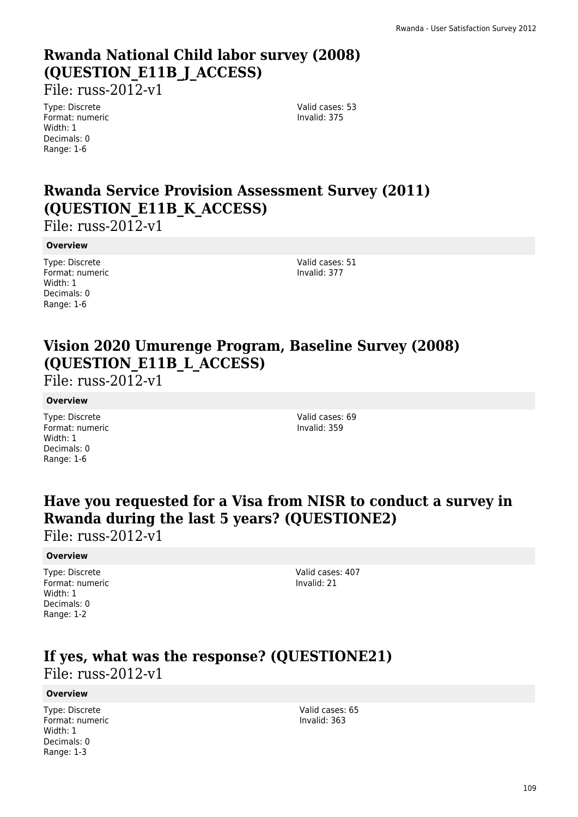# **Rwanda National Child labor survey (2008) (QUESTION\_E11B\_J\_ACCESS)**

File: russ-2012-v1

Type: Discrete Format: numeric Width: 1 Decimals: 0 Range: 1-6

Valid cases: 53 Invalid: 375

# **Rwanda Service Provision Assessment Survey (2011) (QUESTION\_E11B\_K\_ACCESS)**

File: russ-2012-v1

**Overview**

Type: Discrete Format: numeric Width: 1 Decimals: 0 Range: 1-6

Valid cases: 51 Invalid: 377

## **Vision 2020 Umurenge Program, Baseline Survey (2008) (QUESTION\_E11B\_L\_ACCESS)**

File: russ-2012-v1

#### **Overview**

Type: Discrete Format: numeric Width: 1 Decimals: 0 Range: 1-6

Valid cases: 69 Invalid: 359

## **Have you requested for a Visa from NISR to conduct a survey in Rwanda during the last 5 years? (QUESTIONE2)**

File: russ-2012-v1

#### **Overview**

Type: Discrete Format: numeric Width: 1 Decimals: 0 Range: 1-2

Valid cases: 407 Invalid: 21

### **If yes, what was the response? (QUESTIONE21)**  File: russ-2012-v1

#### **Overview**

Type: Discrete Format: numeric Width: 1 Decimals: 0 Range: 1-3

Valid cases: 65 Invalid: 363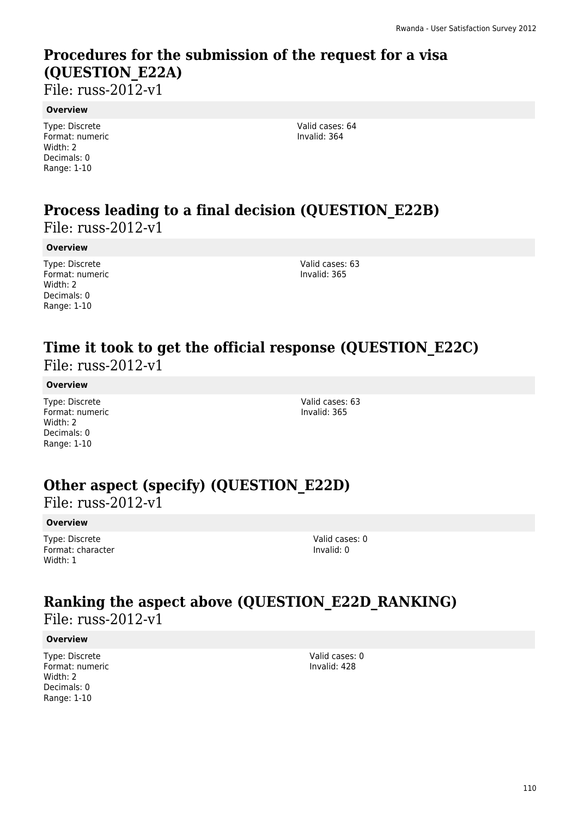# **Procedures for the submission of the request for a visa (QUESTION\_E22A)**

File: russ-2012-v1

#### **Overview**

Type: Discrete Format: numeric Width: 2 Decimals: 0 Range: 1-10

Valid cases: 64 Invalid: 364

# **Process leading to a final decision (QUESTION\_E22B)**

File: russ-2012-v1

#### **Overview**

Type: Discrete Format: numeric Width: 2 Decimals: 0 Range: 1-10

Valid cases: 63 Invalid: 365

### **Time it took to get the official response (QUESTION\_E22C)**  File: russ-2012-v1

#### **Overview**

Type: Discrete Format: numeric Width: 2 Decimals: 0 Range: 1-10

Valid cases: 63 Invalid: 365

### **Other aspect (specify) (QUESTION\_E22D)**

File: russ-2012-v1

#### **Overview**

Type: Discrete Format: character Width: 1

Valid cases: 0 Invalid: 0

### **Ranking the aspect above (QUESTION\_E22D\_RANKING)**  File: russ-2012-v1

#### **Overview**

Type: Discrete Format: numeric Width: 2 Decimals: 0 Range: 1-10

Valid cases: 0 Invalid: 428

110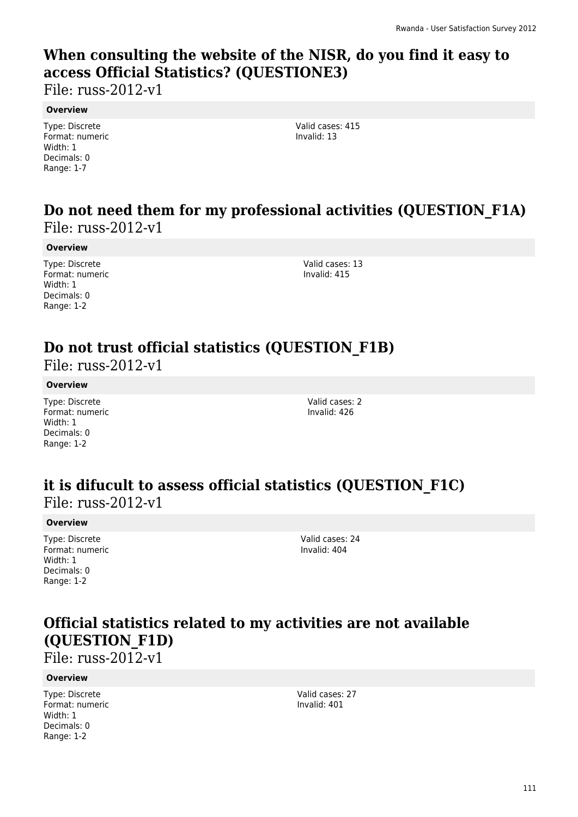# **When consulting the website of the NISR, do you find it easy to access Official Statistics? (QUESTIONE3)**

File: russ-2012-v1

#### **Overview**

Type: Discrete Format: numeric Width: 1 Decimals: 0 Range: 1-7

Valid cases: 415 Invalid: 13

### **Do not need them for my professional activities (QUESTION\_F1A)**  File: russ-2012-v1

#### **Overview**

Type: Discrete Format: numeric Width: 1 Decimals: 0 Range: 1-2

Valid cases: 13 Invalid: 415

# **Do not trust official statistics (QUESTION\_F1B)**

File: russ-2012-v1

#### **Overview**

Type: Discrete Format: numeric Width: 1 Decimals: 0 Range: 1-2

Valid cases: 2 Invalid: 426

### **it is difucult to assess official statistics (QUESTION\_F1C)**  File: russ-2012-v1

#### **Overview**

Type: Discrete Format: numeric Width: 1 Decimals: 0 Range: 1-2

Valid cases: 24 Invalid: 404

# **Official statistics related to my activities are not available (QUESTION\_F1D)**

File: russ-2012-v1

#### **Overview**

Type: Discrete Format: numeric Width: 1 Decimals: 0 Range: 1-2

Valid cases: 27 Invalid: 401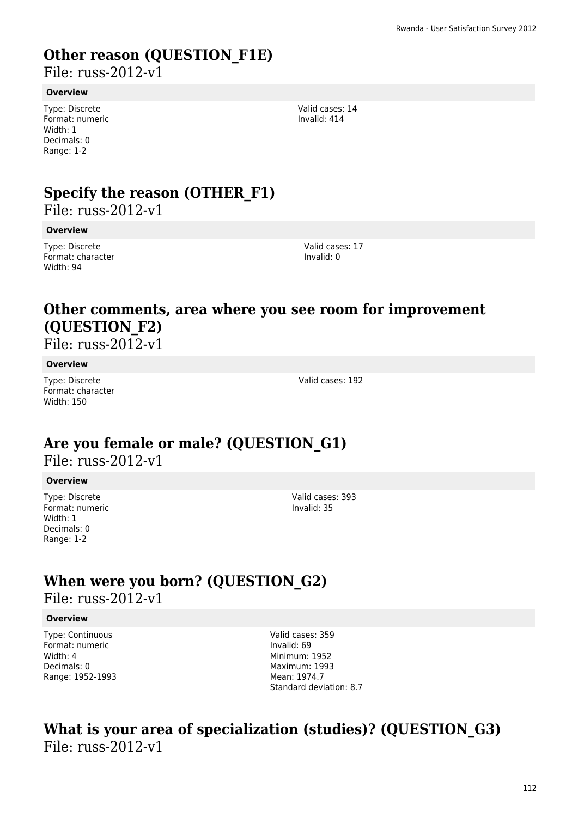# **Other reason (QUESTION\_F1E)**

File: russ-2012-v1

#### **Overview**

Type: Discrete Format: numeric Width: 1 Decimals: 0 Range: 1-2

**Specify the reason (OTHER\_F1)** 

File: russ-2012-v1

#### **Overview**

Type: Discrete Format: character Width: 94

Valid cases: 14 Invalid: 414

> Valid cases: 17 Invalid: 0

# **Other comments, area where you see room for improvement (QUESTION\_F2)**

File: russ-2012-v1

#### **Overview**

Type: Discrete Format: character Width: 150

Valid cases: 192

# **Are you female or male? (QUESTION\_G1)**

File: russ-2012-v1

#### **Overview**

Type: Discrete Format: numeric Width: 1 Decimals: 0 Range: 1-2

Valid cases: 393 Invalid: 35

# **When were you born? (QUESTION\_G2)**

File: russ-2012-v1

#### **Overview**

Type: Continuous Format: numeric Width: 4 Decimals: 0 Range: 1952-1993 Valid cases: 359 Invalid: 69 Minimum: 1952 Maximum: 1993 Mean: 1974.7 Standard deviation: 8.7

### **What is your area of specialization (studies)? (QUESTION\_G3)**  File: russ-2012-v1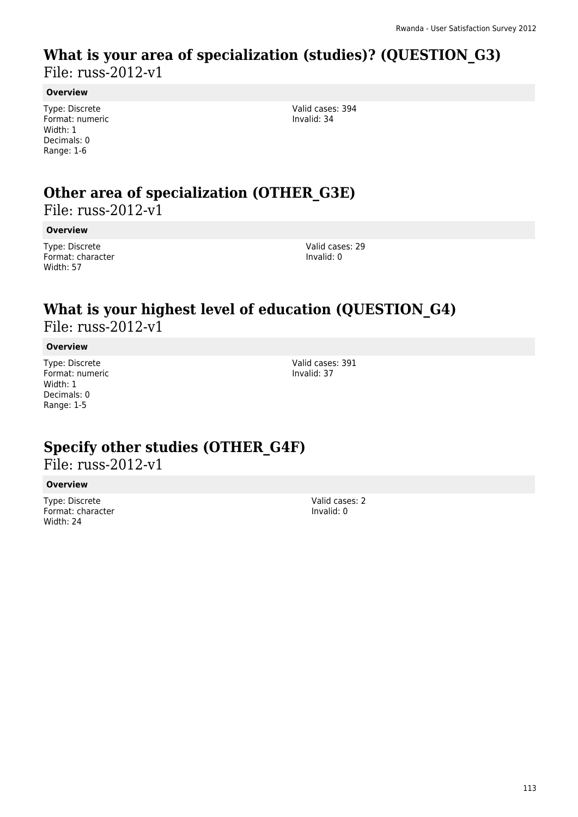# **What is your area of specialization (studies)? (QUESTION\_G3)**

File: russ-2012-v1

#### **Overview**

Type: Discrete Format: numeric Width: 1 Decimals: 0 Range: 1-6

Valid cases: 394 Invalid: 34

## **Other area of specialization (OTHER\_G3E)**

File: russ-2012-v1

#### **Overview**

Type: Discrete Format: character Width: 57

Valid cases: 29 Invalid: 0

### **What is your highest level of education (QUESTION\_G4)**  File: russ-2012-v1

#### **Overview**

Type: Discrete Format: numeric Width: 1 Decimals: 0 Range: 1-5

Valid cases: 391 Invalid: 37

### **Specify other studies (OTHER\_G4F)**

File: russ-2012-v1

#### **Overview**

Type: Discrete Format: character Width: 24

Valid cases: 2 Invalid: 0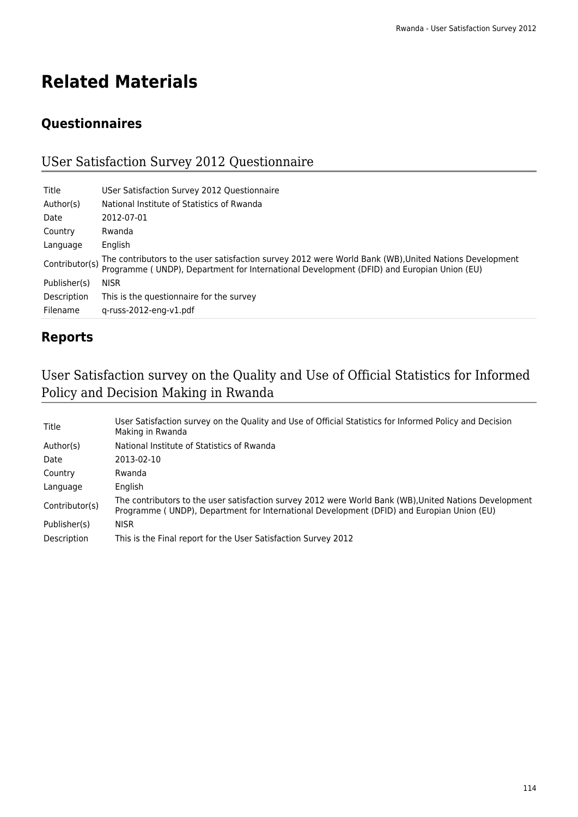# **Related Materials**

### **Questionnaires**

### USer Satisfaction Survey 2012 Questionnaire

| Title          | USer Satisfaction Survey 2012 Questionnaire                                                                                                                                                          |
|----------------|------------------------------------------------------------------------------------------------------------------------------------------------------------------------------------------------------|
| Author(s)      | National Institute of Statistics of Rwanda                                                                                                                                                           |
| Date           | 2012-07-01                                                                                                                                                                                           |
| Country        | Rwanda                                                                                                                                                                                               |
| Language       | English                                                                                                                                                                                              |
| Contributor(s) | The contributors to the user satisfaction survey 2012 were World Bank (WB), United Nations Development<br>Programme ( UNDP), Department for International Development (DFID) and Europian Union (EU) |
| Publisher(s)   | <b>NISR</b>                                                                                                                                                                                          |
| Description    | This is the questionnaire for the survey                                                                                                                                                             |
| Filename       | q-russ-2012-eng-v1.pdf                                                                                                                                                                               |

### **Reports**

### User Satisfaction survey on the Quality and Use of Official Statistics for Informed Policy and Decision Making in Rwanda

| Title          | User Satisfaction survey on the Quality and Use of Official Statistics for Informed Policy and Decision<br>Making in Rwanda                                                                         |
|----------------|-----------------------------------------------------------------------------------------------------------------------------------------------------------------------------------------------------|
| Author(s)      | National Institute of Statistics of Rwanda                                                                                                                                                          |
| Date           | 2013-02-10                                                                                                                                                                                          |
| Country        | Rwanda                                                                                                                                                                                              |
| Language       | English                                                                                                                                                                                             |
| Contributor(s) | The contributors to the user satisfaction survey 2012 were World Bank (WB), United Nations Development<br>Programme (UNDP), Department for International Development (DFID) and Europian Union (EU) |
| Publisher(s)   | <b>NISR</b>                                                                                                                                                                                         |
| Description    | This is the Final report for the User Satisfaction Survey 2012                                                                                                                                      |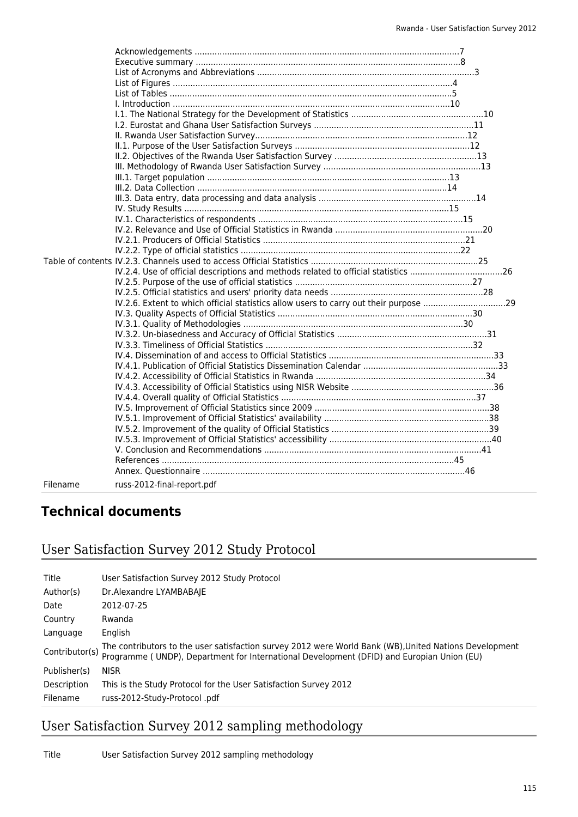| Filename | russ-2012-final-report.pdf |  |
|----------|----------------------------|--|

### **Technical documents**

### User Satisfaction Survey 2012 Study Protocol

| Title          | User Satisfaction Survey 2012 Study Protocol                                                                                                                                                         |
|----------------|------------------------------------------------------------------------------------------------------------------------------------------------------------------------------------------------------|
| Author(s)      | Dr.Alexandre LYAMBABAJE                                                                                                                                                                              |
| Date           | 2012-07-25                                                                                                                                                                                           |
| Country        | Rwanda                                                                                                                                                                                               |
| Language       | English                                                                                                                                                                                              |
| Contributor(s) | The contributors to the user satisfaction survey 2012 were World Bank (WB), United Nations Development<br>Programme ( UNDP), Department for International Development (DFID) and Europian Union (EU) |
| Publisher(s)   | <b>NISR</b>                                                                                                                                                                                          |
| Description    | This is the Study Protocol for the User Satisfaction Survey 2012                                                                                                                                     |
| Filename       | russ-2012-Study-Protocol.pdf                                                                                                                                                                         |

### User Satisfaction Survey 2012 sampling methodology

Title User Satisfaction Survey 2012 sampling methodology